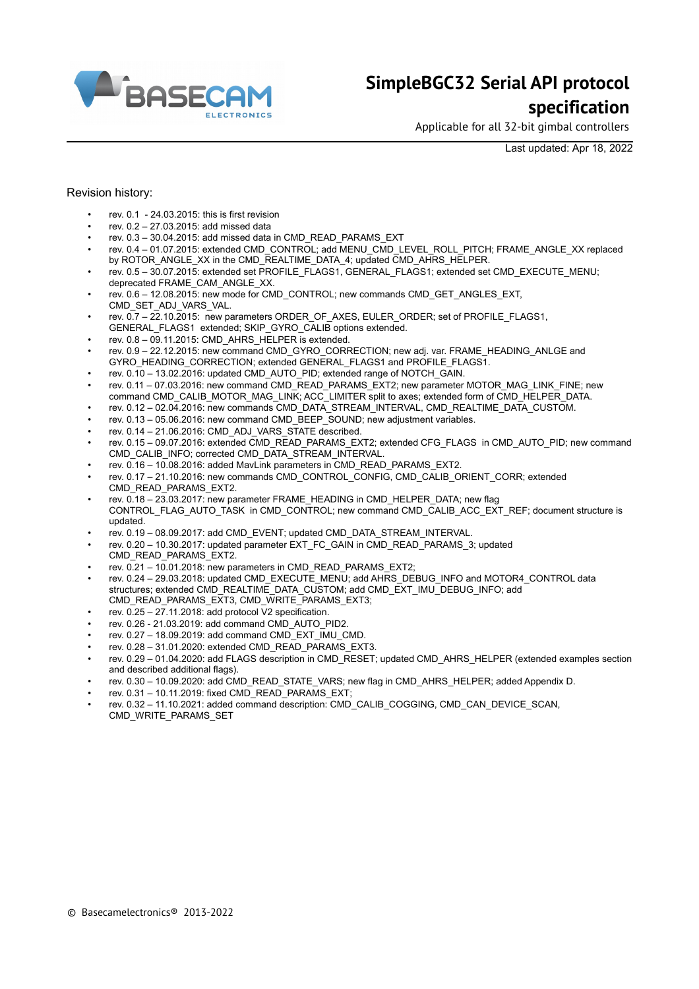

Applicable for all 32-bit gimbal controllers

Last updated: Apr 18, 2022

#### Revision history:

- rev.  $0.1 24.03.2015$  this is first revision
- rev. 0.2 27.03.2015: add missed data
- rev. 0.3 30.04.2015: add missed data in CMD\_READ\_PARAMS\_EXT
- rev. 0.4 01.07.2015: extended CMD\_CONTROL; add MENU\_CMD\_LEVEL\_ROLL\_PITCH; FRAME\_ANGLE\_XX replaced by ROTOR\_ANGLE\_XX in the CMD\_REALTIME\_DATA\_4; updated CMD\_AHRS\_HELPER.
- rev. 0.5 30.07.2015: extended set PROFILE\_FLAGS1, GENERAL\_FLAGS1; extended set CMD\_EXECUTE\_MENU; deprecated FRAME\_CAM\_ANGLE\_XX.
- rev. 0.6 12.08.2015: new mode for CMD\_CONTROL; new commands CMD\_GET\_ANGLES\_EXT, CMD\_SET\_ADJ\_VARS\_VAL.
- rev. 0.7 22.10.2015: new parameters ORDER\_OF\_AXES, EULER\_ORDER; set of PROFILE\_FLAGS1,
- GENERAL\_FLAGS1\_extended; SKIP\_GYRO\_CALIB options extended.
- rev.  $0.8 0.911.2015$ : CMD\_AHRS\_HELPER is extended.
- rev. 0.9 22.12.2015: new command CMD\_GYRO\_CORRECTION; new adj. var. FRAME\_HEADING\_ANLGE and GYRO\_HEADING\_CORRECTION; extended GENERAL\_FLAGS1 and PROFILE\_FLAGS1.
- rev. 0.10 13.02.2016: updated CMD\_AUTO\_PID; extended range of NOTCH\_GAIN.
- rev. 0.11 07.03.2016: new command CMD\_READ\_PARAMS\_EXT2; new parameter MOTOR\_MAG\_LINK\_FINE; new command CMD\_CALIB\_MOTOR\_MAG\_LINK; ACC\_LIMITER split to axes; extended form of CMD\_HELPER\_DATA.
- rev. 0.12 02.04.2016: new commands CMD\_DATA\_STREAM\_INTERVAL, CMD\_REALTIME\_DATA\_CUSTOM.
- rev.  $0.13 05.06.2016$ ; new command CMD\_BEEP\_SOUND; new adjustment variables.
- rev. 0.14 21.06.2016: CMD\_ADJ\_VARS\_STATE described.
- rev. 0.15 09.07.2016: extended CMD\_READ\_PARAMS\_EXT2; extended CFG\_FLAGS\_in CMD\_AUTO\_PID; new command CMD\_CALIB\_INFO; corrected CMD\_DATA\_STREAM\_INTERVAL.
- rev. 0.16 10.08.2016: added MavLink parameters in CMD\_READ\_PARAMS\_EXT2.
- rev. 0.17 21.10.2016: new commands CMD\_CONTROL\_CONFIG, CMD\_CALIB\_ORIENT\_CORR; extended CMD\_READ\_PARAMS\_EXT2.
- rev. 0.18 23.03.2017: new parameter FRAME\_HEADING in CMD\_HELPER\_DATA; new flag CONTROL\_FLAG\_AUTO\_TASK in CMD\_CONTROL; new command CMD\_CALIB\_ACC\_EXT\_REF; document structure is updated.
- rev. 0.19 08.09.2017: add CMD\_EVENT; updated CMD\_DATA\_STREAM\_INTERVAL.
- rev. 0.20 10.30.2017: updated parameter EXT\_FC\_GAIN in CMD\_READ\_PARAMS\_3; updated CMD\_READ\_PARAMS\_EXT2.
- rev. 0.21 10.01.2018: new parameters in CMD\_READ\_PARAMS\_EXT2;
- rev. 0.24 29.03.2018: updated CMD\_EXECUTE\_MENU; add AHRS\_DEBUG\_INFO and MOTOR4\_CONTROL data structures; extended CMD\_REALTIME\_DATA\_CUSTOM; add CMD\_EXT\_IMU\_DEBUG\_INFO; add CMD\_READ\_PARAMS\_EXT3, CMD\_WRITE\_PARAMS\_EXT3;
- rev. 0.25 27.11.2018: add protocol V2 specification.
- rev. 0.26 21.03.2019: add command CMD\_AUTO\_PID2.
- rev. 0.27 18.09.2019: add command CMD\_EXT\_IMU\_CMD.
- rev. 0.28 31.01.2020: extended CMD\_READ\_PARAMS\_EXT3.
- rev. 0.29 01.04.2020: add FLAGS description in CMD\_RESET; updated CMD\_AHRS\_HELPER (extended examples section and described additional flags).
- rev. 0.30 10.09.2020: add CMD\_READ\_STATE\_VARS; new flag in CMD\_AHRS\_HELPER; added Appendix D.
- rev.  $0.31 10.11.2019$ : fixed CMD\_READ\_PARAMS\_EXT;
- rev. 0.32 11.10.2021: added command description: CMD\_CALIB\_COGGING, CMD\_CAN\_DEVICE\_SCAN, CMD\_WRITE\_PARAMS\_SET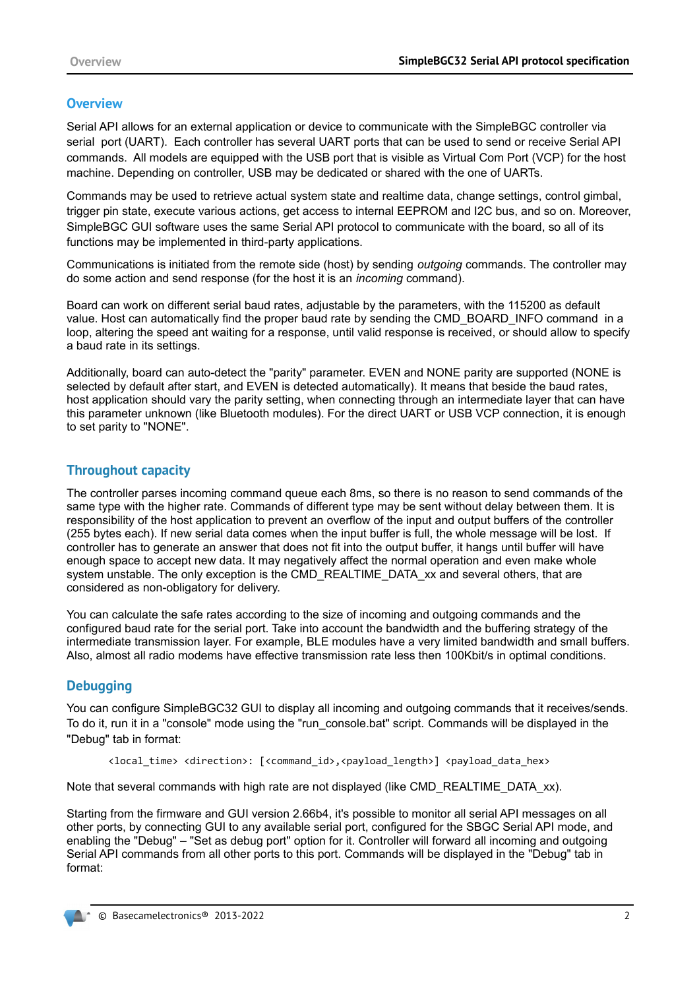### **Overview**

Serial API allows for an external application or device to communicate with the SimpleBGC controller via serial port (UART). Each controller has several UART ports that can be used to send or receive Serial API commands. All models are equipped with the USB port that is visible as Virtual Com Port (VCP) for the host machine. Depending on controller, USB may be dedicated or shared with the one of UARTs.

Commands may be used to retrieve actual system state and realtime data, change settings, control gimbal, trigger pin state, execute various actions, get access to internal EEPROM and I2C bus, and so on. Moreover, SimpleBGC GUI software uses the same Serial API protocol to communicate with the board, so all of its functions may be implemented in third-party applications.

Communications is initiated from the remote side (host) by sending *outgoing* commands. The controller may do some action and send response (for the host it is an *incoming* command).

Board can work on different serial baud rates, adjustable by the parameters, with the 115200 as default value. Host can automatically find the proper baud rate by sending the CMD\_BOARD\_INFO command in a loop, altering the speed ant waiting for a response, until valid response is received, or should allow to specify a baud rate in its settings.

Additionally, board can auto-detect the "parity" parameter. EVEN and NONE parity are supported (NONE is selected by default after start, and EVEN is detected automatically). It means that beside the baud rates, host application should vary the parity setting, when connecting through an intermediate layer that can have this parameter unknown (like Bluetooth modules). For the direct UART or USB VCP connection, it is enough to set parity to "NONE".

## **Throughout capacity**

The controller parses incoming command queue each 8ms, so there is no reason to send commands of the same type with the higher rate. Commands of different type may be sent without delay between them. It is responsibility of the host application to prevent an overflow of the input and output buffers of the controller (255 bytes each). If new serial data comes when the input buffer is full, the whole message will be lost. If controller has to generate an answer that does not fit into the output buffer, it hangs until buffer will have enough space to accept new data. It may negatively affect the normal operation and even make whole system unstable. The only exception is the CMD\_REALTIME\_DATA\_xx and several others, that are considered as non-obligatory for delivery.

You can calculate the safe rates according to the size of incoming and outgoing commands and the configured baud rate for the serial port. Take into account the bandwidth and the buffering strategy of the intermediate transmission layer. For example, BLE modules have a very limited bandwidth and small buffers. Also, almost all radio modems have effective transmission rate less then 100Kbit/s in optimal conditions.

### **Debugging**

You can configure SimpleBGC32 GUI to display all incoming and outgoing commands that it receives/sends. To do it, run it in a "console" mode using the "run\_console.bat" script. Commands will be displayed in the "Debug" tab in format:

<local\_time> <direction>: [<command\_id>,<payload\_length>] <payload\_data\_hex>

Note that several commands with high rate are not displayed (like CMD\_REALTIME\_DATA\_xx).

Starting from the firmware and GUI version 2.66b4, it's possible to monitor all serial API messages on all other ports, by connecting GUI to any available serial port, configured for the SBGC Serial API mode, and enabling the "Debug" – "Set as debug port" option for it. Controller will forward all incoming and outgoing Serial API commands from all other ports to this port. Commands will be displayed in the "Debug" tab in format: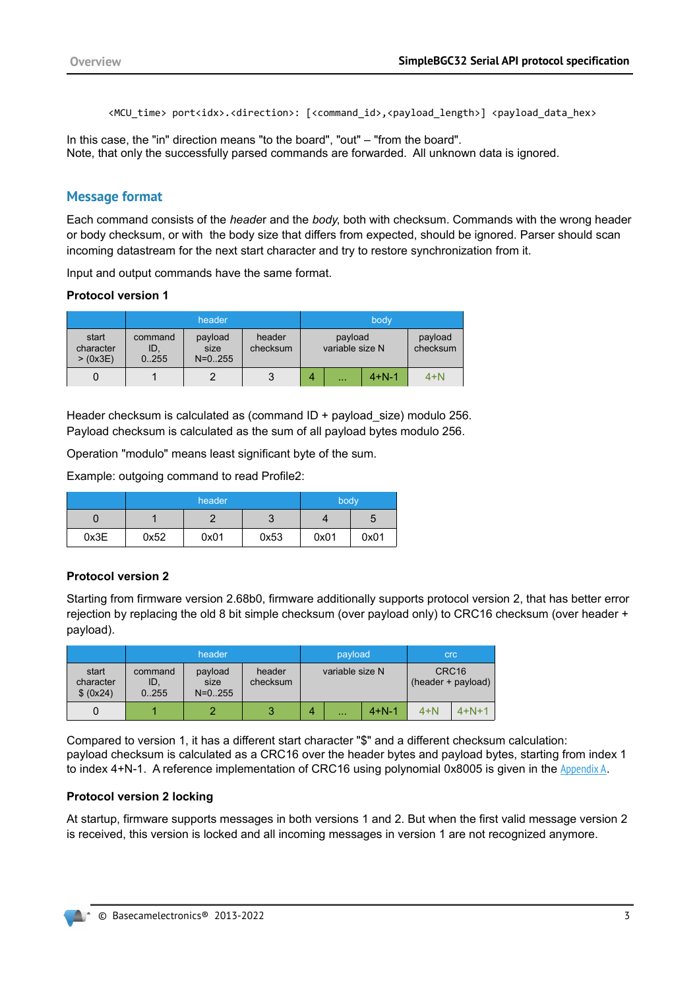<MCU\_time> port<idx>.<direction>: [<command\_id>,<payload\_length>] <payload\_data\_hex>

In this case, the "in" direction means "to the board", "out" – "from the board". Note, that only the successfully parsed commands are forwarded. All unknown data is ignored.

#### **Message format**

Each command consists of the *heade*r and the *body*, both with checksum. Commands with the wrong header or body checksum, or with the body size that differs from expected, should be ignored. Parser should scan incoming datastream for the next start character and try to restore synchronization from it.

Input and output commands have the same format.

#### **Protocol version 1**

|                               |                         | header                       |                    |   |                            | body        |                     |
|-------------------------------|-------------------------|------------------------------|--------------------|---|----------------------------|-------------|---------------------|
| start<br>character<br>>(0x3E) | command<br>ID,<br>0.255 | payload<br>size<br>$N=0.255$ | header<br>checksum |   | payload<br>variable size N |             | payload<br>checksum |
|                               |                         | ◠                            | 3                  | 4 | $\cdots$                   | $4 + N - 1$ | $4+N$               |

Header checksum is calculated as (command ID + payload size) modulo 256. Payload checksum is calculated as the sum of all payload bytes modulo 256.

Operation "modulo" means least significant byte of the sum.

Example: outgoing command to read Profile2:

|      |      | header | body   |      |      |
|------|------|--------|--------|------|------|
|      |      |        | ◠<br>J |      |      |
| 0x3E | 0x52 | 0x01   | 0x53   | 0x01 | 0x01 |

#### **Protocol version 2**

Starting from firmware version 2.68b0, firmware additionally supports protocol version 2, that has better error rejection by replacing the old 8 bit simple checksum (over payload only) to CRC16 checksum (over header + payload).

|                                 |                         | header                         |                    |   | payload         |             | <b>crc</b>                              |         |  |
|---------------------------------|-------------------------|--------------------------------|--------------------|---|-----------------|-------------|-----------------------------------------|---------|--|
| start<br>character<br>\$ (0x24) | command<br>ID,<br>0.255 | payload<br>size<br>$N = 0.255$ | header<br>checksum |   | variable size N |             | CRC <sub>16</sub><br>(header + payload) |         |  |
|                                 |                         |                                | 3                  | 4 | $\sim$ $\sim$   | $4 + N - 1$ | $4+N$                                   | $4+N+1$ |  |

Compared to version 1, it has a different start character "\$" and a different checksum calculation: payload checksum is calculated as a CRC16 over the header bytes and payload bytes, starting from index 1 to index 4+N-1. A reference implementation of CRC16 using polynomial 0x8005 is given in the [Appendix A](#page-60-0).

#### **Protocol version 2 locking**

At startup, firmware supports messages in both versions 1 and 2. But when the first valid message version 2 is received, this version is locked and all incoming messages in version 1 are not recognized anymore.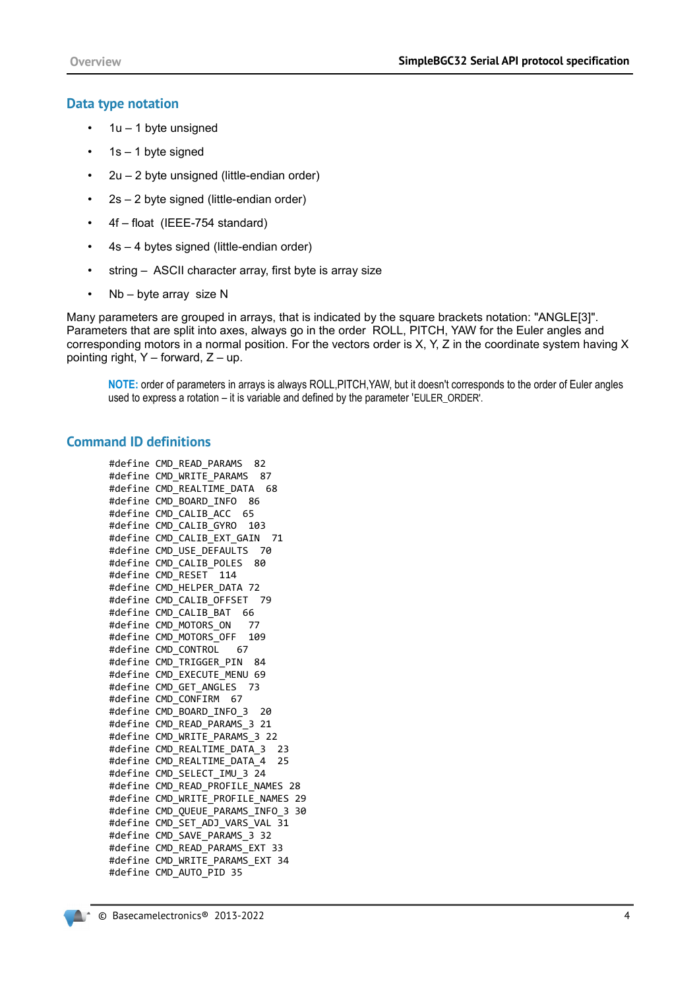#### **Data type notation**

- $\cdot$  1u 1 byte unsigned
- $\cdot$  1s 1 byte signed
- 2u 2 byte unsigned (little-endian order)
- 2s 2 byte signed (little-endian order)
- 4f float (IEEE-754 standard)
- 4s 4 bytes signed (little-endian order)
- string ASCII character array, first byte is array size
- Nb byte array size N

Many parameters are grouped in arrays, that is indicated by the square brackets notation: "ANGLE[3]". Parameters that are split into axes, always go in the order ROLL, PITCH, YAW for the Euler angles and corresponding motors in a normal position. For the vectors order is X, Y, Z in the coordinate system having X pointing right,  $Y$  – forward,  $Z$  – up.

**NOTE:** order of parameters in arrays is always ROLL,PITCH,YAW, but it doesn't corresponds to the order of Euler angles used to express a rotation – it is variable and defined by the parameter 'EULER\_ORDER'.

#### **Command ID definitions**

```
#define CMD_READ_PARAMS 82
#define CMD_WRITE_PARAMS 87
#define CMD_REALTIME_DATA 68
#define CMD_BOARD_INFO 86
#define CMD CALIB ACC 65
#define CMD_CALIB_GYRO 103
#define CMD_CALIB_EXT_GAIN 71
#define CMD_USE_DEFAULTS 70
#define CMD_CALIB_POLES 80
#define CMD_RESET 114
#define CMD_HELPER_DATA 72
#define CMD_CALIB_OFFSET 79
#define CMD_CALIB_BAT 66
#define CMD_MOTORS_ON 77
#define CMD_MOTORS_OFF 109
#define CMD_CONTROL 67
#define CMD_TRIGGER_PIN 84
#define CMD_EXECUTE_MENU 69
#define CMD_GET_ANGLES 73
#define CMD_CONFIRM 67
#define CMD_BOARD_INFO_3 20
#define CMD_READ_PARAMS_3 21
#define CMD_WRITE_PARAMS_3 22
#define CMD REALTIME DATA 3 23
#define CMD REALTIME DATA 4 25
#define CMD_SELECT_IMU_3 24
#define CMD_READ_PROFILE_NAMES 28
#define CMD_WRITE_PROFILE_NAMES 29
#define CMD_QUEUE_PARAMS_INFO_3 30
#define CMD_SET_ADJ_VARS_VAL 31
#define CMD_SAVE_PARAMS_3 32
#define CMD_READ_PARAMS_EXT 33
#define CMD WRITE PARAMS EXT 34
#define CMD_AUTO_PID 35
```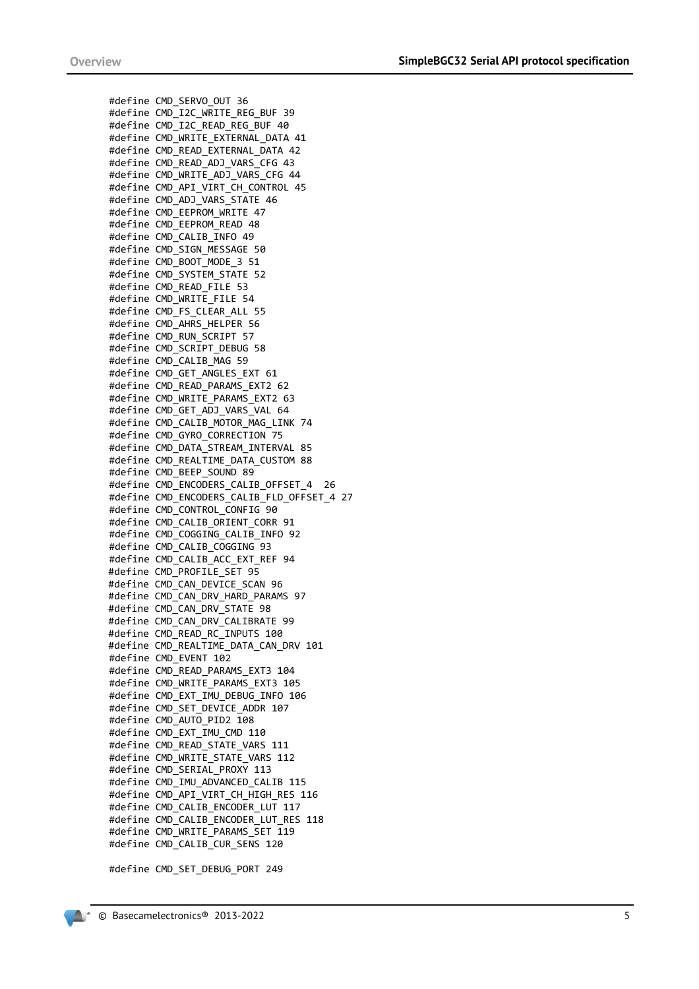#define CMD\_SERVO\_OUT 36 #define CMD\_I2C\_WRITE\_REG\_BUF 39 #define CMD\_I2C\_READ\_REG\_BUF 40 #define CMD\_WRITE\_EXTERNAL\_DATA 41 #define CMD\_READ\_EXTERNAL\_DATA 42 #define CMD\_READ\_ADJ\_VARS\_CFG 43 #define CMD\_WRITE\_ADJ\_VARS\_CFG\_44 #define CMD\_API\_VIRT\_CH\_CONTROL 45 #define CMD\_ADJ\_VARS\_STATE 46 #define CMD\_EEPROM\_WRITE 47 #define CMD\_EEPROM\_READ 48 #define CMD\_CALIB\_INFO 49 #define CMD\_SIGN\_MESSAGE 50 #define CMD\_BOOT\_MODE\_3 51 #define CMD\_SYSTEM\_STATE 52 #define CMD\_READ\_FILE 53 #define CMD\_WRITE\_FILE 54 #define CMD\_FS\_CLEAR\_ALL 55 #define CMD\_AHRS\_HELPER 56 #define CMD\_RUN\_SCRIPT 57 #define CMD\_SCRIPT\_DEBUG 58 #define CMD\_CALIB\_MAG 59 #define CMD\_GET\_ANGLES\_EXT 61 #define CMD\_READ\_PARAMS\_EXT2 62 #define CMD WRITE PARAMS EXT2 63 #define CMD\_GET\_ADJ\_VARS\_VAL 64 #define CMD\_CALIB\_MOTOR\_MAG\_LINK 74 #define CMD\_GYRO\_CORRECTION 75 #define CMD\_DATA\_STREAM\_INTERVAL 85 #define CMD\_REALTIME\_DATA\_CUSTOM 88 #define CMD\_BEEP\_SOUND 89 #define CMD ENCODERS CALIB OFFSET 4 26 #define CMD ENCODERS CALIB FLD OFFSET 4 27 #define CMD\_CONTROL\_CONFIG 90 #define CMD\_CALIB\_ORIENT\_CORR 91 #define CMD\_COGGING\_CALIB\_INFO 92 #define CMD\_CALIB\_COGGING 93 #define CMD CALIB ACC EXT REF 94 #define CMD\_PROFILE\_SET 95 #define CMD\_CAN\_DEVICE\_SCAN 96 #define CMD\_CAN\_DRV\_HARD\_PARAMS 97 #define CMD\_CAN\_DRV\_STATE 98 #define CMD\_CAN\_DRV\_CALIBRATE 99 #define CMD\_READ\_RC\_INPUTS 100 #define CMD\_REALTIME\_DATA\_CAN\_DRV 101 #define CMD\_EVENT 102 #define CMD\_READ\_PARAMS\_EXT3 104 #define CMD\_WRITE\_PARAMS\_EXT3 105 #define CMD\_EXT\_IMU\_DEBUG\_INFO 106 #define CMD SET DEVICE ADDR 107 #define CMD\_AUTO\_PID2 108 #define CMD\_EXT\_IMU\_CMD 110 #define CMD\_READ\_STATE\_VARS 111 #define CMD WRITE STATE VARS 112 #define CMD\_SERIAL\_PROXY 113 #define CMD\_IMU\_ADVANCED\_CALIB 115 #define CMD API\_VIRT\_CH\_HIGH\_RES 116 #define CMD CALIB ENCODER LUT 117 #define CMD\_CALIB\_ENCODER\_LUT\_RES 118 #define CMD\_WRITE\_PARAMS\_SET 119 #define CMD\_CALIB\_CUR\_SENS 120

#define CMD\_SET\_DEBUG\_PORT 249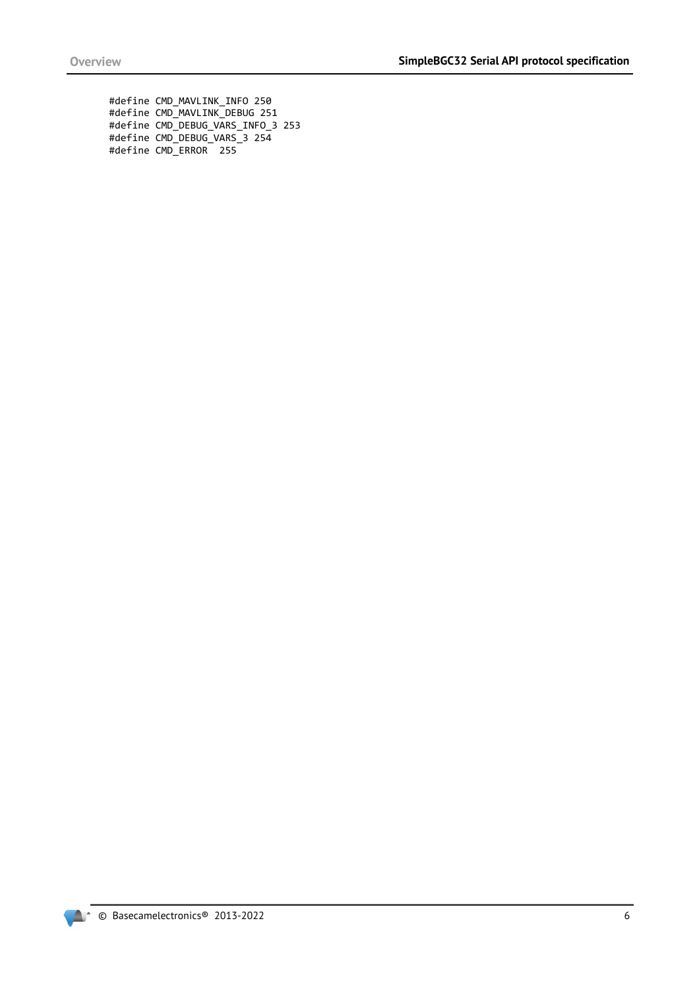#define CMD\_MAVLINK\_INFO 250 #define CMD\_MAVLINK\_DEBUG 251 #define CMD\_DEBUG\_VARS\_INFO\_3 253 #define CMD\_DEBUG\_VARS\_3 254 #define CMD\_ERROR 255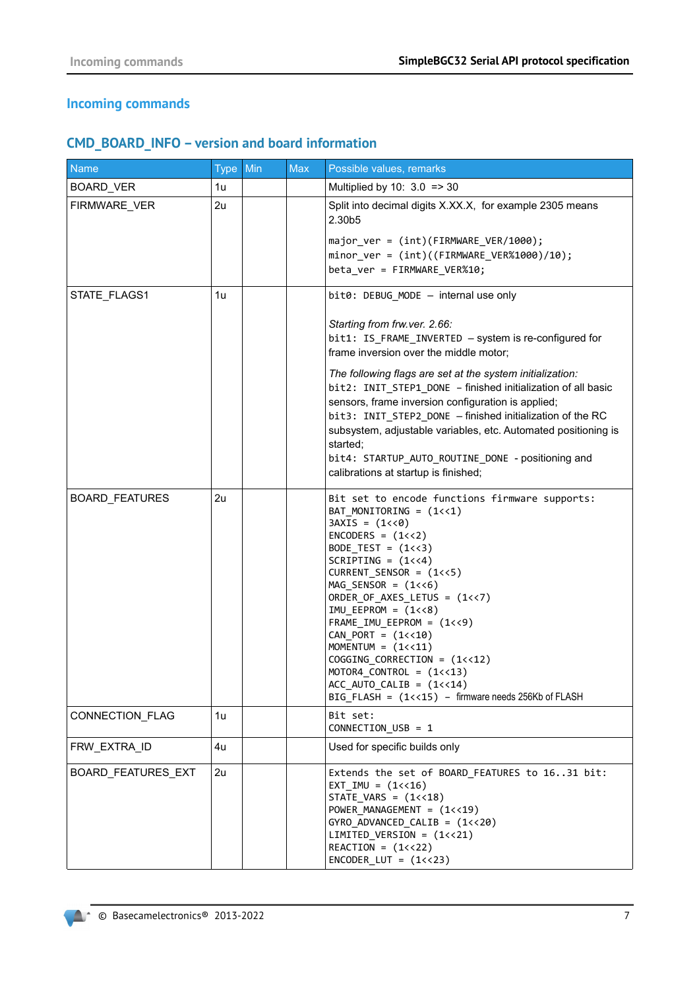# **Incoming commands**

# **CMD\_BOARD\_INFO – version and board information**

| <b>Name</b>        | Type Min | <b>Max</b> | Possible values, remarks                                                                                                                                                                                                                                                                                                                                                                                                                                                                                                                                                                     |
|--------------------|----------|------------|----------------------------------------------------------------------------------------------------------------------------------------------------------------------------------------------------------------------------------------------------------------------------------------------------------------------------------------------------------------------------------------------------------------------------------------------------------------------------------------------------------------------------------------------------------------------------------------------|
| <b>BOARD_VER</b>   | 1u       |            | Multiplied by 10: $3.0$ = > 30                                                                                                                                                                                                                                                                                                                                                                                                                                                                                                                                                               |
| FIRMWARE_VER       | 2u       |            | Split into decimal digits X.XX.X, for example 2305 means<br>2.30b5                                                                                                                                                                                                                                                                                                                                                                                                                                                                                                                           |
|                    |          |            | major ver = $(int)(FIRMWARE VER/1000);$<br>$minor_{ver} = (int)((FIRMWARE_{VER}\%1000)/10);$<br>beta_ver = FIRMWARE_VER%10;                                                                                                                                                                                                                                                                                                                                                                                                                                                                  |
| STATE_FLAGS1       | 1u       |            | bit0: DEBUG MODE - internal use only                                                                                                                                                                                                                                                                                                                                                                                                                                                                                                                                                         |
|                    |          |            | Starting from frw.ver. 2.66:<br>bit1: IS_FRAME_INVERTED - system is re-configured for<br>frame inversion over the middle motor;                                                                                                                                                                                                                                                                                                                                                                                                                                                              |
|                    |          |            | The following flags are set at the system initialization:<br>bit2: INIT_STEP1_DONE - finished initialization of all basic<br>sensors, frame inversion configuration is applied;<br>bit3: INIT_STEP2_DONE - finished initialization of the RC<br>subsystem, adjustable variables, etc. Automated positioning is<br>started;<br>bit4: STARTUP_AUTO_ROUTINE_DONE - positioning and<br>calibrations at startup is finished;                                                                                                                                                                      |
| BOARD_FEATURES     | 2u       |            | Bit set to encode functions firmware supports:<br>BAT_MONITORING = (1<<1)<br>$3AXIS = (1 \langle 0 \rangle)$<br>$ENCODERS = (1<<2)$<br>BODE_TEST = $(1\langle \langle 3 \rangle)$<br>$SCRIPTING = (1<<4)$<br>$CURRENT$ _SENSOR = $(1<<5)$<br>$MAG$ _SENSOR = $(1<<6)$<br>ORDER_OF_AXES_LETUS = (1<<7)<br>$IMU_EEPROM = (1<<8)$<br>$FRAME\_IMU_EEPROM = (1<<9)$<br>$CAN_PORT = (1<<10)$<br>MOMENTUM = $(1<<11)$<br>$COGGING_CORRECTION = (1<<12)$<br>MOTOR4 CONTROL = $(1\left\langle 18\right\rangle)$<br>ACC AUTO CALIB = $(1\lt14)$<br>BIG_FLASH = (1<<15) - firmware needs 256Kb of FLASH |
| CONNECTION_FLAG    | 1u       |            | Bit set:<br>CONNECTION_USB = 1                                                                                                                                                                                                                                                                                                                                                                                                                                                                                                                                                               |
| FRW_EXTRA_ID       | 4u       |            | Used for specific builds only                                                                                                                                                                                                                                                                                                                                                                                                                                                                                                                                                                |
| BOARD_FEATURES_EXT | 2u       |            | Extends the set of BOARD FEATURES to 1631 bit:<br>$EXT_IMU = (1<<16)$<br>$STATE_VARS = (1<<18)$<br>POWER_MANAGEMENT = (1<<19)<br>$GYRO_ADVANCED_CALIB = (1<<20)$<br>$LIMITED_VERSION = (1<<21)$<br>$REACTION = (1<<22)$<br>$ENCODER_LUT = (1<<23)$                                                                                                                                                                                                                                                                                                                                           |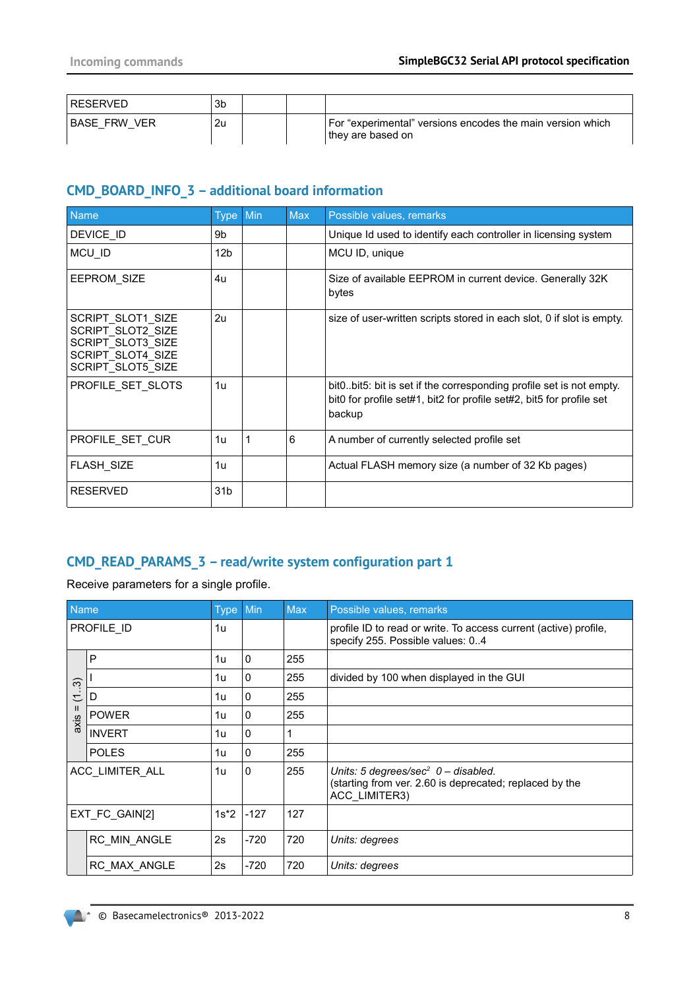| RESERVED            | 3b |  |                                                                                  |
|---------------------|----|--|----------------------------------------------------------------------------------|
| <b>BASE FRW VER</b> | 2u |  | For "experimental" versions encodes the main version which<br>⊺they are based on |

# **CMD\_BOARD\_INFO\_3 – additional board information**

| <b>Name</b>                                                                                           | Type            | Min | <b>Max</b> | Possible values, remarks                                                                                                                                |
|-------------------------------------------------------------------------------------------------------|-----------------|-----|------------|---------------------------------------------------------------------------------------------------------------------------------------------------------|
| DEVICE ID                                                                                             | 9b              |     |            | Unique Id used to identify each controller in licensing system                                                                                          |
| MCU_ID                                                                                                | 12 <sub>b</sub> |     |            | MCU ID, unique                                                                                                                                          |
| <b>EEPROM SIZE</b>                                                                                    | 4u              |     |            | Size of available EEPROM in current device. Generally 32K<br>bytes                                                                                      |
| SCRIPT SLOT1 SIZE<br>SCRIPT SLOT2 SIZE<br>SCRIPT SLOT3 SIZE<br>SCRIPT SLOT4 SIZE<br>SCRIPT SLOT5 SIZE | 2u              |     |            | size of user-written scripts stored in each slot, 0 if slot is empty.                                                                                   |
| PROFILE SET SLOTS                                                                                     | 1u              |     |            | bit0. bit5: bit is set if the corresponding profile set is not empty.<br>bit0 for profile set#1, bit2 for profile set#2, bit5 for profile set<br>backup |
| PROFILE_SET_CUR                                                                                       | 1u              | 1   | 6          | A number of currently selected profile set                                                                                                              |
| FLASH_SIZE                                                                                            | 1u              |     |            | Actual FLASH memory size (a number of 32 Kb pages)                                                                                                      |
| <b>RESERVED</b>                                                                                       | 31 <sub>b</sub> |     |            |                                                                                                                                                         |

# **CMD\_READ\_PARAMS\_3 – read/write system configuration part 1**

Receive parameters for a single profile.

| Name                      |                 | <b>Type</b> | Min          | <b>Max</b> | Possible values, remarks                                                                                                      |
|---------------------------|-----------------|-------------|--------------|------------|-------------------------------------------------------------------------------------------------------------------------------|
|                           | PROFILE ID      | 1u          |              |            | profile ID to read or write. To access current (active) profile,<br>specify 255. Possible values: 04                          |
|                           | P               | 1u          | $\mathbf 0$  | 255        |                                                                                                                               |
| $\widetilde{\mathcal{C}}$ |                 | 1u          | $\mathbf{0}$ | 255        | divided by 100 when displayed in the GUI                                                                                      |
| $\overline{\phantom{a}}$  | D               | 1u          | $\Omega$     | 255        |                                                                                                                               |
| $\mathbf{H}$<br>axis      | <b>POWER</b>    | 1u          | $\mathbf{0}$ | 255        |                                                                                                                               |
|                           | <b>INVERT</b>   | 1u          | $\Omega$     | 1          |                                                                                                                               |
|                           | <b>POLES</b>    | 1u          | $\mathbf{0}$ | 255        |                                                                                                                               |
|                           | ACC_LIMITER_ALL | 1u          | $\mathbf{0}$ | 255        | Units: 5 degrees/sec <sup>2</sup> $0 -$ disabled.<br>(starting from ver. 2.60 is deprecated; replaced by the<br>ACC LIMITER3) |
|                           | EXT_FC_GAIN[2]  | $1s*2$      | $-127$       | 127        |                                                                                                                               |
|                           | RC MIN ANGLE    | 2s          | $-720$       | 720        | Units: degrees                                                                                                                |
|                           | RC MAX ANGLE    | 2s          | $-720$       | 720        | Units: degrees                                                                                                                |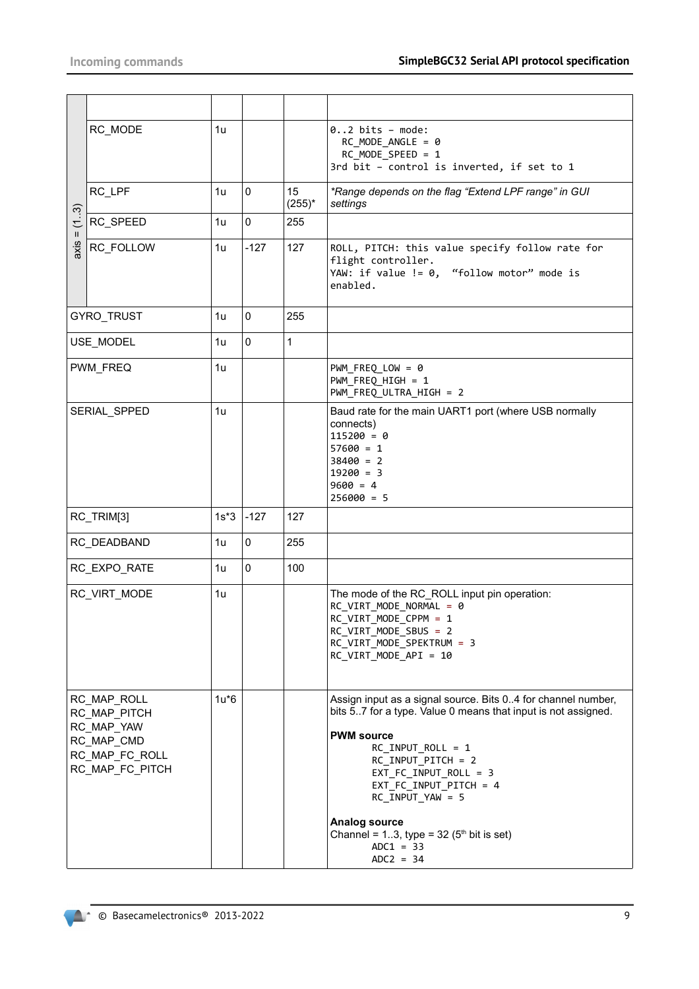|                 | RC_MODE                                                                                      | 1u     |             |                 | $02$ bits - mode:<br>$RC$ MODE ANGLE = 0<br>RC_MODE_SPEED = 1<br>3rd bit - control is inverted, if set to 1                                                                                                                                                                                                                                                                      |
|-----------------|----------------------------------------------------------------------------------------------|--------|-------------|-----------------|----------------------------------------------------------------------------------------------------------------------------------------------------------------------------------------------------------------------------------------------------------------------------------------------------------------------------------------------------------------------------------|
|                 | RC_LPF                                                                                       | 1u     | 0           | 15<br>$(255)^*$ | *Range depends on the flag "Extend LPF range" in GUI<br>settings                                                                                                                                                                                                                                                                                                                 |
| (13)<br>$\rm H$ | RC_SPEED                                                                                     | 1u     | $\pmb{0}$   | 255             |                                                                                                                                                                                                                                                                                                                                                                                  |
| axis            | RC FOLLOW                                                                                    | 1u     | $-127$      | 127             | ROLL, PITCH: this value specify follow rate for<br>flight controller.<br>YAW: if value != 0, "follow motor" mode is<br>enabled.                                                                                                                                                                                                                                                  |
|                 | GYRO_TRUST                                                                                   | 1u     | $\mathbf 0$ | 255             |                                                                                                                                                                                                                                                                                                                                                                                  |
|                 | USE_MODEL                                                                                    | 1u     | $\mathbf 0$ | $\mathbf{1}$    |                                                                                                                                                                                                                                                                                                                                                                                  |
|                 | PWM_FREQ                                                                                     | 1u     |             |                 | $PWM_FREG_LOW = 0$<br>PWM_FREQ_HIGH = 1<br>PWM FREQ ULTRA HIGH = 2                                                                                                                                                                                                                                                                                                               |
|                 | SERIAL_SPPED                                                                                 | 1u     |             |                 | Baud rate for the main UART1 port (where USB normally<br>connects)<br>$115200 = 0$<br>$57600 = 1$<br>$38400 = 2$<br>$19200 = 3$<br>$9600 = 4$<br>$256000 = 5$                                                                                                                                                                                                                    |
|                 | RC_TRIM[3]                                                                                   | $1s*3$ | $-127$      | 127             |                                                                                                                                                                                                                                                                                                                                                                                  |
|                 | RC_DEADBAND                                                                                  | 1u     | 0           | 255             |                                                                                                                                                                                                                                                                                                                                                                                  |
|                 | RC_EXPO_RATE                                                                                 | 1u     | $\mathbf 0$ | 100             |                                                                                                                                                                                                                                                                                                                                                                                  |
|                 | RC_VIRT_MODE                                                                                 | 1u     |             |                 | The mode of the RC_ROLL input pin operation:<br>RC_VIRT_MODE_NORMAL = 0<br>RC_VIRT_MODE_CPPM = 1<br>RC_VIRT_MODE_SBUS = 2<br>RC_VIRT_MODE_SPEKTRUM = 3<br>RC_VIRT_MODE_API = 10                                                                                                                                                                                                  |
|                 | RC_MAP_ROLL<br>RC_MAP_PITCH<br>RC_MAP_YAW<br>RC MAP CMD<br>RC_MAP_FC_ROLL<br>RC_MAP_FC_PITCH | $1u*6$ |             |                 | Assign input as a signal source. Bits 04 for channel number,<br>bits 57 for a type. Value 0 means that input is not assigned.<br><b>PWM source</b><br>$RC_$ INPUT_ROLL = 1<br>RC_INPUT_PITCH = 2<br>$EXT_FC_INPUT_ROLL = 3$<br>$EXT_FC_INPUT_PITCH = 4$<br>RC_INPUT_YAW = 5<br><b>Analog source</b><br>Channel = $13$ , type = $32(5th$ bit is set)<br>$ADC1 = 33$<br>$ADC = 34$ |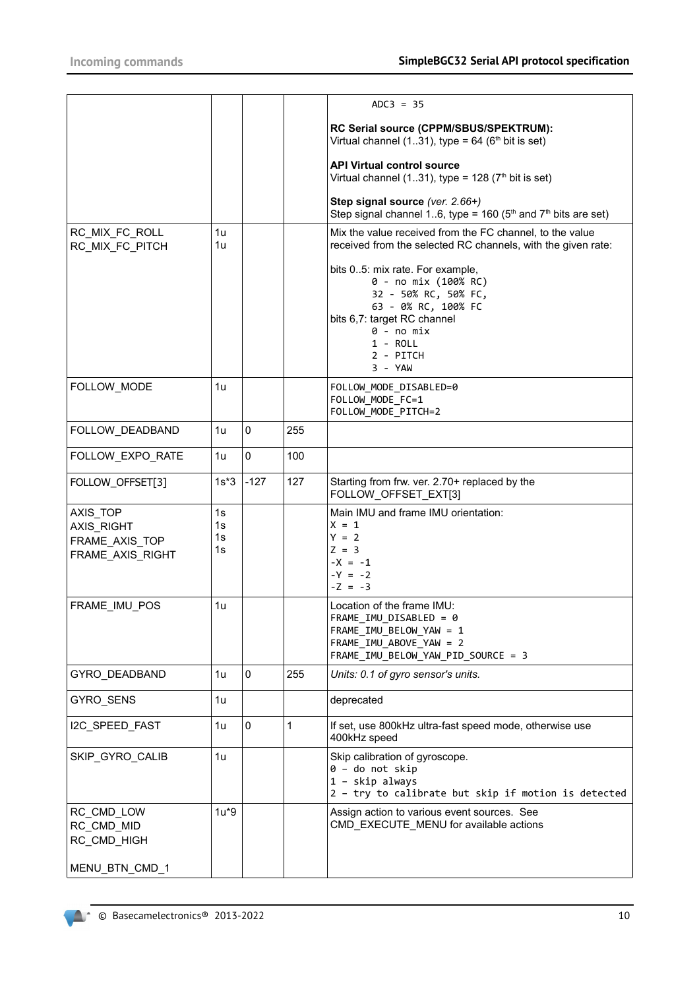|                                   |          |        |     | $ADC3 = 35$                                                                                                                                                                                |
|-----------------------------------|----------|--------|-----|--------------------------------------------------------------------------------------------------------------------------------------------------------------------------------------------|
|                                   |          |        |     |                                                                                                                                                                                            |
|                                   |          |        |     | RC Serial source (CPPM/SBUS/SPEKTRUM):<br>Virtual channel (131), type = $64$ ( $6th$ bit is set)                                                                                           |
|                                   |          |        |     |                                                                                                                                                                                            |
|                                   |          |        |     | <b>API Virtual control source</b><br>Virtual channel (131), type = $128$ (7 <sup>th</sup> bit is set)                                                                                      |
|                                   |          |        |     | Step signal source (ver. 2.66+)<br>Step signal channel 16, type = $160$ ( $5th$ and $7th$ bits are set)                                                                                    |
| RC_MIX_FC_ROLL<br>RC_MIX_FC_PITCH | 1u<br>1u |        |     | Mix the value received from the FC channel, to the value<br>received from the selected RC channels, with the given rate:                                                                   |
|                                   |          |        |     | bits 05: mix rate. For example,<br>0 - no mix (100% RC)<br>32 - 50% RC, 50% FC,<br>63 - 0% RC, 100% FC<br>bits 6,7: target RC channel<br>$0 - no mix$<br>$1 - ROL$<br>2 - PITCH<br>3 - YAW |
| FOLLOW_MODE                       | 1u       |        |     | FOLLOW_MODE_DISABLED=0<br>FOLLOW_MODE_FC=1<br>FOLLOW_MODE_PITCH=2                                                                                                                          |
| FOLLOW_DEADBAND                   | 1u       | 0      | 255 |                                                                                                                                                                                            |
| FOLLOW_EXPO_RATE                  | 1u       | 0      | 100 |                                                                                                                                                                                            |
| FOLLOW_OFFSET[3]                  | $1s*3$   | $-127$ | 127 | Starting from frw. ver. 2.70+ replaced by the<br>FOLLOW_OFFSET_EXT[3]                                                                                                                      |
| AXIS_TOP                          | 1s       |        |     | Main IMU and frame IMU orientation:                                                                                                                                                        |
| AXIS_RIGHT                        | 1s       |        |     | $X = 1$                                                                                                                                                                                    |
| FRAME_AXIS_TOP                    | 1s       |        |     | $Y = 2$                                                                                                                                                                                    |
| FRAME_AXIS_RIGHT                  | 1s       |        |     | $Z = 3$                                                                                                                                                                                    |
|                                   |          |        |     | $-X = -1$<br>$-Y = -2$                                                                                                                                                                     |
|                                   |          |        |     | $-Z = -3$                                                                                                                                                                                  |
| FRAME_IMU_POS                     | 1u       |        |     | Location of the frame IMU:                                                                                                                                                                 |
|                                   |          |        |     | FRAME_IMU_DISABLED = 0                                                                                                                                                                     |
|                                   |          |        |     | FRAME_IMU_BELOW_YAW = 1                                                                                                                                                                    |
|                                   |          |        |     | FRAME_IMU_ABOVE_YAW = 2<br>FRAME_IMU_BELOW_YAW_PID_SOURCE = 3                                                                                                                              |
| GYRO_DEADBAND                     | 1u       | 0      | 255 | Units: 0.1 of gyro sensor's units.                                                                                                                                                         |
| GYRO_SENS                         | 1u       |        |     | deprecated                                                                                                                                                                                 |
|                                   |          |        |     |                                                                                                                                                                                            |
| I2C_SPEED_FAST                    | 1u       | 0      | 1   | If set, use 800kHz ultra-fast speed mode, otherwise use<br>400kHz speed                                                                                                                    |
| SKIP_GYRO_CALIB                   | 1u       |        |     | Skip calibration of gyroscope.<br>$0 -$ do not skip<br>1 - skip always<br>2 - try to calibrate but skip if motion is detected                                                              |
| RC_CMD_LOW                        | $1u*9$   |        |     | Assign action to various event sources. See                                                                                                                                                |
| RC_CMD_MID                        |          |        |     | CMD_EXECUTE_MENU for available actions                                                                                                                                                     |
| RC_CMD_HIGH                       |          |        |     |                                                                                                                                                                                            |
| MENU_BTN_CMD_1                    |          |        |     |                                                                                                                                                                                            |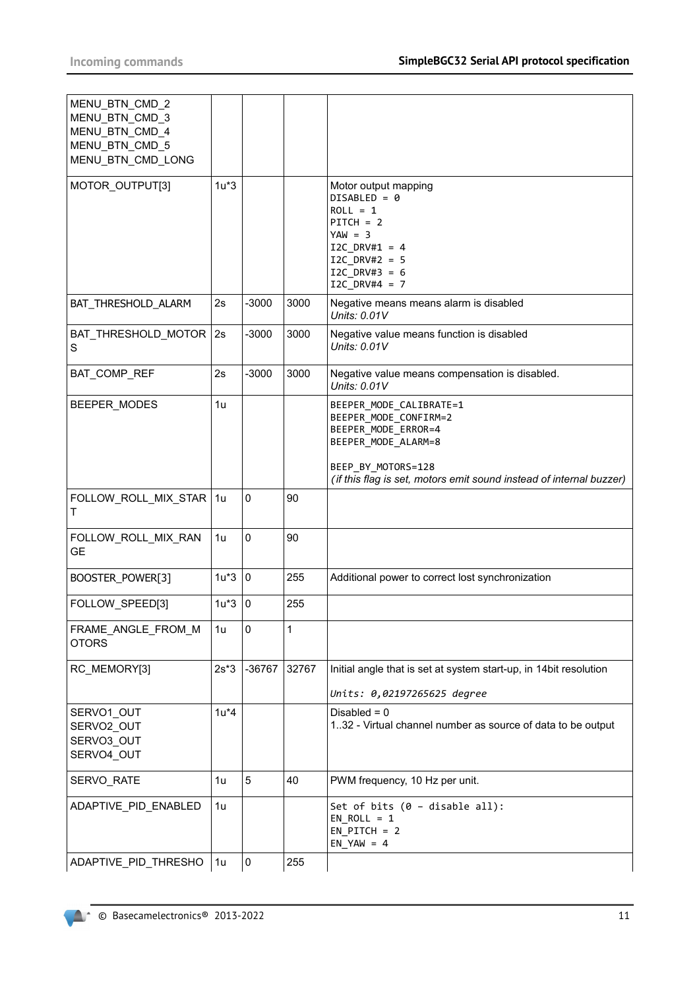| MENU_BTN_CMD_2<br>MENU BTN CMD 3<br>MENU_BTN_CMD_4<br>MENU_BTN_CMD_5<br>MENU_BTN_CMD_LONG |        |             |       |                                                                                                                                                                                             |
|-------------------------------------------------------------------------------------------|--------|-------------|-------|---------------------------------------------------------------------------------------------------------------------------------------------------------------------------------------------|
| MOTOR_OUTPUT[3]                                                                           | $1u*3$ |             |       | Motor output mapping<br>$DISABLED = 0$<br>$ROLL = 1$<br>$PITCH = 2$<br>$YAW = 3$<br>$I2C$ DRV#1 = 4<br>I2C DRV#2 = $5$<br>$I2C$ DRV#3 = 6<br>$I2C_DRV#4 = 7$                                |
| BAT_THRESHOLD_ALARM                                                                       | 2s     | $-3000$     | 3000  | Negative means means alarm is disabled<br>Units: $0.01V$                                                                                                                                    |
| BAT_THRESHOLD_MOTOR<br>S                                                                  | 2s     | $-3000$     | 3000  | Negative value means function is disabled<br>Units: 0.01V                                                                                                                                   |
| BAT_COMP_REF                                                                              | 2s     | $-3000$     | 3000  | Negative value means compensation is disabled.<br>Units: 0.01V                                                                                                                              |
| BEEPER MODES                                                                              | 1u     |             |       | BEEPER_MODE_CALIBRATE=1<br>BEEPER_MODE_CONFIRM=2<br>BEEPER_MODE_ERROR=4<br>BEEPER_MODE_ALARM=8<br>BEEP_BY_MOTORS=128<br>(if this flag is set, motors emit sound instead of internal buzzer) |
| FOLLOW_ROLL_MIX_STAR<br>т                                                                 | 1u     | $\mathbf 0$ | 90    |                                                                                                                                                                                             |
| FOLLOW_ROLL_MIX_RAN<br><b>GE</b>                                                          | 1u     | $\mathbf 0$ | 90    |                                                                                                                                                                                             |
| BOOSTER_POWER[3]                                                                          | $1u*3$ | $\mathbf 0$ | 255   | Additional power to correct lost synchronization                                                                                                                                            |
| FOLLOW SPEED[3]                                                                           | $1u*3$ | 0           | 255   |                                                                                                                                                                                             |
| FRAME_ANGLE_FROM_M<br><b>OTORS</b>                                                        | 1u     | $\mathbf 0$ | 1     |                                                                                                                                                                                             |
| RC_MEMORY[3]                                                                              | $2s*3$ | -36767      | 32767 | Initial angle that is set at system start-up, in 14bit resolution<br>Units: 0,02197265625 degree                                                                                            |
| SERVO1_OUT<br>SERVO2_OUT<br>SERVO3_OUT<br>SERVO4 OUT                                      | $1u*4$ |             |       | Disabled $= 0$<br>132 - Virtual channel number as source of data to be output                                                                                                               |
| SERVO_RATE                                                                                | 1u     | 5           | 40    | PWM frequency, 10 Hz per unit.                                                                                                                                                              |
| ADAPTIVE_PID_ENABLED                                                                      | 1u     |             |       | Set of bits $(0 - \text{display})$ :<br>$EN_ROLL = 1$<br>$EN$ PITCH = 2<br>$EN_YAW = 4$                                                                                                     |
| ADAPTIVE_PID_THRESHO                                                                      | 1u     | $\pmb{0}$   | 255   |                                                                                                                                                                                             |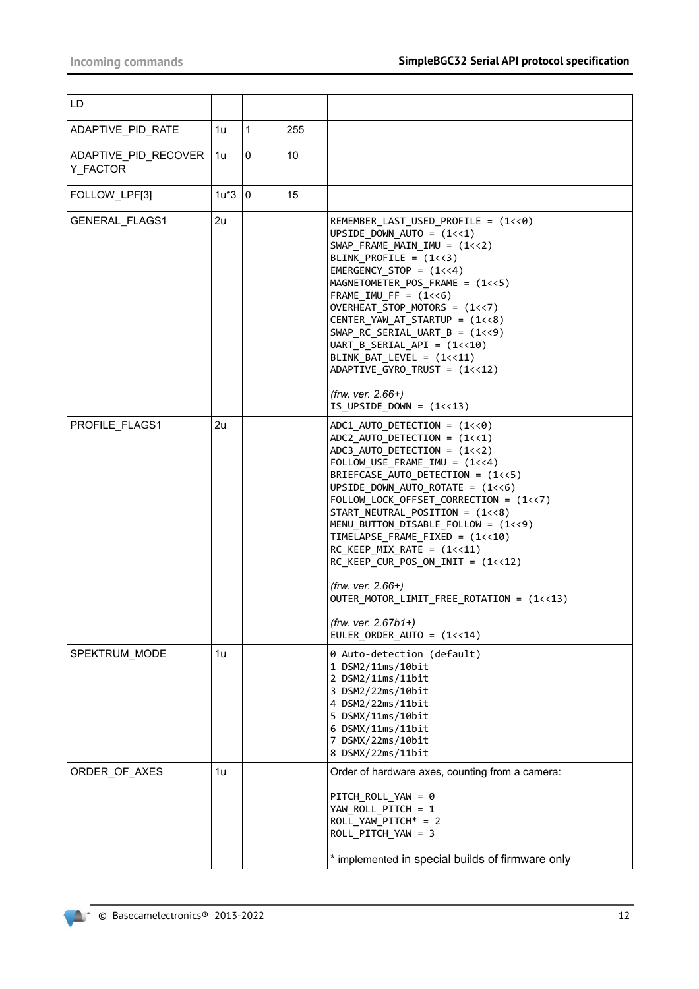| LD                               |          |   |     |                                                                                                                                                                                                                                                                                                                                                                                                                                                                                                                                                                                                                                  |
|----------------------------------|----------|---|-----|----------------------------------------------------------------------------------------------------------------------------------------------------------------------------------------------------------------------------------------------------------------------------------------------------------------------------------------------------------------------------------------------------------------------------------------------------------------------------------------------------------------------------------------------------------------------------------------------------------------------------------|
| ADAPTIVE_PID_RATE                | 1u       | 1 | 255 |                                                                                                                                                                                                                                                                                                                                                                                                                                                                                                                                                                                                                                  |
| ADAPTIVE PID RECOVER<br>Y_FACTOR | 1u       | 0 | 10  |                                                                                                                                                                                                                                                                                                                                                                                                                                                                                                                                                                                                                                  |
| FOLLOW_LPF[3]                    | $1u*3 0$ |   | 15  |                                                                                                                                                                                                                                                                                                                                                                                                                                                                                                                                                                                                                                  |
| <b>GENERAL FLAGS1</b>            | 2u       |   |     | REMEMBER LAST USED PROFILE = $(1\langle 0 \rangle)$<br>UPSIDE DOWN AUTO = $(1\lt1)$<br>$SWAP$ FRAME MAIN IMU = $(1<<2)$<br>BLINK_PROFILE = $(1 < 3)$<br>EMERGENCY_STOP = $(1<<4)$<br>MAGNETOMETER_POS_FRAME = (1<<5)<br>$FRAME\_IMU_FF = (1<<6)$<br>OVERHEAT STOP MOTORS = $(1<<7)$<br>CENTER YAW AT STARTUP = (1<<8)<br>$SWAP_RC_SERIAL_UART_B = (1<<9)$<br>UART B SERIAL API = $(1\leftarrow 10)$<br>BLINK_BAT_LEVEL = (1<<11)<br>ADAPTIVE_GYRO_TRUST = (1<<12)<br>$(frw. ver. 2.66+)$<br>$IS_UPSIDE_DOWN = (1<<13)$                                                                                                           |
| PROFILE FLAGS1                   | 2u       |   |     | $ADC1$ _AUTO_DETECTION = $(1\langle 8 \rangle)$<br>$ADC2$ _AUTO_DETECTION = $(1<<1)$<br>$ADC3$ _AUTO_DETECTION = $(1<<2)$<br>$FOLLOW$ USE $FRAME$ $IMU = (1<<4)$<br>BRIEFCASE AUTO DETECTION = $(1\langle\langle 5 \rangle)$<br>UPSIDE_DOWN_AUTO_ROTATE = (1<<6)<br>FOLLOW_LOCK_OFFSET_CORRECTION = (1<<7)<br>START_NEUTRAL_POSITION = (1<<8)<br>MENU_BUTTON_DISABLE_FOLLOW = (1<<9)<br>TIMELAPSE_FRAME_FIXED = (1<<10)<br>$RC$ KEEP MIX RATE = $(1<<11)$<br>$RC$ _KEEP_CUR_POS_ON_INIT = $(1<<12)$<br>$(frw. ver. 2.66+)$<br>OUTER_MOTOR_LIMIT_FREE_ROTATION = (1<<13)<br>$(frw. ver. 2.67b1+)$<br>EULER_ORDER_AUTO = $(1<<14)$ |
| SPEKTRUM_MODE                    | 1u       |   |     | 0 Auto-detection (default)<br>1 DSM2/11ms/10bit<br>2 DSM2/11ms/11bit<br>3 DSM2/22ms/10bit<br>4 DSM2/22ms/11bit<br>5 DSMX/11ms/10bit<br>6 DSMX/11ms/11bit<br>7 DSMX/22ms/10bit<br>8 DSMX/22ms/11bit                                                                                                                                                                                                                                                                                                                                                                                                                               |
| ORDER_OF_AXES                    | 1u       |   |     | Order of hardware axes, counting from a camera:<br>PITCH_ROLL_YAW = 0<br>YAW_ROLL_PITCH = 1<br>ROLL_YAW_PITCH* = 2<br>ROLL_PITCH_YAW = 3<br>* implemented in special builds of firmware only                                                                                                                                                                                                                                                                                                                                                                                                                                     |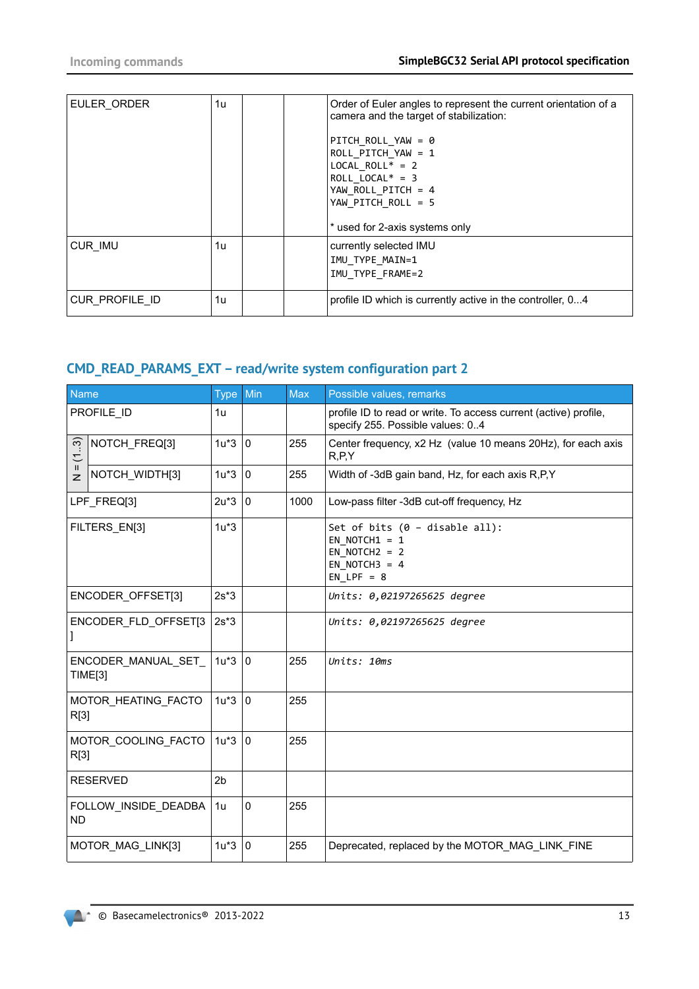| EULER ORDER    | 1u | Order of Euler angles to represent the current orientation of a<br>camera and the target of stabilization:<br>PITCH ROLL YAW = $\theta$<br>ROLL PITCH YAW = $1$<br>$LOCAL_ROLL^* = 2$<br>ROLL LOCAL* = $3$<br>YAW ROLL PITCH = 4<br>YAW PITCH ROLL = 5 |
|----------------|----|--------------------------------------------------------------------------------------------------------------------------------------------------------------------------------------------------------------------------------------------------------|
|                |    | * used for 2-axis systems only                                                                                                                                                                                                                         |
| CUR IMU        | 1u | currently selected IMU<br>IMU TYPE MAIN=1<br>IMU TYPE FRAME=2                                                                                                                                                                                          |
| CUR PROFILE ID | 1u | profile ID which is currently active in the controller, 04                                                                                                                                                                                             |

# **CMD\_READ\_PARAMS\_EXT – read/write system configuration part 2**

| <b>Name</b>                    |                                      | <b>Type</b>    | Min          | <b>Max</b> | Possible values, remarks                                                                                            |
|--------------------------------|--------------------------------------|----------------|--------------|------------|---------------------------------------------------------------------------------------------------------------------|
|                                | PROFILE ID                           | 1u             |              |            | profile ID to read or write. To access current (active) profile,<br>specify 255. Possible values: 04                |
| က္<br>$\overline{\mathcal{L}}$ | NOTCH_FREQ[3]                        | $1u*3$         | 0            | 255        | Center frequency, x2 Hz (value 10 means 20Hz), for each axis<br>R, P, Y                                             |
| Ш<br>$\overline{z}$            | NOTCH_WIDTH[3]                       | $1u*3$         | $\mathbf{0}$ | 255        | Width of -3dB gain band, Hz, for each axis R,P,Y                                                                    |
|                                | LPF FREQ[3]                          | $2u*3$         | 0            | 1000       | Low-pass filter -3dB cut-off frequency, Hz                                                                          |
| FILTERS_EN[3]                  |                                      | $1u*3$         |              |            | Set of bits $(0 - \text{disable all})$ :<br>EN NOTCH1 = $1$<br>EN NOTCH $2 = 2$<br>EN NOTCH $3 = 4$<br>$EN_LPF = 8$ |
| <b>ENCODER OFFSET[3]</b>       |                                      | $2s*3$         |              |            | Units: 0,02197265625 degree                                                                                         |
| I                              | ENCODER FLD OFFSET[3                 | $2s*3$         |              |            | Units: 0,02197265625 degree                                                                                         |
|                                | ENCODER MANUAL SET<br><b>TIME[3]</b> | $1u*3$         | l 0          | 255        | Units: 10ms                                                                                                         |
| R[3]                           | MOTOR HEATING FACTO                  | $1u*3 0$       |              | 255        |                                                                                                                     |
| R[3]                           | MOTOR COOLING FACTO                  | $1u*3$         | 10           | 255        |                                                                                                                     |
|                                | <b>RESERVED</b>                      | 2 <sub>b</sub> |              |            |                                                                                                                     |
| <b>ND</b>                      | FOLLOW_INSIDE_DEADBA                 | 1u             | $\mathbf 0$  | 255        |                                                                                                                     |
|                                | MOTOR_MAG_LINK[3]                    | $1u*3$         | 0            | 255        | Deprecated, replaced by the MOTOR MAG LINK FINE                                                                     |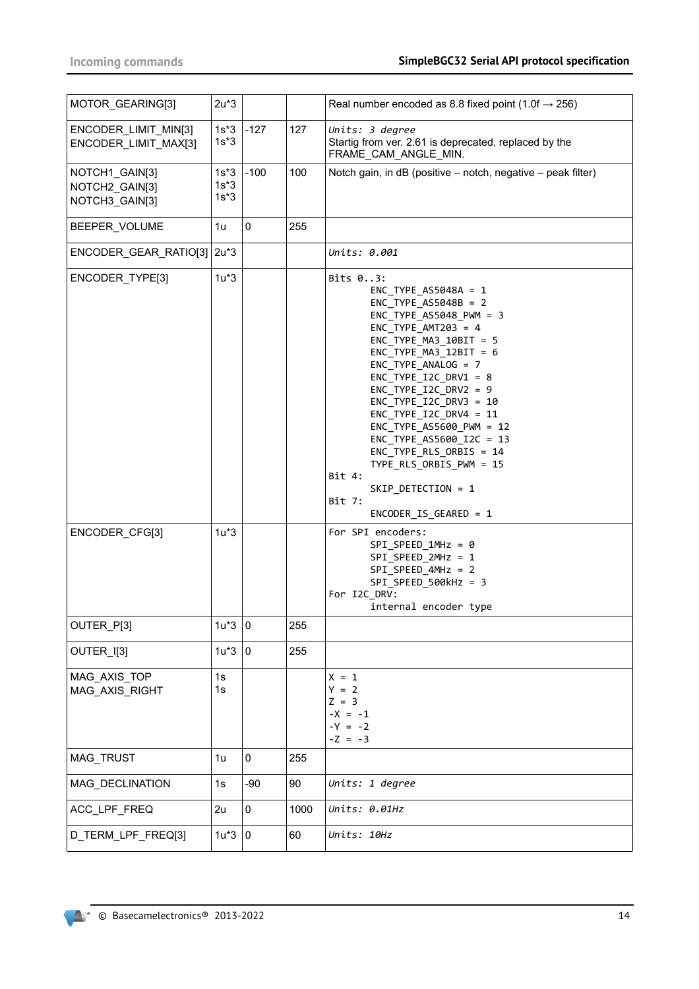| MOTOR_GEARING[3]                                   | $2u*3$                     |             |      | Real number encoded as 8.8 fixed point (1.0f $\rightarrow$ 256)                                                                                                                                                                                                                                                                                                                                                                                                                                         |
|----------------------------------------------------|----------------------------|-------------|------|---------------------------------------------------------------------------------------------------------------------------------------------------------------------------------------------------------------------------------------------------------------------------------------------------------------------------------------------------------------------------------------------------------------------------------------------------------------------------------------------------------|
| ENCODER_LIMIT_MIN[3]<br>ENCODER_LIMIT_MAX[3]       | $1s*3$<br>$1s*3$           | $-127$      | 127  | Units: 3 degree<br>Startig from ver. 2.61 is deprecated, replaced by the<br>FRAME_CAM_ANGLE_MIN.                                                                                                                                                                                                                                                                                                                                                                                                        |
| NOTCH1_GAIN[3]<br>NOTCH2_GAIN[3]<br>NOTCH3_GAIN[3] | $1s*3$<br>$1s*3$<br>$1s*3$ | $-100$      | 100  | Notch gain, in dB (positive - notch, negative - peak filter)                                                                                                                                                                                                                                                                                                                                                                                                                                            |
| BEEPER VOLUME                                      | 1u                         | $\pmb{0}$   | 255  |                                                                                                                                                                                                                                                                                                                                                                                                                                                                                                         |
| ENCODER_GEAR_RATIO[3] 2u*3                         |                            |             |      | Units: 0.001                                                                                                                                                                                                                                                                                                                                                                                                                                                                                            |
| ENCODER_TYPE[3]                                    | $1u*3$                     |             |      | Bits 03:<br>ENC TYPE $AS5048A = 1$<br>$ENC_$ TYPE_AS5048B = 2<br>$ENC_TYPE_ASS048_PWM = 3$<br>ENC TYPE $AMT203 = 4$<br>ENC TYPE MA3 $10BIT = 5$<br>$ENC_$ TYPE_MA3_12BIT = 6<br>$ENC_$ TYPE_ANALOG = 7<br>$ENC_TYPE_IZC_DRV1 = 8$<br>$ENC_TYPE_I2C_DRV2 = 9$<br>ENC TYPE I2C DRV3 = $10$<br>$ENC_TYPE_IZC_DRV4 = 11$<br>ENC TYPE AS5600 PWM = 12<br>ENC_TYPE_AS5600_I2C = 13<br>ENC_TYPE_RLS_ORBIS = 14<br>TYPE_RLS_ORBIS_PWM = 15<br>Bit 4:<br>SKIP_DETECTION = 1<br>Bit 7:<br>$ENCODER_IS_GEARED = 1$ |
| ENCODER_CFG[3]                                     | $1u*3$                     |             |      | For SPI encoders:<br>$SPI\_SPEED_1MHz = 0$<br>$SPI\_SPEED_2MHz = 1$<br>$SPI\_SPEED_4MHz = 2$<br>SPI SPEED 500kHz = 3<br>For I2C_DRV:<br>internal encoder type                                                                                                                                                                                                                                                                                                                                           |
| OUTER_P[3]                                         | $1u*3 0$                   |             | 255  |                                                                                                                                                                                                                                                                                                                                                                                                                                                                                                         |
| OUTER_I[3]                                         | $1u*3$                     | 0           | 255  |                                                                                                                                                                                                                                                                                                                                                                                                                                                                                                         |
| MAG_AXIS_TOP<br>MAG_AXIS_RIGHT                     | 1s<br>1s                   |             |      | $X = 1$<br>$Y = 2$<br>$Z = 3$<br>$-X = -1$<br>$-Y = -2$<br>$-Z = -3$                                                                                                                                                                                                                                                                                                                                                                                                                                    |
| MAG_TRUST                                          | 1u                         | $\mathbf 0$ | 255  |                                                                                                                                                                                                                                                                                                                                                                                                                                                                                                         |
| MAG_DECLINATION                                    | 1s                         | $-90$       | 90   | Units: 1 degree                                                                                                                                                                                                                                                                                                                                                                                                                                                                                         |
| ACC_LPF_FREQ                                       | 2u                         | 0           | 1000 | Units: 0.01Hz                                                                                                                                                                                                                                                                                                                                                                                                                                                                                           |
| D_TERM_LPF_FREQ[3]                                 | $1u*3$                     | 0           | 60   | Units: 10Hz                                                                                                                                                                                                                                                                                                                                                                                                                                                                                             |

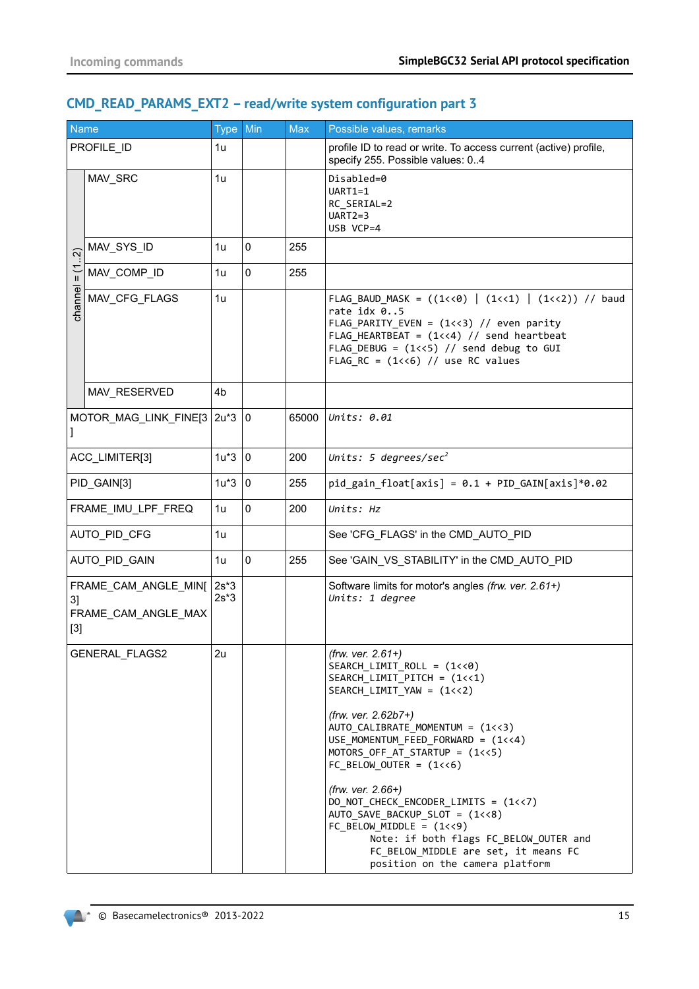# **CMD\_READ\_PARAMS\_EXT2 – read/write system configuration part 3**

| Name          |                                             | <b>Type</b>      | Min         | <b>Max</b> | Possible values, remarks                                                                                                                                                                                                                                                                                                                                                                                                                                                                                                                                     |
|---------------|---------------------------------------------|------------------|-------------|------------|--------------------------------------------------------------------------------------------------------------------------------------------------------------------------------------------------------------------------------------------------------------------------------------------------------------------------------------------------------------------------------------------------------------------------------------------------------------------------------------------------------------------------------------------------------------|
|               | PROFILE_ID                                  | 1u               |             |            | profile ID to read or write. To access current (active) profile,<br>specify 255. Possible values: 04                                                                                                                                                                                                                                                                                                                                                                                                                                                         |
|               | MAV_SRC                                     | 1u               |             |            | Disabled=0<br>$UART1=1$<br>RC_SERIAL=2<br>$UART2=3$<br>USB VCP=4                                                                                                                                                                                                                                                                                                                                                                                                                                                                                             |
| $\widehat{N}$ | MAV_SYS_ID                                  | 1u               | $\mathbf 0$ | 255        |                                                                                                                                                                                                                                                                                                                                                                                                                                                                                                                                                              |
| $\frac{1}{1}$ | MAV_COMP_ID                                 | 1u               | $\mathbf 0$ | 255        |                                                                                                                                                                                                                                                                                                                                                                                                                                                                                                                                                              |
| channel       | MAV_CFG_FLAGS                               | 1u               |             |            | FLAG_BAUD_MASK = ((1<<0)   (1<<1)   (1<<2)) // baud<br>rate idx 05<br>$FLAG_PARITY_EVEN = (1<<3)$ // even parity<br>FLAG_HEARTBEAT = $(1<<4)$ // send heartbeat<br>FLAG_DEBUG = $(1\left\langle 5\right\rangle)$ // send debug to GUI<br>FLAG RC = $(1 < 6)$ // use RC values                                                                                                                                                                                                                                                                                |
|               | MAV_RESERVED                                | 4b               |             |            |                                                                                                                                                                                                                                                                                                                                                                                                                                                                                                                                                              |
|               | MOTOR_MAG_LINK_FINE[3                       | $2u*3$           | 0           | 65000      | Units: $0.01$                                                                                                                                                                                                                                                                                                                                                                                                                                                                                                                                                |
|               | ACC_LIMITER[3]                              | $1u*3$           | 0           | 200        | Units: 5 degrees/sec <sup>2</sup>                                                                                                                                                                                                                                                                                                                                                                                                                                                                                                                            |
| PID_GAIN[3]   |                                             | $1u*3$           | $\mathbf 0$ | 255        | $pid\_gain\_float[axis] = 0.1 + PID_GAIN[axis]*0.02$                                                                                                                                                                                                                                                                                                                                                                                                                                                                                                         |
|               | FRAME_IMU_LPF_FREQ                          | 1u               | $\mathbf 0$ | 200        | Units: Hz                                                                                                                                                                                                                                                                                                                                                                                                                                                                                                                                                    |
|               | AUTO_PID_CFG                                | 1u               |             |            | See 'CFG_FLAGS' in the CMD_AUTO_PID                                                                                                                                                                                                                                                                                                                                                                                                                                                                                                                          |
|               | AUTO_PID_GAIN                               | 1u               | $\mathbf 0$ | 255        | See 'GAIN_VS_STABILITY' in the CMD_AUTO_PID                                                                                                                                                                                                                                                                                                                                                                                                                                                                                                                  |
| 31<br>$[3]$   | FRAME_CAM_ANGLE_MIN[<br>FRAME CAM ANGLE MAX | $2s*3$<br>$2s*3$ |             |            | Software limits for motor's angles (frw. ver. 2.61+)<br>Units: 1 degree                                                                                                                                                                                                                                                                                                                                                                                                                                                                                      |
|               | GENERAL_FLAGS2                              | 2u               |             |            | (frw. ver. $2.61+$ )<br>SEARCH LIMIT ROLL = $(1\langle 8 \rangle)$<br>$SEARCH$ $LIMIT$ $PITCH = (1<<1)$<br>$SEARCH_LIMIT_YAW = (1<<2)$<br>$(frw. ver. 2.62b7+)$<br>AUTO_CALIBRATE_MOMENTUM = (1<<3)<br>USE_MOMENTUM_FEED_FORWARD = (1<<4)<br>MOTORS_OFF_AT_STARTUP = (1<<5)<br>$FC_BELOW_OUTER = (1<<6)$<br>$(frw. ver. 2.66+)$<br>DO_NOT_CHECK_ENCODER_LIMITS = (1<<7)<br>AUTO_SAVE_BACKUP_SLOT = (1<<8)<br>$FC_BELOW_MIDDLE = (1<<9)$<br>Note: if both flags FC_BELOW_OUTER and<br>FC_BELOW_MIDDLE are set, it means FC<br>position on the camera platform |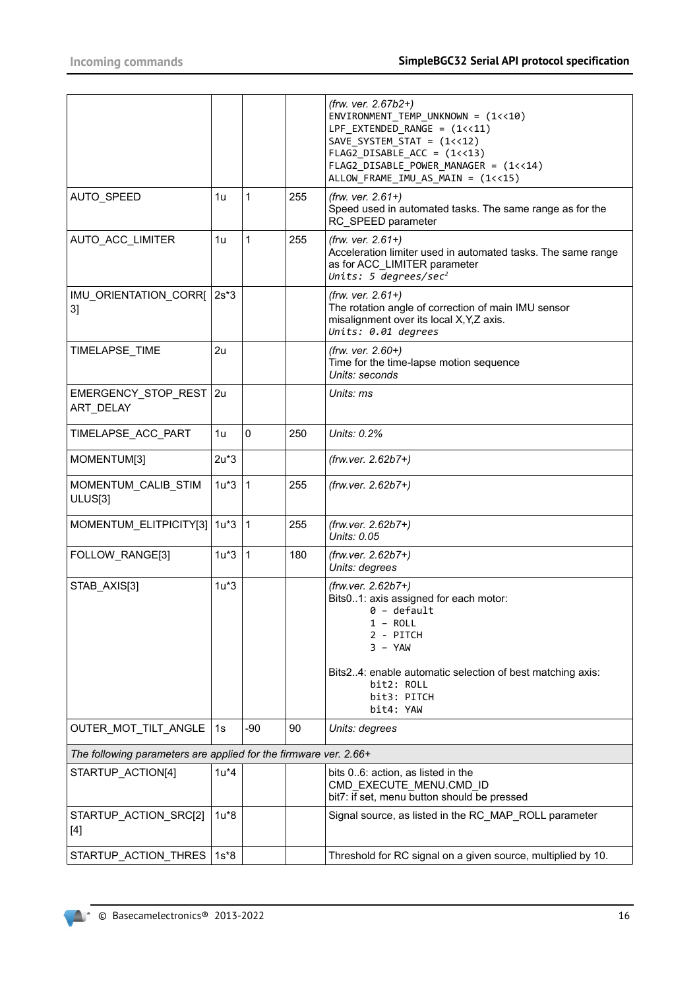|                                                                  |         |              |     | (frw. ver. 2.67b2+)<br>ENVIRONMENT_TEMP_UNKNOWN = (1<<10)<br>LPF EXTENDED RANGE = $(1\left\langle 11\right\rangle )$<br>$SAVE_SYSTEM_STAT = (1<<12)$<br>$FLAG2_DISABLE_ACC = (1<<13)$<br>FLAG2_DISABLE_POWER_MANAGER = (1<<14)<br>ALLOW_FRAME_IMU_AS_MAIN = (1<<15) |
|------------------------------------------------------------------|---------|--------------|-----|---------------------------------------------------------------------------------------------------------------------------------------------------------------------------------------------------------------------------------------------------------------------|
| AUTO_SPEED                                                       | 1u      | 1            | 255 | (frw. ver. 2.61+)<br>Speed used in automated tasks. The same range as for the<br>RC_SPEED parameter                                                                                                                                                                 |
| AUTO_ACC_LIMITER                                                 | 1u      | 1            | 255 | $(frw. ver. 2.61+)$<br>Acceleration limiter used in automated tasks. The same range<br>as for ACC_LIMITER parameter<br>Units: 5 degrees/sec <sup>2</sup>                                                                                                            |
| IMU_ORIENTATION_CORR[<br>3]                                      | $2s*3$  |              |     | $(frw. ver. 2.61+)$<br>The rotation angle of correction of main IMU sensor<br>misalignment over its local X, Y, Z axis.<br>Units: 0.01 degrees                                                                                                                      |
| TIMELAPSE_TIME                                                   | 2u      |              |     | (frw. ver. 2.60+)<br>Time for the time-lapse motion sequence<br>Units: seconds                                                                                                                                                                                      |
| EMERGENCY_STOP_REST   2u<br>ART DELAY                            |         |              |     | Units: ms                                                                                                                                                                                                                                                           |
| TIMELAPSE_ACC_PART                                               | 1u      | $\mathbf 0$  | 250 | Units: 0.2%                                                                                                                                                                                                                                                         |
| MOMENTUM[3]                                                      | $2u*3$  |              |     | $(frw. ver. 2.62b7+)$                                                                                                                                                                                                                                               |
| MOMENTUM_CALIB_STIM<br>ULUS[3]                                   | $1u*3$  | $\vert$ 1    | 255 | (frw.ver. 2.62b7+)                                                                                                                                                                                                                                                  |
| MOMENTUM_ELITPICITY[3]                                           | $1u*3$  | $\mathbf{1}$ | 255 | (frw.ver. 2.62b7+)<br>Units: 0.05                                                                                                                                                                                                                                   |
| FOLLOW_RANGE[3]                                                  | $1u*3$  | $\vert$ 1    | 180 | (frw.ver. 2.62b7+)<br>Units: degrees                                                                                                                                                                                                                                |
| STAB_AXIS[3]                                                     | $1u*3$  |              |     | (frw.ver. 2.62b7+)<br>Bits01: axis assigned for each motor:<br>$0 -$ default<br>1 - ROLL<br>2 - PITCH<br>$3 - YAW$<br>Bits24: enable automatic selection of best matching axis:<br>bit2: ROLL<br>bit3: PITCH<br>bit4: YAW                                           |
| OUTER_MOT_TILT_ANGLE                                             | 1s      | $-90$        | 90  | Units: degrees                                                                                                                                                                                                                                                      |
| The following parameters are applied for the firmware ver. 2.66+ |         |              |     |                                                                                                                                                                                                                                                                     |
| STARTUP ACTION[4]                                                | $1u^*4$ |              |     | bits 06: action, as listed in the<br>CMD_EXECUTE_MENU.CMD_ID<br>bit7: if set, menu button should be pressed                                                                                                                                                         |
| STARTUP_ACTION_SRC[2]<br>$[4]$                                   | $1u*8$  |              |     | Signal source, as listed in the RC_MAP_ROLL parameter                                                                                                                                                                                                               |
| STARTUP_ACTION_THRES                                             | 1s*8    |              |     | Threshold for RC signal on a given source, multiplied by 10.                                                                                                                                                                                                        |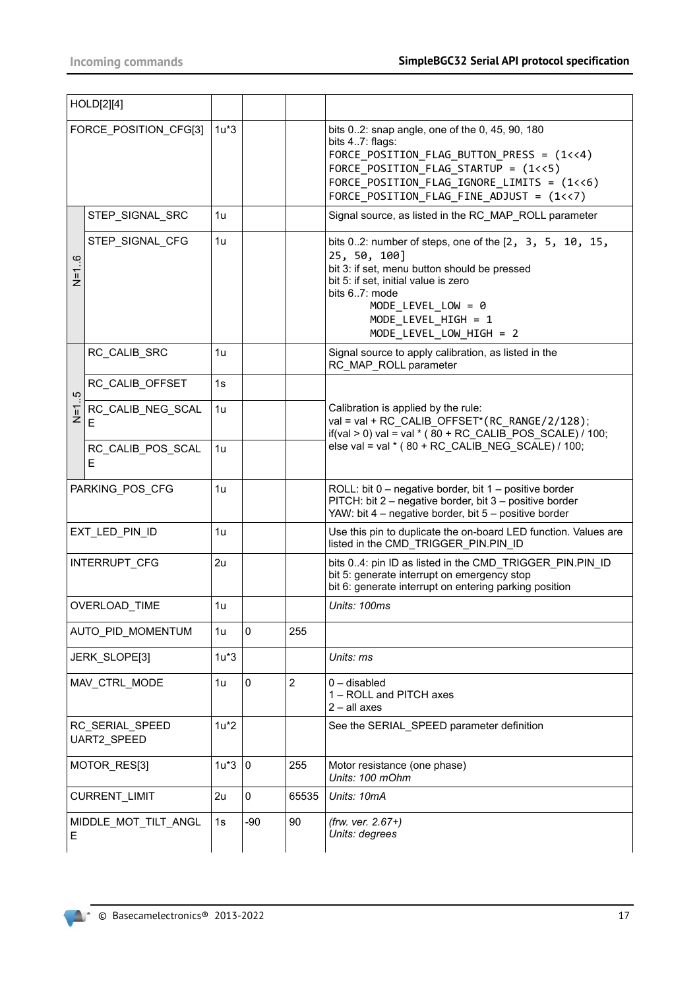|         | HOLD[2][4]                     |                |             |                |                                                                                                                                                                                                                                                              |
|---------|--------------------------------|----------------|-------------|----------------|--------------------------------------------------------------------------------------------------------------------------------------------------------------------------------------------------------------------------------------------------------------|
|         | FORCE POSITION CFG[3]          | $1u*3$         |             |                | bits 02: snap angle, one of the 0, 45, 90, 180<br>bits 47: flags:<br>FORCE POSITION FLAG BUTTON PRESS = $(1\ltimes 4)$<br>FORCE_POSITION_FLAG_STARTUP = (1<<5)<br>FORCE_POSITION_FLAG_IGNORE_LIMITS = (1<<6)<br>FORCE_POSITION_FLAG_FINE_ADJUST = (1<<7)     |
|         | STEP_SIGNAL_SRC                | 1u             |             |                | Signal source, as listed in the RC_MAP_ROLL parameter                                                                                                                                                                                                        |
| $N=1.6$ | STEP_SIGNAL_CFG                | 1u             |             |                | bits 02: number of steps, one of the $[2, 3, 5, 10, 15,$<br>25, 50, 100]<br>bit 3: if set, menu button should be pressed<br>bit 5: if set, initial value is zero<br>bits 67: mode<br>$MODE$ _LEVEL_LOW = 0<br>MODE LEVEL HIGH = 1<br>MODE LEVEL LOW HIGH = 2 |
|         | RC_CALIB_SRC                   | 1u             |             |                | Signal source to apply calibration, as listed in the<br>RC MAP ROLL parameter                                                                                                                                                                                |
| 5       | RC CALIB OFFSET                | 1s             |             |                |                                                                                                                                                                                                                                                              |
| $N=1$   | RC CALIB NEG SCAL<br>F         | 1 <sub>u</sub> |             |                | Calibration is applied by the rule:<br>val = val + RC CALIB OFFSET* (RC RANGE/2/128);<br>if(val > 0) val = val $*(80 + RC$ CALIB POS SCALE) / 100;                                                                                                           |
|         | RC_CALIB_POS_SCAL<br>Е         | 1 <sub>u</sub> |             |                | else val = val * ( $80 + RC$ CALIB NEG SCALE) / 100;                                                                                                                                                                                                         |
|         | PARKING_POS_CFG                | 1u             |             |                | ROLL: bit $0$ – negative border, bit $1$ – positive border<br>PITCH: bit 2 - negative border, bit 3 - positive border<br>YAW: bit 4 - negative border, bit 5 - positive border                                                                               |
|         | EXT_LED_PIN_ID                 | 1u             |             |                | Use this pin to duplicate the on-board LED function. Values are<br>listed in the CMD_TRIGGER_PIN.PIN_ID                                                                                                                                                      |
|         | INTERRUPT_CFG                  | 2u             |             |                | bits 04: pin ID as listed in the CMD TRIGGER PIN.PIN ID<br>bit 5: generate interrupt on emergency stop<br>bit 6: generate interrupt on entering parking position                                                                                             |
|         | OVERLOAD_TIME                  | 1u             |             |                | Units: 100ms                                                                                                                                                                                                                                                 |
|         | AUTO_PID_MOMENTUM              | 1u             | 0           | 255            |                                                                                                                                                                                                                                                              |
|         | JERK_SLOPE[3]                  | $1u*3$         |             |                | Units: ms                                                                                                                                                                                                                                                    |
|         | MAV_CTRL_MODE                  | 1 <sub>u</sub> | 0           | $\overline{2}$ | $0 -$ disabled<br>1 - ROLL and PITCH axes<br>$2 - all axes$                                                                                                                                                                                                  |
|         | RC_SERIAL_SPEED<br>UART2_SPEED | $1u*2$         |             |                | See the SERIAL_SPEED parameter definition                                                                                                                                                                                                                    |
|         | MOTOR_RES[3]                   | $1u*3$         | $\mathbf 0$ | 255            | Motor resistance (one phase)<br>Units: 100 mOhm                                                                                                                                                                                                              |
|         | CURRENT_LIMIT                  | 2u             | 0           | 65535          | Units: 10mA                                                                                                                                                                                                                                                  |
| E.      | MIDDLE_MOT_TILT_ANGL           | 1s             | $-90$       | 90             | (frw. ver. 2.67+)<br>Units: degrees                                                                                                                                                                                                                          |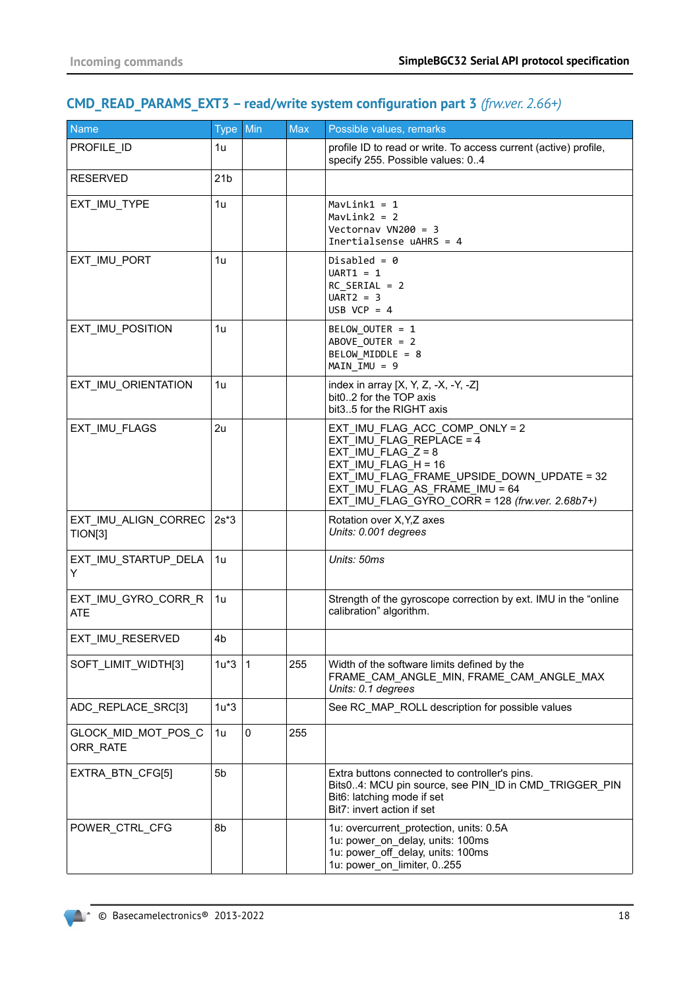# **CMD\_READ\_PARAMS\_EXT3 – read/write system configuration part 3** *(frw.ver. 2.66+)*

| <b>Name</b>                       | Type Min        |              | <b>Max</b> | Possible values, remarks                                                                                                                                                                                                                         |
|-----------------------------------|-----------------|--------------|------------|--------------------------------------------------------------------------------------------------------------------------------------------------------------------------------------------------------------------------------------------------|
| PROFILE ID                        | 1u              |              |            | profile ID to read or write. To access current (active) profile,<br>specify 255. Possible values: 04                                                                                                                                             |
| <b>RESERVED</b>                   | 21 <sub>b</sub> |              |            |                                                                                                                                                                                                                                                  |
| EXT_IMU_TYPE                      | 1u              |              |            | $MavLink1 = 1$<br>$MavLink2 = 2$<br>Vectornav VN200 = $3$<br>Inertialsense $u$ AHRS = 4                                                                                                                                                          |
| EXT_IMU_PORT                      | 1u              |              |            | Disabled = $\theta$<br>$UART1 = 1$<br>$RC$ SERIAL = 2<br>$UART2 = 3$<br>USB VCP = $4$                                                                                                                                                            |
| EXT_IMU_POSITION                  | 1u              |              |            | BELOW_OUTER = 1<br>ABOVE OUTER = 2<br>BELOW MIDDLE = 8<br>$MAIN$ $IMU = 9$                                                                                                                                                                       |
| EXT_IMU_ORIENTATION               | 1u              |              |            | index in array $[X, Y, Z, -X, -Y, -Z]$<br>bit02 for the TOP axis<br>bit35 for the RIGHT axis                                                                                                                                                     |
| EXT IMU FLAGS                     | 2u              |              |            | EXT IMU FLAG ACC COMP ONLY = 2<br>EXT IMU FLAG REPLACE = $4$<br>EXT_IMU_FLAG_Z = $8$<br>EXT IMU FLAG $H = 16$<br>EXT IMU FLAG FRAME UPSIDE DOWN UPDATE = 32<br>EXT IMU FLAG AS FRAME IMU = 64<br>EXT_IMU_FLAG_GYRO_CORR = 128 (frw.ver. 2.68b7+) |
| EXT_IMU_ALIGN_CORREC<br>TION[3]   | $2s*3$          |              |            | Rotation over X, Y, Z axes<br>Units: 0.001 degrees                                                                                                                                                                                               |
| EXT_IMU_STARTUP_DELA<br>Y         | 1u              |              |            | Units: 50ms                                                                                                                                                                                                                                      |
| EXT_IMU_GYRO_CORR_R<br><b>ATE</b> | 1u              |              |            | Strength of the gyroscope correction by ext. IMU in the "online<br>calibration" algorithm.                                                                                                                                                       |
| EXT_IMU_RESERVED                  | 4 <sub>b</sub>  |              |            |                                                                                                                                                                                                                                                  |
| SOFT_LIMIT_WIDTH[3]               | $1u*3$          | $\mathbf{1}$ | 255        | Width of the software limits defined by the<br>FRAME CAM ANGLE MIN, FRAME CAM ANGLE MAX<br>Units: 0.1 degrees                                                                                                                                    |
| ADC_REPLACE_SRC[3]                | $1u*3$          |              |            | See RC_MAP_ROLL description for possible values                                                                                                                                                                                                  |
| GLOCK_MID_MOT_POS_C<br>ORR_RATE   | 1u              | $\pmb{0}$    | 255        |                                                                                                                                                                                                                                                  |
| EXTRA_BTN_CFG[5]                  | 5 <sub>b</sub>  |              |            | Extra buttons connected to controller's pins.<br>Bits04: MCU pin source, see PIN_ID in CMD_TRIGGER_PIN<br>Bit6: latching mode if set<br>Bit7: invert action if set                                                                               |
| POWER_CTRL_CFG                    | 8b              |              |            | 1u: overcurrent_protection, units: 0.5A<br>1u: power_on_delay, units: 100ms<br>1u: power_off_delay, units: 100ms<br>1u: power_on_limiter, 0255                                                                                                   |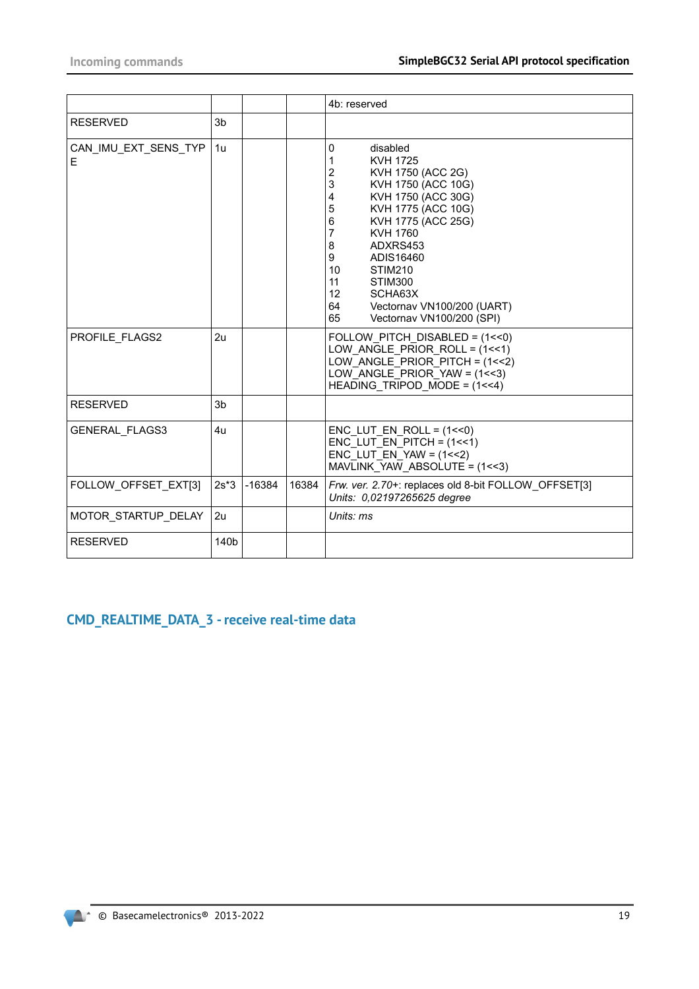|                           |                |          |       | 4b: reserved                                                                                                                                                                                                                                                                                                                                                                                 |
|---------------------------|----------------|----------|-------|----------------------------------------------------------------------------------------------------------------------------------------------------------------------------------------------------------------------------------------------------------------------------------------------------------------------------------------------------------------------------------------------|
| <b>RESERVED</b>           | 3 <sub>b</sub> |          |       |                                                                                                                                                                                                                                                                                                                                                                                              |
| CAN IMU EXT SENS TYP<br>Е | 1u             |          |       | disabled<br>0<br>1<br><b>KVH 1725</b><br>$\overline{\mathbf{c}}$<br>KVH 1750 (ACC 2G)<br>3<br>KVH 1750 (ACC 10G)<br>KVH 1750 (ACC 30G)<br>4<br>5<br>KVH 1775 (ACC 10G)<br>KVH 1775 (ACC 25G)<br>6<br>7<br>KVH 1760<br>8<br>ADXRS453<br>9<br>ADIS16460<br>10<br>STIM210<br>11<br>STIM300<br>12 <sup>2</sup><br>SCHA63X<br>Vectornav VN100/200 (UART)<br>64<br>Vectornav VN100/200 (SPI)<br>65 |
| PROFILE FLAGS2            | 2u             |          |       | FOLLOW PITCH DISABLED = $(1<0)$<br>LOW ANGLE PRIOR ROLL = $(1<<1)$<br>LOW ANGLE PRIOR PITCH = $(1<<2)$<br>LOW ANGLE PRIOR YAW = $(1 < 3)$<br>HEADING TRIPOD MODE = $(1<<4)$                                                                                                                                                                                                                  |
| <b>RESERVED</b>           | 3b             |          |       |                                                                                                                                                                                                                                                                                                                                                                                              |
| <b>GENERAL FLAGS3</b>     | 4u             |          |       | $ENC$ LUT $EN$ ROLL = $(1<<0)$<br>ENC LUT EN PITCH = $(1<<1)$<br>ENC LUT EN YAW = $(1<<2)$<br>MAVLINK YAW ABSOLUTE = $(1 < 3)$                                                                                                                                                                                                                                                               |
| FOLLOW OFFSET EXT[3]      | $2s*3$         | $-16384$ | 16384 | Frw. ver. 2.70+: replaces old 8-bit FOLLOW_OFFSET[3]<br>Units: 0,02197265625 degree                                                                                                                                                                                                                                                                                                          |
| MOTOR_STARTUP_DELAY       | 2u             |          |       | Units: ms                                                                                                                                                                                                                                                                                                                                                                                    |
| <b>RESERVED</b>           | 140b           |          |       |                                                                                                                                                                                                                                                                                                                                                                                              |

# **CMD\_REALTIME\_DATA\_3 - receive real-time data**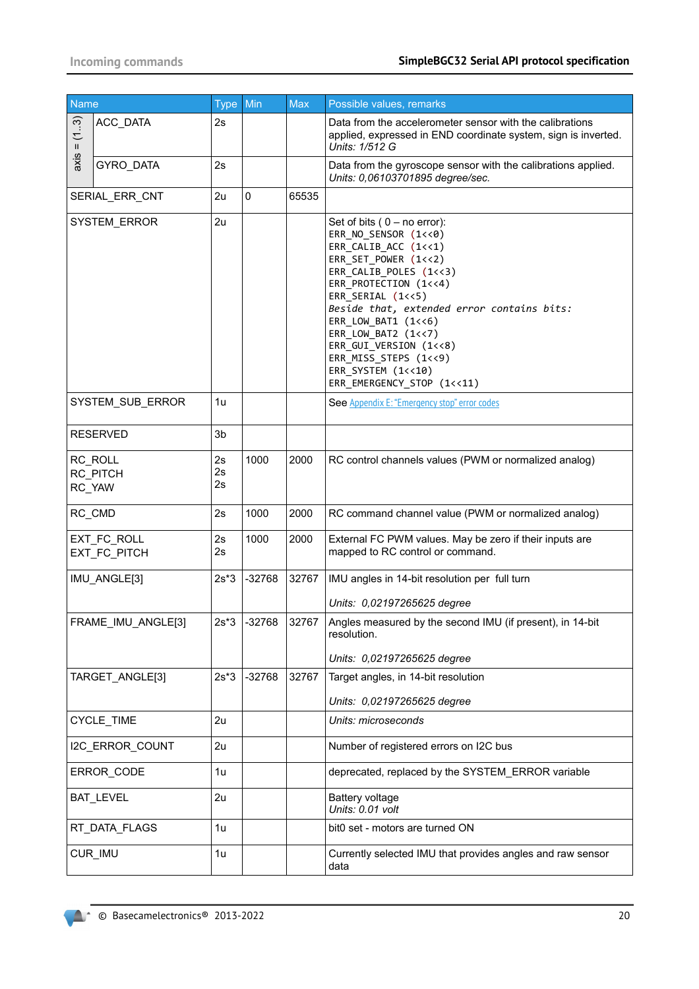| Name         |                               | Type Min       |             | <b>Max</b> | Possible values, remarks                                                                                                                                                                                                                                                                                                                                                          |
|--------------|-------------------------------|----------------|-------------|------------|-----------------------------------------------------------------------------------------------------------------------------------------------------------------------------------------------------------------------------------------------------------------------------------------------------------------------------------------------------------------------------------|
| (13)<br>Ш    | ACC DATA                      | 2s             |             |            | Data from the accelerometer sensor with the calibrations<br>applied, expressed in END coordinate system, sign is inverted.<br>Units: 1/512 G                                                                                                                                                                                                                                      |
| axis         | <b>GYRO DATA</b>              | 2s             |             |            | Data from the gyroscope sensor with the calibrations applied.<br>Units: 0,06103701895 degree/sec.                                                                                                                                                                                                                                                                                 |
|              | SERIAL_ERR_CNT                | 2u             | $\mathbf 0$ | 65535      |                                                                                                                                                                                                                                                                                                                                                                                   |
| SYSTEM_ERROR |                               | 2u             |             |            | Set of bits $(0 - no error)$ :<br>ERR_NO_SENSOR (1<<0)<br>ERR_CALIB_ACC (1<<1)<br>ERR SET POWER (1<<2)<br>ERR_CALIB_POLES (1<<3)<br>ERR_PROTECTION (1<<4)<br>ERR_SERIAL (1<<5)<br>Beside that, extended error contains bits:<br>ERR_LOW_BAT1 (1<<6)<br>ERR LOW BAT2 (1<<7)<br>ERR GUI VERSION (1<<8)<br>ERR_MISS_STEPS (1<<9)<br>ERR_SYSTEM (1<<10)<br>ERR_EMERGENCY_STOP (1<<11) |
|              | SYSTEM_SUB_ERROR              | 1u             |             |            | See Appendix E: "Emergency stop" error codes                                                                                                                                                                                                                                                                                                                                      |
|              | <b>RESERVED</b>               | 3b             |             |            |                                                                                                                                                                                                                                                                                                                                                                                   |
|              | RC_ROLL<br>RC PITCH<br>RC_YAW | 2s<br>2s<br>2s | 1000        | 2000       | RC control channels values (PWM or normalized analog)                                                                                                                                                                                                                                                                                                                             |
|              | RC_CMD                        | 2s             | 1000        | 2000       | RC command channel value (PWM or normalized analog)                                                                                                                                                                                                                                                                                                                               |
|              | EXT_FC_ROLL<br>EXT FC PITCH   | 2s<br>2s       | 1000        | 2000       | External FC PWM values. May be zero if their inputs are<br>mapped to RC control or command.                                                                                                                                                                                                                                                                                       |
|              | IMU_ANGLE[3]                  | $2s*3$         | $-32768$    | 32767      | IMU angles in 14-bit resolution per full turn<br>Units: 0,02197265625 degree                                                                                                                                                                                                                                                                                                      |
|              | FRAME_IMU_ANGLE[3]            | $2s*3$         | $-32768$    | 32767      | Angles measured by the second IMU (if present), in 14-bit<br>resolution.<br>Units: 0,02197265625 degree                                                                                                                                                                                                                                                                           |
|              | TARGET_ANGLE[3]               | $2s*3$         | $-32768$    | 32767      | Target angles, in 14-bit resolution                                                                                                                                                                                                                                                                                                                                               |
|              | CYCLE_TIME                    | 2u             |             |            | Units: 0,02197265625 degree<br>Units: microseconds                                                                                                                                                                                                                                                                                                                                |
|              | I2C_ERROR_COUNT               | 2u             |             |            | Number of registered errors on I2C bus                                                                                                                                                                                                                                                                                                                                            |
|              |                               |                |             |            |                                                                                                                                                                                                                                                                                                                                                                                   |
|              | ERROR CODE                    | 1u             |             |            | deprecated, replaced by the SYSTEM_ERROR variable                                                                                                                                                                                                                                                                                                                                 |
|              | BAT_LEVEL                     | 2u             |             |            | Battery voltage<br>Units: 0.01 volt                                                                                                                                                                                                                                                                                                                                               |
|              | RT_DATA_FLAGS                 | 1u             |             |            | bit0 set - motors are turned ON                                                                                                                                                                                                                                                                                                                                                   |
|              | CUR_IMU                       | 1u             |             |            | Currently selected IMU that provides angles and raw sensor<br>data                                                                                                                                                                                                                                                                                                                |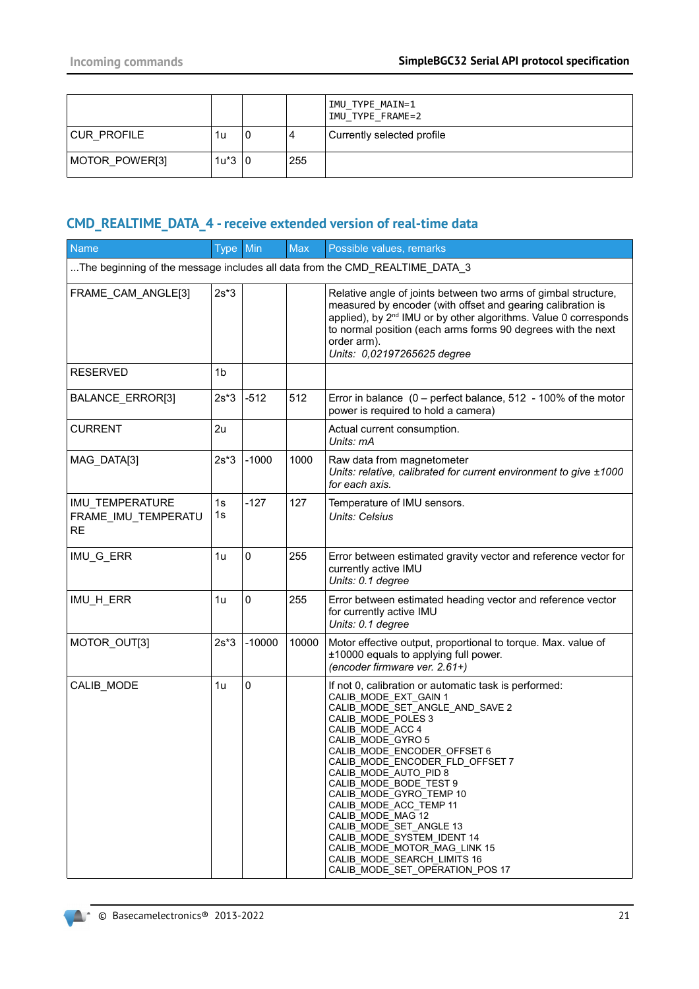|                |          |   |     | IMU TYPE MAIN=1<br>IMU TYPE FRAME=2 |
|----------------|----------|---|-----|-------------------------------------|
| CUR PROFILE    | 1u       | 0 | 4   | Currently selected profile          |
| MOTOR POWER[3] | $1u*3 0$ |   | 255 |                                     |

# **CMD\_REALTIME\_DATA\_4 - receive extended version of real-time data**

| <b>Name</b>                                         | Type Min       |           | <b>Max</b> | Possible values, remarks                                                                                                                                                                                                                                                                                                                                                                                                                                                                                                                   |
|-----------------------------------------------------|----------------|-----------|------------|--------------------------------------------------------------------------------------------------------------------------------------------------------------------------------------------------------------------------------------------------------------------------------------------------------------------------------------------------------------------------------------------------------------------------------------------------------------------------------------------------------------------------------------------|
|                                                     |                |           |            | The beginning of the message includes all data from the CMD_REALTIME_DATA_3                                                                                                                                                                                                                                                                                                                                                                                                                                                                |
| FRAME_CAM_ANGLE[3]                                  | $2s*3$         |           |            | Relative angle of joints between two arms of gimbal structure,<br>measured by encoder (with offset and gearing calibration is<br>applied), by 2 <sup>nd</sup> IMU or by other algorithms. Value 0 corresponds<br>to normal position (each arms forms 90 degrees with the next<br>order arm).<br>Units: 0,02197265625 degree                                                                                                                                                                                                                |
| <b>RESERVED</b>                                     | 1 <sub>b</sub> |           |            |                                                                                                                                                                                                                                                                                                                                                                                                                                                                                                                                            |
| BALANCE_ERROR[3]                                    | $2s*3$         | $-512$    | 512        | Error in balance $(0 -$ perfect balance, 512 - 100% of the motor<br>power is required to hold a camera)                                                                                                                                                                                                                                                                                                                                                                                                                                    |
| <b>CURRENT</b>                                      | 2u             |           |            | Actual current consumption.<br>Units: mA                                                                                                                                                                                                                                                                                                                                                                                                                                                                                                   |
| MAG_DATA[3]                                         | $2s*3$         | $-1000$   | 1000       | Raw data from magnetometer<br>Units: relative, calibrated for current environment to give ±1000<br>for each axis.                                                                                                                                                                                                                                                                                                                                                                                                                          |
| IMU_TEMPERATURE<br>FRAME IMU TEMPERATU<br><b>RE</b> | 1s<br>1s       | $-127$    | 127        | Temperature of IMU sensors.<br>Units: Celsius                                                                                                                                                                                                                                                                                                                                                                                                                                                                                              |
| IMU_G_ERR                                           | 1u             | 0         | 255        | Error between estimated gravity vector and reference vector for<br>currently active IMU<br>Units: 0.1 degree                                                                                                                                                                                                                                                                                                                                                                                                                               |
| IMU_H_ERR                                           | 1u             | $\pmb{0}$ | 255        | Error between estimated heading vector and reference vector<br>for currently active IMU<br>Units: 0.1 degree                                                                                                                                                                                                                                                                                                                                                                                                                               |
| MOTOR_OUT[3]                                        | $2s*3$         | $-10000$  | 10000      | Motor effective output, proportional to torque. Max. value of<br>±10000 equals to applying full power.<br>(encoder firmware ver. 2.61+)                                                                                                                                                                                                                                                                                                                                                                                                    |
| CALIB_MODE                                          | 1u             | 0         |            | If not 0, calibration or automatic task is performed:<br>CALIB_MODE_EXT_GAIN 1<br>CALIB_MODE_SET_ANGLE_AND_SAVE 2<br>CALIB MODE POLES 3<br>CALIB_MODE_ACC 4<br>CALIB_MODE_GYRO 5<br>CALIB_MODE_ENCODER_OFFSET 6<br>CALIB_MODE_ENCODER_FLD_OFFSET 7<br>CALIB MODE AUTO PID 8<br>CALIB MODE BODE TEST 9<br>CALIB MODE GYRO TEMP 10<br>CALIB MODE ACC TEMP 11<br>CALIB MODE MAG 12<br>CALIB MODE SET ANGLE 13<br>CALIB MODE SYSTEM IDENT 14<br>CALIB MODE MOTOR MAG LINK 15<br>CALIB MODE SEARCH LIMITS 16<br>CALIB_MODE_SET_OPERATION_POS 17 |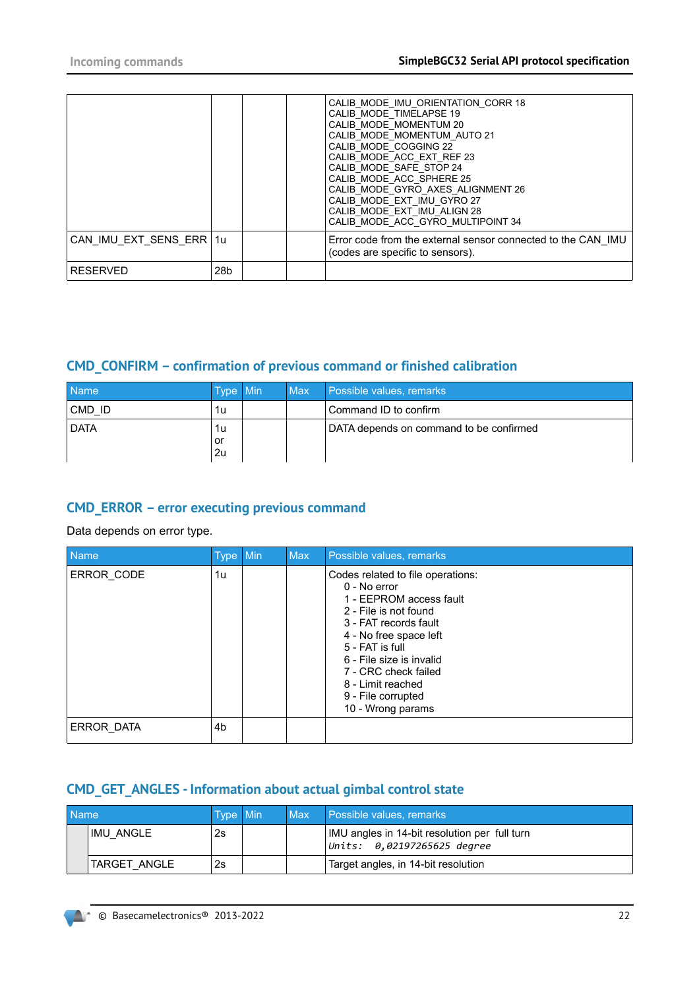|                         |     |  | CALIB MODE IMU ORIENTATION CORR 18<br>CALIB MODE TIMELAPSE 19<br>CALIB MODE MOMENTUM 20<br>CALIB MODE MOMENTUM AUTO 21<br>CALIB MODE COGGING 22<br>CALIB MODE ACC EXT REF 23<br>CALIB MODE SAFE STOP 24<br>CALIB MODE ACC SPHERE 25<br>CALIB MODE_GYRO_AXES_ALIGNMENT 26<br>CALIB MODE EXT IMU GYRO 27<br>CALIB MODE EXT IMU ALIGN 28<br>CALIB MODE ACC GYRO MULTIPOINT 34 |
|-------------------------|-----|--|----------------------------------------------------------------------------------------------------------------------------------------------------------------------------------------------------------------------------------------------------------------------------------------------------------------------------------------------------------------------------|
| CAN IMU EXT SENS ERR 1u |     |  | Error code from the external sensor connected to the CAN IMU<br>(codes are specific to sensors).                                                                                                                                                                                                                                                                           |
| <b>RESERVED</b>         | 28b |  |                                                                                                                                                                                                                                                                                                                                                                            |

# **CMD\_CONFIRM – confirmation of previous command or finished calibration**

| <b>Name</b> | Type Min | <b>Max</b> | Possible values, remarks                |
|-------------|----------|------------|-----------------------------------------|
| CMD ID      | 1u       |            | Command ID to confirm                   |
| <b>DATA</b> | 1u<br>or |            | DATA depends on command to be confirmed |
|             | 2u       |            |                                         |

# **CMD\_ERROR – error executing previous command**

Data depends on error type.

| <b>Name</b>       | Type Min | <b>Max</b> | Possible values, remarks                                                                                                                                                                                                                                                                        |
|-------------------|----------|------------|-------------------------------------------------------------------------------------------------------------------------------------------------------------------------------------------------------------------------------------------------------------------------------------------------|
| ERROR CODE        | 1u       |            | Codes related to file operations:<br>0 - No error<br>1 - EEPROM access fault<br>2 - File is not found<br>3 - FAT records fault<br>4 - No free space left<br>5 - FAT is full<br>6 - File size is invalid<br>7 - CRC check failed<br>8 - Limit reached<br>9 - File corrupted<br>10 - Wrong params |
| <b>ERROR DATA</b> | 4b       |            |                                                                                                                                                                                                                                                                                                 |

# **CMD\_GET\_ANGLES - Information about actual gimbal control state**

| <b>Name</b> |              | <b>Type Min</b> | Max | Possible values, remarks                                                     |
|-------------|--------------|-----------------|-----|------------------------------------------------------------------------------|
|             | IMU ANGLE    | 2s              |     | IMU angles in 14-bit resolution per full turn<br>Units: 0.02197265625 degree |
|             | TARGET ANGLE | 2s              |     | Target angles, in 14-bit resolution                                          |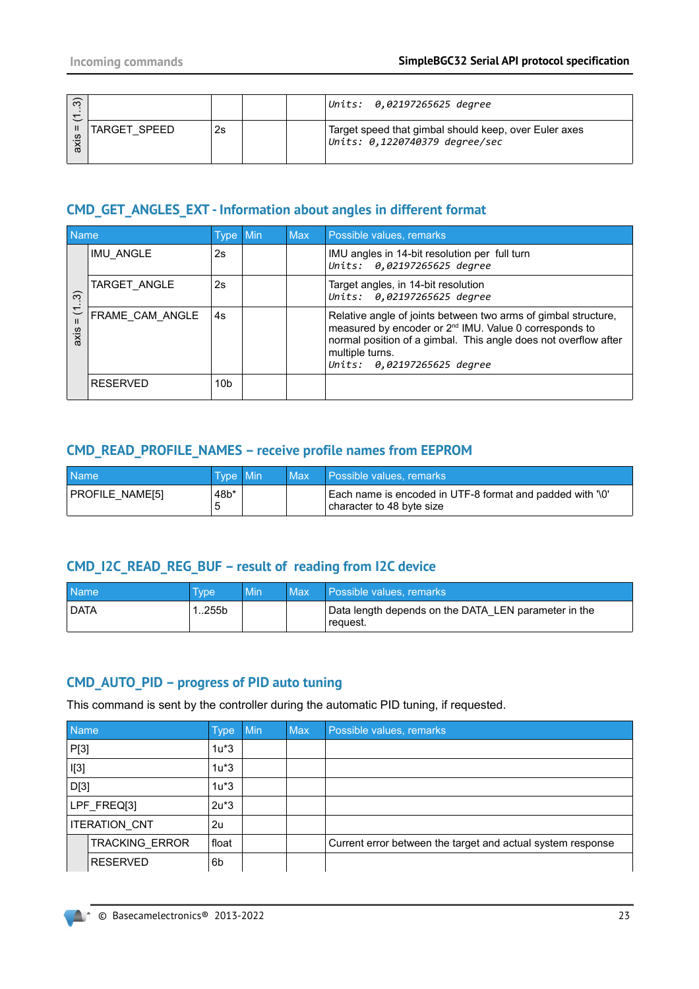| $\widehat{\infty}$<br>$\overline{\phantom{0}}$ |              |    | Units: 0,02197265625 degree                                                             |
|------------------------------------------------|--------------|----|-----------------------------------------------------------------------------------------|
| -11<br>ဖ<br>≅                                  | TARGET SPEED | 2s | Target speed that gimbal should keep, over Euler axes<br>Units: 0,1220740379 degree/sec |

# **CMD\_GET\_ANGLES\_EXT - Information about angles in different format**

| Name                     |                 | Type Min        | <b>Max</b> | Possible values, remarks                                                                                                                                                                                                                                  |
|--------------------------|-----------------|-----------------|------------|-----------------------------------------------------------------------------------------------------------------------------------------------------------------------------------------------------------------------------------------------------------|
|                          | IMU ANGLE       | 2s              |            | IMU angles in 14-bit resolution per full turn<br>Units: 0,02197265625 degree                                                                                                                                                                              |
| $\widehat{\mathfrak{G}}$ | TARGET ANGLE    | 2s              |            | Target angles, in 14-bit resolution<br>Units: 0,02197265625 degree                                                                                                                                                                                        |
| こ<br>axis                | FRAME CAM ANGLE | 4s              |            | Relative angle of joints between two arms of gimbal structure,<br>measured by encoder or 2 <sup>nd</sup> IMU. Value 0 corresponds to<br>normal position of a gimbal. This angle does not overflow after<br>multiple turns.<br>Units: 0,02197265625 degree |
|                          | <b>RESERVED</b> | 10 <sub>b</sub> |            |                                                                                                                                                                                                                                                           |

# **CMD\_READ\_PROFILE\_NAMES – receive profile names from EEPROM**

| <b>Name</b>     | Type Min | Max | Possible values, remarks                                                               |
|-----------------|----------|-----|----------------------------------------------------------------------------------------|
| PROFILE NAME[5] | .48b*    |     | Each name is encoded in UTF-8 format and padded with '\0'<br>character to 48 byte size |

# **CMD\_I2C\_READ\_REG\_BUF – result of reading from I2C device**

| <b>Name</b> | Tvpe | Min | Max | Possible values, remarks                                          |
|-------------|------|-----|-----|-------------------------------------------------------------------|
| <b>DATA</b> | 255b |     |     | Data length depends on the DATA LEN parameter in the<br>⊪reauest. |

### **CMD\_AUTO\_PID – progress of PID auto tuning**

This command is sent by the controller during the automatic PID tuning, if requested.

| <b>Name</b>          |                       | <b>Type</b> | Min | <b>Max</b> | Possible values, remarks                                    |
|----------------------|-----------------------|-------------|-----|------------|-------------------------------------------------------------|
| P[3]                 |                       | $1u*3$      |     |            |                                                             |
| $\mathsf{I}[3]$      |                       | $1u*3$      |     |            |                                                             |
| D[3]                 |                       | $1u*3$      |     |            |                                                             |
| LPF_FREQ[3]          |                       | $2u*3$      |     |            |                                                             |
| <b>ITERATION CNT</b> |                       | 2u          |     |            |                                                             |
|                      | <b>TRACKING ERROR</b> | float       |     |            | Current error between the target and actual system response |
|                      | <b>RESERVED</b>       | 6b          |     |            |                                                             |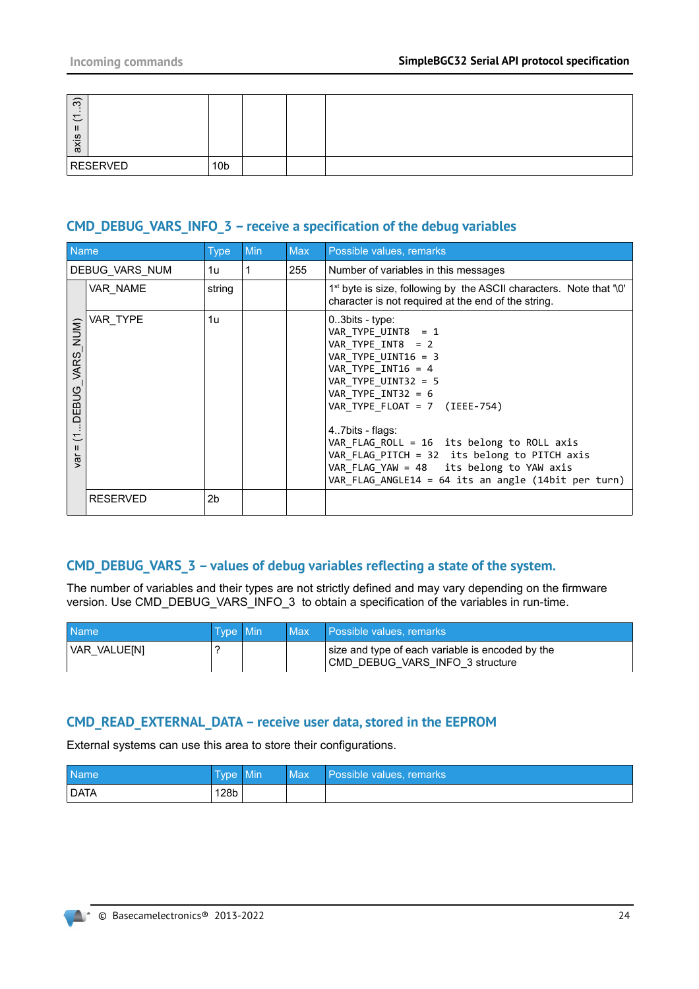| $\widehat{\infty}$<br>$\overline{ }$<br>$\overline{\phantom{0}}$<br>$\mathbf{H}$<br>axis |                 |  |  |
|------------------------------------------------------------------------------------------|-----------------|--|--|
| <b>RESERVED</b>                                                                          | 10 <sub>b</sub> |  |  |

# **CMD\_DEBUG\_VARS\_INFO\_3 – receive a specification of the debug variables**

| Name                                        |                 | <b>Type</b>    | <b>Min</b> | Max | Possible values, remarks                                                                                                                                                                                                                                                                                                                                                                                             |
|---------------------------------------------|-----------------|----------------|------------|-----|----------------------------------------------------------------------------------------------------------------------------------------------------------------------------------------------------------------------------------------------------------------------------------------------------------------------------------------------------------------------------------------------------------------------|
|                                             | DEBUG VARS NUM  | 1u             | 1          | 255 | Number of variables in this messages                                                                                                                                                                                                                                                                                                                                                                                 |
|                                             | VAR NAME        | string         |            |     | 1 <sup>st</sup> byte is size, following by the ASCII characters. Note that '\0'<br>character is not required at the end of the string.                                                                                                                                                                                                                                                                               |
| DEBUG_VARS_NUM)<br>こ<br>$\mathbf{H}$<br>ig\ | VAR TYPE        | 1u             |            |     | $0.3$ bits - type:<br>VAR_TYPE_UINT8 = 1<br>VAR TYPE INT8 = 2<br>VAR TYPE UINT16 = 3<br>VAR TYPE INT16 = $4$<br>VAR TYPE UINT32 = 5<br>VAR TYPE $INT32 = 6$<br>VAR TYPE FLOAT = 7 (IEEE-754)<br>47bits - flags:<br>$VAR$ FLAG ROLL = 16 its belong to ROLL axis<br>VAR FLAG PITCH = 32 its belong to PITCH axis<br>VAR_FLAG_YAW = 48 its belong to YAW axis<br>VAR FLAG ANGLE14 = $64$ its an angle (14bit per turn) |
|                                             | <b>RESERVED</b> | 2 <sub>b</sub> |            |     |                                                                                                                                                                                                                                                                                                                                                                                                                      |

### **CMD\_DEBUG\_VARS\_3 – values of debug variables reflecting a state of the system.**

The number of variables and their types are not strictly defined and may vary depending on the firmware version. Use CMD\_DEBUG\_VARS\_INFO\_3 to obtain a specification of the variables in run-time.

| <b>Name</b>  | <b>Type Min</b> | l Max ∃ | Possible values, remarks                                                            |
|--------------|-----------------|---------|-------------------------------------------------------------------------------------|
| VAR VALUE[N] |                 |         | size and type of each variable is encoded by the<br>CMD DEBUG VARS INFO 3 structure |

#### **CMD\_READ\_EXTERNAL\_DATA – receive user data, stored in the EEPROM**

External systems can use this area to store their configurations.

| Name | <b>Type</b>      | Min | Max | Possible values, remarks |
|------|------------------|-----|-----|--------------------------|
| DATA | 128 <sub>b</sub> |     |     |                          |

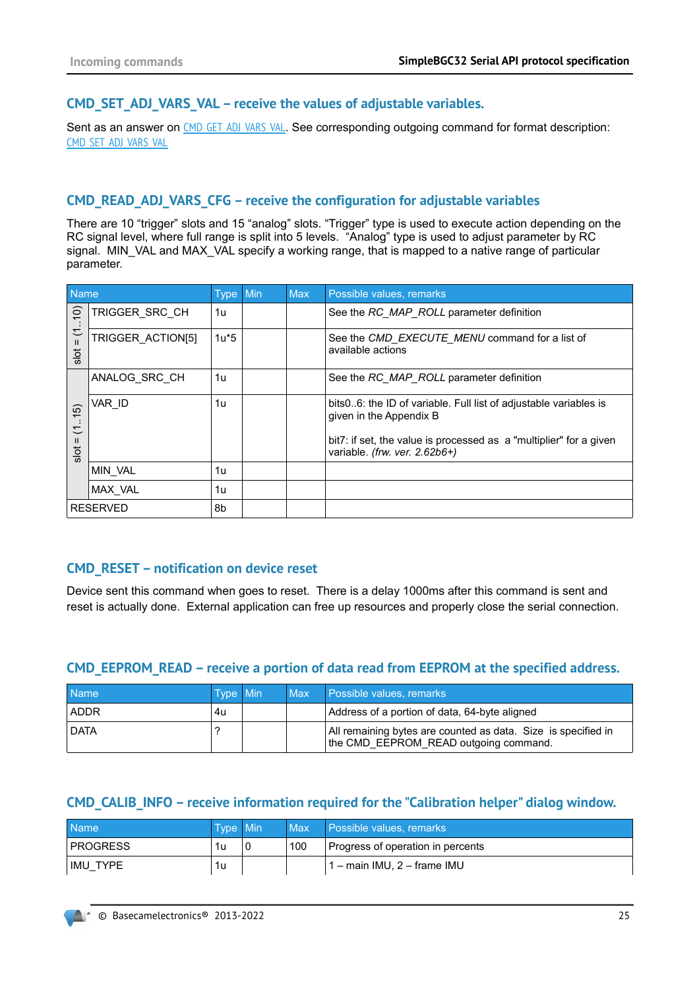### <span id="page-24-0"></span>**CMD\_SET\_ADJ\_VARS\_VAL – receive the values of adjustable variables.**

Sent as an answer on CMD GET ADJ VARS VAL. See corresponding outgoing command for format description: [CMD\\_SET\\_ADJ\\_VARS\\_VAL](#page-45-0)

### **CMD\_READ\_ADJ\_VARS\_CFG – receive the configuration for adjustable variables**

There are 10 "trigger" slots and 15 "analog" slots. "Trigger" type is used to execute action depending on the RC signal level, where full range is split into 5 levels. "Analog" type is used to adjust parameter by RC signal. MIN\_VAL and MAX\_VAL specify a working range, that is mapped to a native range of particular parameter.

| <b>Name</b>                                      |                   | Type Min | <b>Max</b> | Possible values, remarks                                                                            |
|--------------------------------------------------|-------------------|----------|------------|-----------------------------------------------------------------------------------------------------|
| $(0)$ .                                          | TRIGGER SRC CH    | 1u       |            | See the RC_MAP_ROLL parameter definition                                                            |
| $\overline{\mathcal{L}}$<br>$\mathbf{H}$<br>slot | TRIGGER ACTION[5] | $1u*5$   |            | See the CMD_EXECUTE_MENU command for a list of<br>available actions                                 |
|                                                  | ANALOG SRC CH     | 1u       |            | See the RC_MAP_ROLL parameter definition                                                            |
| <u>ົດ</u><br>$\overline{\phantom{0}}$<br>こ       | VAR ID            | 1u       |            | bits06: the ID of variable. Full list of adjustable variables is<br>given in the Appendix B         |
| $\mathbf{H}$<br>$rac{1}{2}$                      |                   |          |            | bit7: if set, the value is processed as a "multiplier" for a given<br>variable. (frw. ver. 2.62b6+) |
|                                                  | MIN VAL           | 1u       |            |                                                                                                     |
|                                                  | MAX VAL           | 1u       |            |                                                                                                     |
|                                                  | <b>RESERVED</b>   | 8b       |            |                                                                                                     |

### **CMD\_RESET – notification on device reset**

Device sent this command when goes to reset. There is a delay 1000ms after this command is sent and reset is actually done. External application can free up resources and properly close the serial connection.

### **CMD\_EEPROM\_READ – receive a portion of data read from EEPROM at the specified address.**

| <b>Name</b> | Type Min | Max | Possible values, remarks                                                                               |
|-------------|----------|-----|--------------------------------------------------------------------------------------------------------|
| <b>ADDR</b> | 4u       |     | Address of a portion of data, 64-byte aligned                                                          |
| <b>DATA</b> |          |     | All remaining bytes are counted as data. Size is specified in<br>the CMD EEPROM READ outgoing command. |

### **CMD\_CALIB\_INFO – receive information required for the "Calibration helper" dialog window.**

| <b>Name</b>      | Type Min | Max | <b>Possible values, remarks</b>   |
|------------------|----------|-----|-----------------------------------|
| <b>IPROGRESS</b> | 1u       | 100 | Progress of operation in percents |
| IMU TYPE         | 1u       |     | 1 – main IMU, 2 – frame IMU       |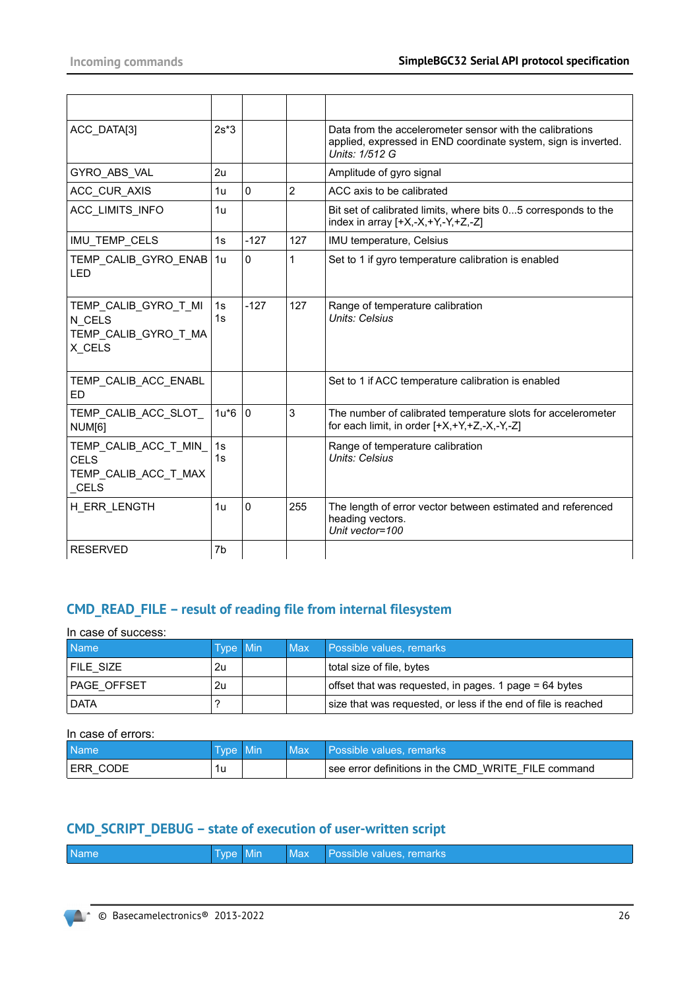| ACC DATA[3]                                                          | $2s*3$   |              |                | Data from the accelerometer sensor with the calibrations<br>applied, expressed in END coordinate system, sign is inverted.<br>Units: 1/512 G |
|----------------------------------------------------------------------|----------|--------------|----------------|----------------------------------------------------------------------------------------------------------------------------------------------|
| GYRO ABS VAL                                                         | 2u       |              |                | Amplitude of gyro signal                                                                                                                     |
| ACC CUR AXIS                                                         | 1u       | $\mathbf{0}$ | $\overline{2}$ | ACC axis to be calibrated                                                                                                                    |
| ACC LIMITS INFO                                                      | 1u       |              |                | Bit set of calibrated limits, where bits 05 corresponds to the<br>index in array $[+X,-X,+Y,-Y,+Z,-Z]$                                       |
| IMU_TEMP_CELS                                                        | 1s       | $-127$       | 127            | IMU temperature, Celsius                                                                                                                     |
| TEMP CALIB GYRO ENAB 1u<br><b>LED</b>                                |          | $\Omega$     | 1              | Set to 1 if gyro temperature calibration is enabled                                                                                          |
| TEMP_CALIB_GYRO_T_MI<br>N CELS<br>TEMP CALIB GYRO T MA<br>X CELS     | 1s<br>1s | $-127$       | 127            | Range of temperature calibration<br>Units: Celsius                                                                                           |
| TEMP_CALIB_ACC_ENABL<br><b>ED</b>                                    |          |              |                | Set to 1 if ACC temperature calibration is enabled                                                                                           |
| TEMP CALIB ACC SLOT<br>NUM <sub>[6]</sub>                            | $1u*6 0$ |              | 3              | The number of calibrated temperature slots for accelerometer<br>for each limit, in order [+X,+Y,+Z,-X,-Y,-Z]                                 |
| TEMP_CALIB_ACC_T_MIN_<br><b>CELS</b><br>TEMP CALIB ACC T MAX<br>CELS | 1s<br>1s |              |                | Range of temperature calibration<br>Units: Celsius                                                                                           |
| H ERR LENGTH                                                         | 1u       | 0            | 255            | The length of error vector between estimated and referenced<br>heading vectors.<br>Unit vector=100                                           |
| <b>RESERVED</b>                                                      | 7b       |              |                |                                                                                                                                              |

# **CMD\_READ\_FILE – result of reading file from internal filesystem**

In case of success:

| l Name <sup>1</sup> | <b>Type Min</b> | <b>Max</b> | Possible values, remarks                                       |
|---------------------|-----------------|------------|----------------------------------------------------------------|
| FILE SIZE           | 2u              |            | total size of file, bytes                                      |
| PAGE OFFSET         | 2u              |            | offset that was requested, in pages. 1 page = 64 bytes         |
| <b>DATA</b>         |                 |            | size that was requested, or less if the end of file is reached |

### In case of errors:

| <b>Name</b> | v <sub>pe</sub> | Mın | Max | <sup>p</sup> ossible values. remarks⊥               |
|-------------|-----------------|-----|-----|-----------------------------------------------------|
| <b>CDD</b>  | 1u              |     |     | see error definitions in the CMD WRITE FILE command |

# **CMD\_SCRIPT\_DEBUG – state of execution of user-written script**

| <b>Name</b><br>Max Possible values, remarks<br>Type Min |
|---------------------------------------------------------|
|---------------------------------------------------------|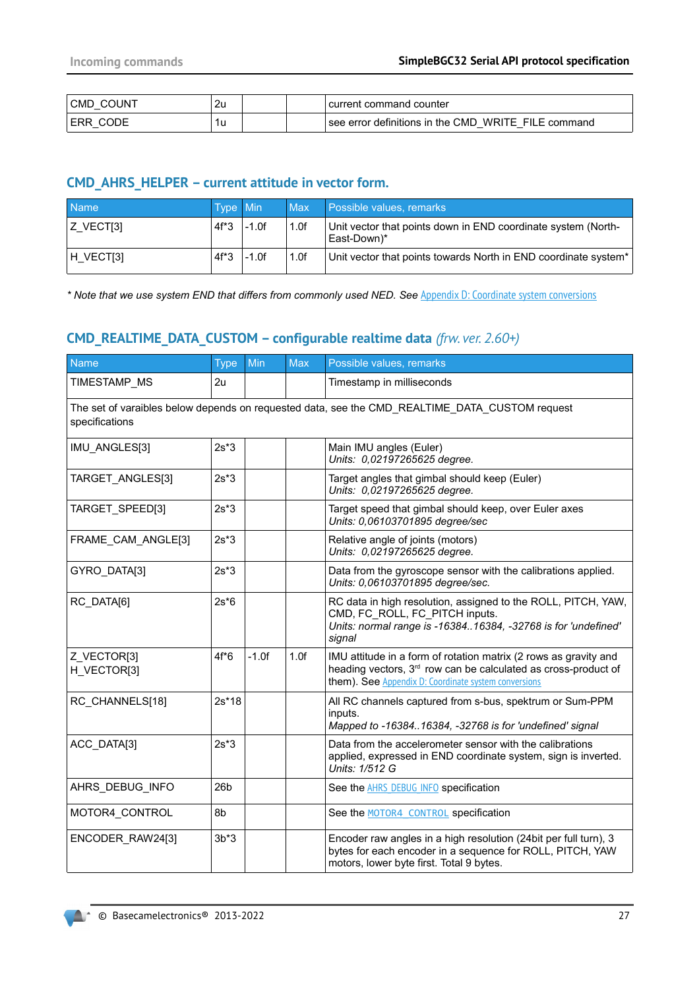| :OUNT<br>CMD | 2u |  | current command counter                                                                         |
|--------------|----|--|-------------------------------------------------------------------------------------------------|
|              | 1u |  | WRITE FILE<br>$\,$ see error definitions in the CMD $\,$<br>command<br>$\overline{\phantom{a}}$ |

## **CMD\_AHRS\_HELPER – current attitude in vector form.**

| <b>Name</b>           | <b>Type Min</b> |         | <b>Max</b> | Possible values, remarks                                                     |
|-----------------------|-----------------|---------|------------|------------------------------------------------------------------------------|
| IZ VECTI31            | $4f^*3$         | $-1.0f$ | 1.0f       | Unit vector that points down in END coordinate system (North-<br>East-Down)* |
| H VECT <sub>[3]</sub> | $4f^*3$         | $-1.0f$ | 1.0f       | Unit vector that points towards North in END coordinate system*              |

\* Note that we use system END that differs from commonly used NED. See [Appendix D: Coordinate system conversions](#page-64-0)

# **CMD\_REALTIME\_DATA\_CUSTOM – configurable realtime data** *(frw. ver. 2.60+)*

| <b>Name</b>                                                                                                      | <b>Type</b>     | Min     | <b>Max</b> | Possible values, remarks                                                                                                                                                                               |  |  |  |  |  |
|------------------------------------------------------------------------------------------------------------------|-----------------|---------|------------|--------------------------------------------------------------------------------------------------------------------------------------------------------------------------------------------------------|--|--|--|--|--|
| TIMESTAMP_MS                                                                                                     | 2u              |         |            | Timestamp in milliseconds                                                                                                                                                                              |  |  |  |  |  |
| The set of varaibles below depends on requested data, see the CMD_REALTIME_DATA_CUSTOM request<br>specifications |                 |         |            |                                                                                                                                                                                                        |  |  |  |  |  |
| IMU ANGLES[3]                                                                                                    | $2s*3$          |         |            | Main IMU angles (Euler)<br>Units: 0,02197265625 degree.                                                                                                                                                |  |  |  |  |  |
| TARGET ANGLES[3]                                                                                                 | $2s*3$          |         |            | Target angles that gimbal should keep (Euler)<br>Units: 0,02197265625 degree.                                                                                                                          |  |  |  |  |  |
| TARGET_SPEED[3]                                                                                                  | $2s*3$          |         |            | Target speed that gimbal should keep, over Euler axes<br>Units: 0,06103701895 degree/sec                                                                                                               |  |  |  |  |  |
| FRAME_CAM_ANGLE[3]                                                                                               | $2s*3$          |         |            | Relative angle of joints (motors)<br>Units: 0.02197265625 degree.                                                                                                                                      |  |  |  |  |  |
| GYRO_DATA[3]                                                                                                     | $2s*3$          |         |            | Data from the gyroscope sensor with the calibrations applied.<br>Units: 0,06103701895 degree/sec.                                                                                                      |  |  |  |  |  |
| RC DATA[6]                                                                                                       | $2s*6$          |         |            | RC data in high resolution, assigned to the ROLL, PITCH, YAW,<br>CMD, FC ROLL, FC PITCH inputs.<br>Units: normal range is -1638416384, -32768 is for 'undefined'<br>signal                             |  |  |  |  |  |
| Z_VECTOR[3]<br>H VECTOR[3]                                                                                       | $4f*6$          | $-1.0f$ | 1.0f       | IMU attitude in a form of rotation matrix (2 rows as gravity and<br>heading vectors, 3 <sup>rd</sup> row can be calculated as cross-product of<br>them). See Appendix D: Coordinate system conversions |  |  |  |  |  |
| RC_CHANNELS[18]                                                                                                  | $2s*18$         |         |            | All RC channels captured from s-bus, spektrum or Sum-PPM<br>inputs.<br>Mapped to -1638416384, -32768 is for 'undefined' signal                                                                         |  |  |  |  |  |
| ACC DATA[3]                                                                                                      | $2s*3$          |         |            | Data from the accelerometer sensor with the calibrations<br>applied, expressed in END coordinate system, sign is inverted.<br>Units: 1/512 G                                                           |  |  |  |  |  |
| AHRS DEBUG INFO                                                                                                  | 26 <sub>b</sub> |         |            | See the <b>AHRS DEBUG INFO</b> specification                                                                                                                                                           |  |  |  |  |  |
| MOTOR4 CONTROL                                                                                                   | 8b              |         |            | See the MOTOR4 CONTROL specification                                                                                                                                                                   |  |  |  |  |  |
| ENCODER RAW24[3]                                                                                                 | $3b*3$          |         |            | Encoder raw angles in a high resolution (24bit per full turn), 3<br>bytes for each encoder in a sequence for ROLL, PITCH, YAW<br>motors, lower byte first. Total 9 bytes.                              |  |  |  |  |  |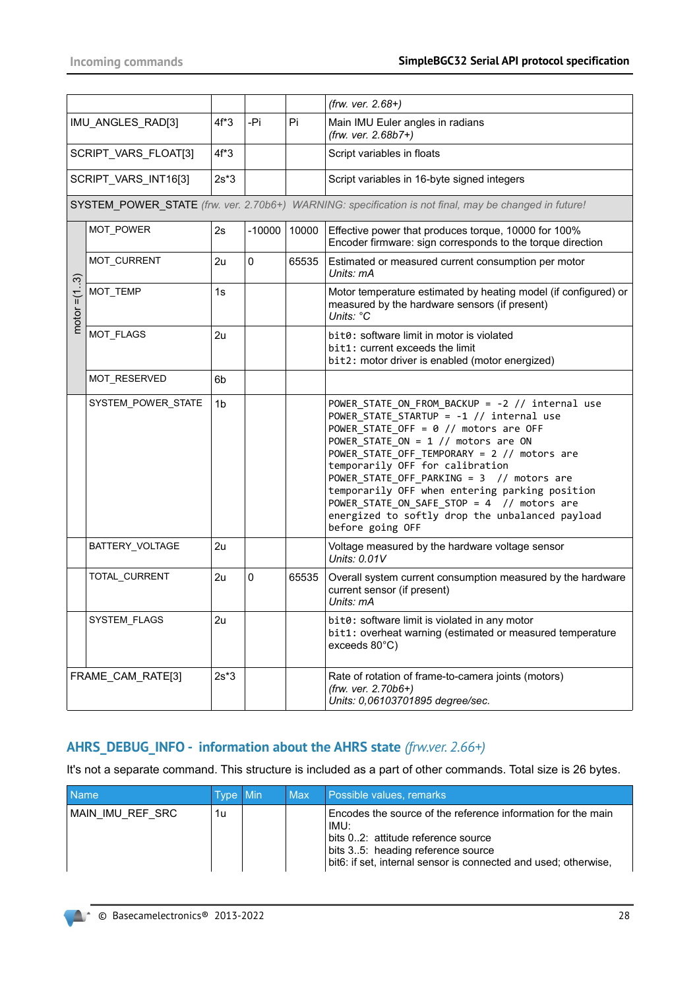<span id="page-27-1"></span>

|                      |                      |                |          |       | (frw. ver. 2.68+)                                                                                                                                                                                                                                                                                                                                                                                                                                                                          |
|----------------------|----------------------|----------------|----------|-------|--------------------------------------------------------------------------------------------------------------------------------------------------------------------------------------------------------------------------------------------------------------------------------------------------------------------------------------------------------------------------------------------------------------------------------------------------------------------------------------------|
|                      | IMU_ANGLES_RAD[3]    | $4f*3$         | -Pi      | Pi    | Main IMU Euler angles in radians<br>(frw. ver. 2.68b7+)                                                                                                                                                                                                                                                                                                                                                                                                                                    |
| SCRIPT_VARS_FLOAT[3] |                      | $4f*3$         |          |       | Script variables in floats                                                                                                                                                                                                                                                                                                                                                                                                                                                                 |
|                      | SCRIPT VARS INT16[3] | $2s*3$         |          |       | Script variables in 16-byte signed integers                                                                                                                                                                                                                                                                                                                                                                                                                                                |
|                      |                      |                |          |       | SYSTEM_POWER_STATE (frw. ver. 2.70b6+) WARNING: specification is not final, may be changed in future!                                                                                                                                                                                                                                                                                                                                                                                      |
|                      | MOT_POWER            | 2s             | $-10000$ | 10000 | Effective power that produces torque, 10000 for 100%<br>Encoder firmware: sign corresponds to the torque direction                                                                                                                                                                                                                                                                                                                                                                         |
|                      | MOT_CURRENT          | 2u             | 0        | 65535 | Estimated or measured current consumption per motor<br>Units: mA                                                                                                                                                                                                                                                                                                                                                                                                                           |
| motor $=(13)$        | MOT_TEMP             | 1s             |          |       | Motor temperature estimated by heating model (if configured) or<br>measured by the hardware sensors (if present)<br>Units: °C                                                                                                                                                                                                                                                                                                                                                              |
|                      | MOT FLAGS            | 2u             |          |       | bit0: software limit in motor is violated<br>bit1: current exceeds the limit<br>bit2: motor driver is enabled (motor energized)                                                                                                                                                                                                                                                                                                                                                            |
|                      | MOT_RESERVED         | 6 <sub>b</sub> |          |       |                                                                                                                                                                                                                                                                                                                                                                                                                                                                                            |
|                      | SYSTEM POWER STATE   | 1 <sub>b</sub> |          |       | POWER_STATE_ON_FROM_BACKUP = -2 // internal use<br>POWER_STATE_STARTUP = -1 // internal use<br>POWER STATE OFF = $\theta$ // motors are OFF<br>POWER STATE ON = $1$ // motors are ON<br>POWER_STATE_OFF_TEMPORARY = 2 // motors are<br>temporarily OFF for calibration<br>POWER_STATE_OFF_PARKING = 3 // motors are<br>temporarily OFF when entering parking position<br>POWER_STATE_ON_SAFE_STOP = 4 // motors are<br>energized to softly drop the unbalanced payload<br>before going OFF |
|                      | BATTERY_VOLTAGE      | 2u             |          |       | Voltage measured by the hardware voltage sensor<br>Units: 0.01V                                                                                                                                                                                                                                                                                                                                                                                                                            |
|                      | TOTAL_CURRENT        | 2u             | 0        | 65535 | Overall system current consumption measured by the hardware<br>current sensor (if present)<br>Units: mA                                                                                                                                                                                                                                                                                                                                                                                    |
|                      | <b>SYSTEM FLAGS</b>  | 2u             |          |       | bit0: software limit is violated in any motor<br>bit1: overheat warning (estimated or measured temperature<br>exceeds 80°C)                                                                                                                                                                                                                                                                                                                                                                |
|                      | FRAME_CAM_RATE[3]    | $2s*3$         |          |       | Rate of rotation of frame-to-camera joints (motors)<br>(frw. ver. 2.70b6+)<br>Units: 0,06103701895 degree/sec.                                                                                                                                                                                                                                                                                                                                                                             |

# <span id="page-27-0"></span>**AHRS\_DEBUG\_INFO - information about the AHRS state** *(frw.ver. 2.66+)*

It's not a separate command. This structure is included as a part of other commands. Total size is 26 bytes.

| <b>Name</b>      | Type Min | <b>Max</b> | Possible values, remarks                                                                                                                                                                                           |
|------------------|----------|------------|--------------------------------------------------------------------------------------------------------------------------------------------------------------------------------------------------------------------|
| MAIN IMU REF SRC | 1u       |            | Encodes the source of the reference information for the main<br>IMU:<br>bits 02: attitude reference source<br>bits 35: heading reference source<br>bit6: if set, internal sensor is connected and used; otherwise, |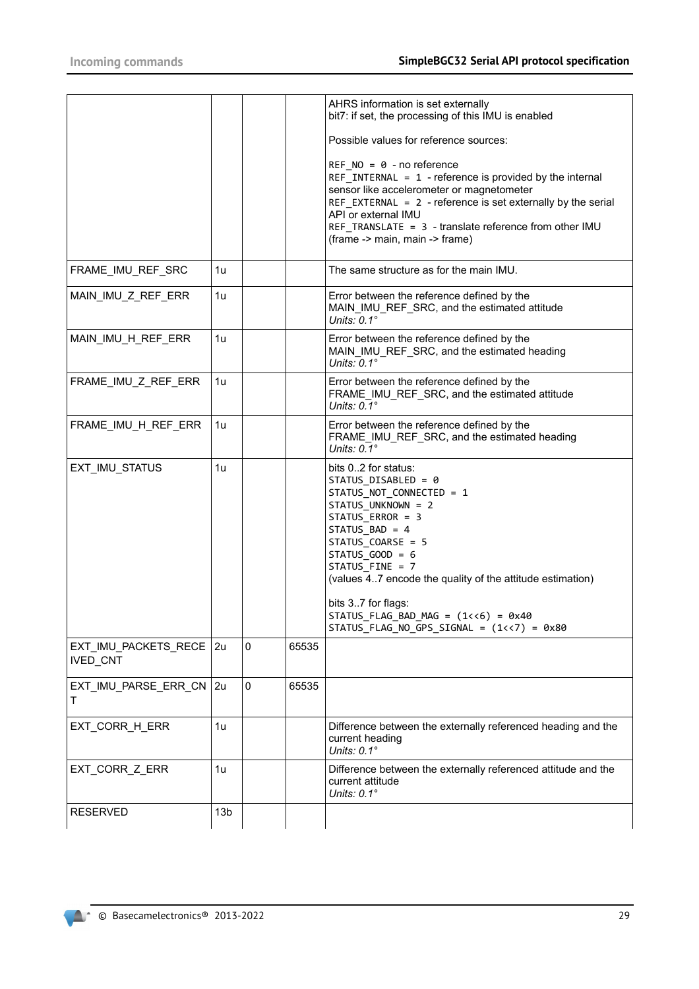|                                  |                 |   |       | AHRS information is set externally<br>bit7: if set, the processing of this IMU is enabled                                                                                                                                                                                                                                         |
|----------------------------------|-----------------|---|-------|-----------------------------------------------------------------------------------------------------------------------------------------------------------------------------------------------------------------------------------------------------------------------------------------------------------------------------------|
|                                  |                 |   |       | Possible values for reference sources:                                                                                                                                                                                                                                                                                            |
|                                  |                 |   |       | REF $NO = 0 - no reference$<br>REF INTERNAL = $1$ - reference is provided by the internal<br>sensor like accelerometer or magnetometer<br>REF_EXTERNAL = 2 - reference is set externally by the serial<br>API or external IMU<br>REF_TRANSLATE = 3 - translate reference from other IMU<br>(frame -> main, main -> frame)         |
| FRAME_IMU_REF_SRC                | 1u              |   |       | The same structure as for the main IMU.                                                                                                                                                                                                                                                                                           |
| MAIN_IMU_Z_REF_ERR               | 1u              |   |       | Error between the reference defined by the<br>MAIN_IMU_REF_SRC, and the estimated attitude<br>Units: $0.1^\circ$                                                                                                                                                                                                                  |
| MAIN_IMU_H_REF_ERR               | 1u              |   |       | Error between the reference defined by the<br>MAIN_IMU_REF_SRC, and the estimated heading<br>Units: $0.1^\circ$                                                                                                                                                                                                                   |
| FRAME_IMU_Z_REF_ERR              | 1u              |   |       | Error between the reference defined by the<br>FRAME_IMU_REF_SRC, and the estimated attitude<br>Units: $0.1^\circ$                                                                                                                                                                                                                 |
| FRAME IMU H REF ERR              | 1u              |   |       | Error between the reference defined by the<br>FRAME_IMU_REF_SRC, and the estimated heading<br>Units: $0.1^\circ$                                                                                                                                                                                                                  |
| EXT_IMU_STATUS                   | 1u              |   |       | bits 02 for status:<br>STATUS_DISABLED = 0<br>STATUS_NOT_CONNECTED = 1<br>STATUS_UNKNOWN = 2<br>STATUS_ERROR = 3<br>STATUS_BAD = 4<br>STATUS_COARSE = 5<br>$STATUS_GOOD = 6$<br>STATUS_FINE = 7<br>(values 47 encode the quality of the attitude estimation)<br>bits 37 for flags:<br>STATUS_FLAG_BAD_MAG = $(1\langle 6)$ = 0x40 |
|                                  |                 |   |       | STATUS_FLAG_NO_GPS_SIGNAL = $(1\langle \langle 7 \rangle)$ = 0x80                                                                                                                                                                                                                                                                 |
| EXT_IMU_PACKETS_RECE<br>IVED_CNT | 2u              | 0 | 65535 |                                                                                                                                                                                                                                                                                                                                   |
| EXT_IMU_PARSE_ERR_CN             | 2u              | 0 | 65535 |                                                                                                                                                                                                                                                                                                                                   |
| EXT_CORR_H_ERR                   | 1u              |   |       | Difference between the externally referenced heading and the<br>current heading<br>Units: $0.1^\circ$                                                                                                                                                                                                                             |
| EXT_CORR_Z_ERR                   | 1u              |   |       | Difference between the externally referenced attitude and the<br>current attitude<br>Units: $0.1^\circ$                                                                                                                                                                                                                           |
| <b>RESERVED</b>                  | 13 <sub>b</sub> |   |       |                                                                                                                                                                                                                                                                                                                                   |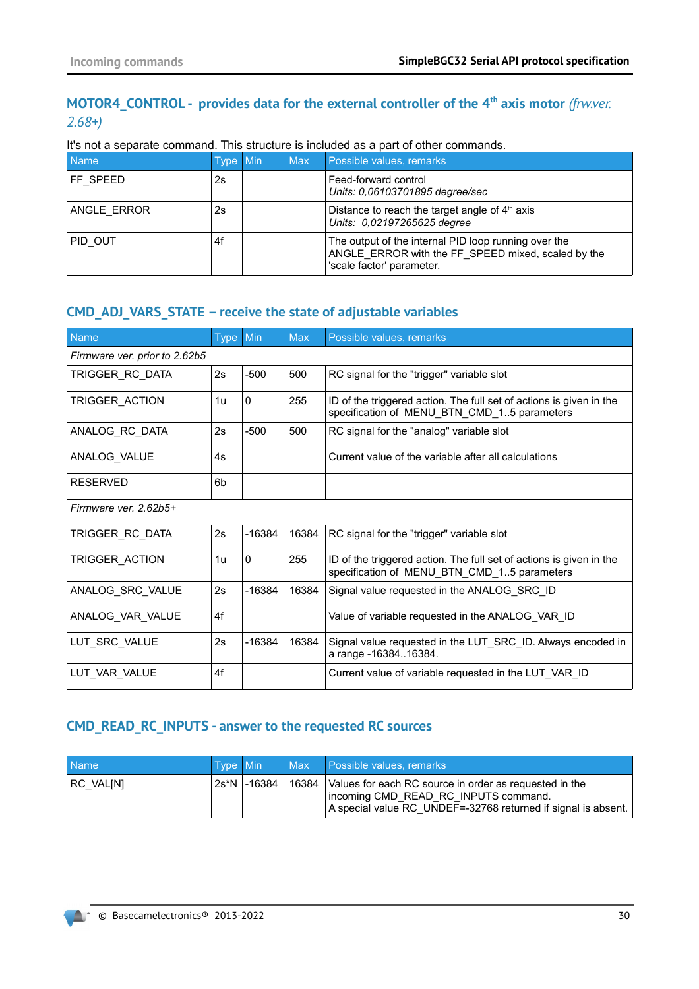# <span id="page-29-0"></span>**MOTOR4\_CONTROL - provides data for the external controller of the 4th axis motor** *(frw.ver. 2.68+)*

It's not a separate command. This structure is included as a part of other commands.

| <b>Name</b> | Type Min' | <b>Max</b> | Possible values, remarks                                                                                                                |
|-------------|-----------|------------|-----------------------------------------------------------------------------------------------------------------------------------------|
| FF SPEED    | 2s        |            | Feed-forward control<br>Units: 0.06103701895 degree/sec                                                                                 |
| ANGLE ERROR | 2s        |            | Distance to reach the target angle of $4th$ axis<br>Units: 0,02197265625 degree                                                         |
| PID OUT     | 4f        |            | The output of the internal PID loop running over the<br>ANGLE ERROR with the FF SPEED mixed, scaled by the<br>'scale factor' parameter. |

# **CMD\_ADJ\_VARS\_STATE – receive the state of adjustable variables**

| Name                          | <b>Type</b> | Min          | <b>Max</b> | Possible values, remarks                                                                                           |  |  |
|-------------------------------|-------------|--------------|------------|--------------------------------------------------------------------------------------------------------------------|--|--|
| Firmware ver. prior to 2.62b5 |             |              |            |                                                                                                                    |  |  |
| TRIGGER_RC_DATA               | 2s          | $-500$       | 500        | RC signal for the "trigger" variable slot                                                                          |  |  |
| TRIGGER_ACTION                | 1u          | $\mathbf{0}$ | 255        | ID of the triggered action. The full set of actions is given in the<br>specification of MENU BTN CMD 15 parameters |  |  |
| ANALOG RC DATA                | 2s          | $-500$       | 500        | RC signal for the "analog" variable slot                                                                           |  |  |
| ANALOG_VALUE                  | 4s          |              |            | Current value of the variable after all calculations                                                               |  |  |
| <b>RESERVED</b>               | 6b          |              |            |                                                                                                                    |  |  |
| Firmware ver. 2.62b5+         |             |              |            |                                                                                                                    |  |  |
| TRIGGER_RC_DATA               | 2s          | $-16384$     | 16384      | RC signal for the "trigger" variable slot                                                                          |  |  |
| TRIGGER ACTION                | 1u          | $\mathbf{0}$ | 255        | ID of the triggered action. The full set of actions is given in the<br>specification of MENU BTN CMD 15 parameters |  |  |
| ANALOG SRC VALUE              | 2s          | $-16384$     | 16384      | Signal value requested in the ANALOG SRC ID                                                                        |  |  |
| ANALOG_VAR_VALUE              | 4f          |              |            | Value of variable requested in the ANALOG VAR ID                                                                   |  |  |
| LUT SRC VALUE                 | 2s          | $-16384$     | 16384      | Signal value requested in the LUT SRC ID. Always encoded in<br>a range -1638416384.                                |  |  |
| LUT VAR VALUE                 | 4f          |              |            | Current value of variable requested in the LUT VAR ID                                                              |  |  |

## **CMD\_READ\_RC\_INPUTS - answer to the requested RC sources**

| <b>Name</b> | Type Min |               |       | Max Possible values, remarks                                                                                                                                    |
|-------------|----------|---------------|-------|-----------------------------------------------------------------------------------------------------------------------------------------------------------------|
| RC VALINI   |          | 2s*N   -16384 | 16384 | Values for each RC source in order as requested in the<br>incoming CMD READ RC INPUTS command.<br>A special value RC UNDEF=-32768 returned if signal is absent. |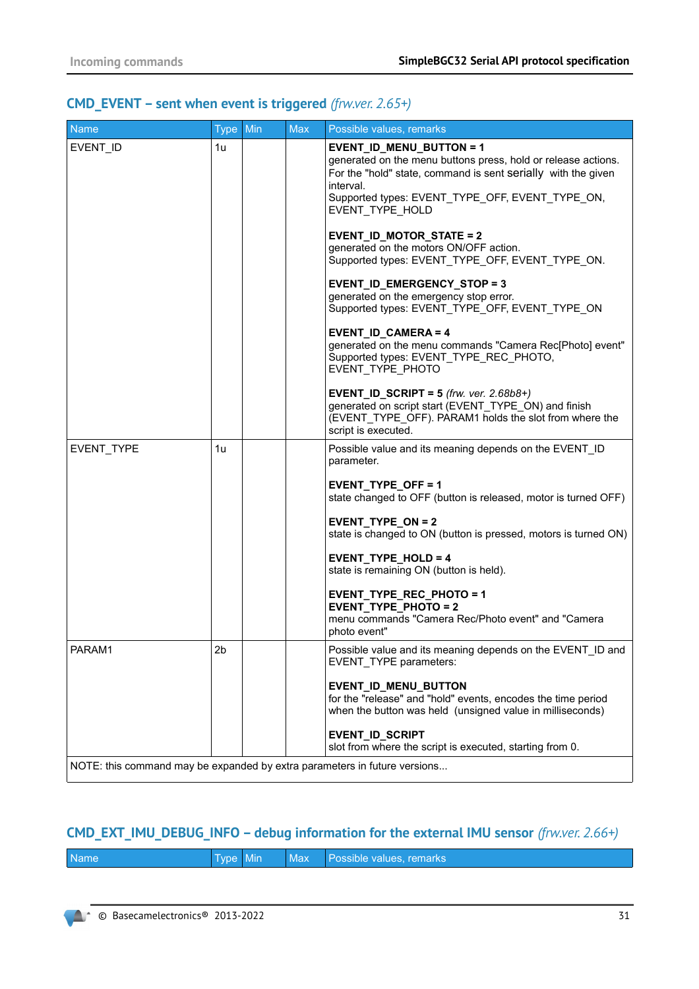# **CMD\_EVENT – sent when event is triggered** *(frw.ver. 2.65+)*

| <b>Name</b>                                                                         | Type Min       | <b>Max</b> | Possible values, remarks                                                                                                                                                                                                                                                                                                                                                                                                                                                                                                                                                                                                                                                                                                                                                                                                                      |
|-------------------------------------------------------------------------------------|----------------|------------|-----------------------------------------------------------------------------------------------------------------------------------------------------------------------------------------------------------------------------------------------------------------------------------------------------------------------------------------------------------------------------------------------------------------------------------------------------------------------------------------------------------------------------------------------------------------------------------------------------------------------------------------------------------------------------------------------------------------------------------------------------------------------------------------------------------------------------------------------|
| EVENT_ID                                                                            | 1u             |            | EVENT_ID_MENU_BUTTON = 1<br>generated on the menu buttons press, hold or release actions.<br>For the "hold" state, command is sent serially with the given<br>interval.<br>Supported types: EVENT_TYPE_OFF, EVENT_TYPE_ON,<br>EVENT_TYPE_HOLD<br><b>EVENT_ID_MOTOR_STATE = 2</b><br>generated on the motors ON/OFF action.<br>Supported types: EVENT_TYPE_OFF, EVENT_TYPE_ON.<br>EVENT_ID_EMERGENCY_STOP = 3<br>generated on the emergency stop error.<br>Supported types: EVENT_TYPE_OFF, EVENT_TYPE_ON<br>EVENT_ID_CAMERA=4<br>generated on the menu commands "Camera Rec[Photo] event"<br>Supported types: EVENT_TYPE_REC_PHOTO,<br>EVENT_TYPE_PHOTO<br>EVENT_ID_SCRIPT = $5$ (frw. ver. 2.68b8+)<br>generated on script start (EVENT TYPE ON) and finish<br>(EVENT_TYPE_OFF). PARAM1 holds the slot from where the<br>script is executed. |
| EVENT_TYPE                                                                          | 1u             |            | Possible value and its meaning depends on the EVENT_ID<br>parameter.<br>EVENT_TYPE_OFF = 1<br>state changed to OFF (button is released, motor is turned OFF)<br>EVENT_TYPE_ON = 2<br>state is changed to ON (button is pressed, motors is turned ON)<br>EVENT_TYPE_HOLD = $4$<br>state is remaining ON (button is held).<br>EVENT_TYPE_REC_PHOTO = 1<br>EVENT_TYPE_PHOTO = 2<br>menu commands "Camera Rec/Photo event" and "Camera<br>photo event"                                                                                                                                                                                                                                                                                                                                                                                            |
| PARAM1<br>NOTE: this command may be expanded by extra parameters in future versions | 2 <sub>b</sub> |            | Possible value and its meaning depends on the EVENT ID and<br>EVENT_TYPE parameters:<br>EVENT_ID_MENU_BUTTON<br>for the "release" and "hold" events, encodes the time period<br>when the button was held (unsigned value in milliseconds)<br>EVENT_ID_SCRIPT<br>slot from where the script is executed, starting from 0.                                                                                                                                                                                                                                                                                                                                                                                                                                                                                                                      |
|                                                                                     |                |            |                                                                                                                                                                                                                                                                                                                                                                                                                                                                                                                                                                                                                                                                                                                                                                                                                                               |

# **CMD\_EXT\_IMU\_DEBUG\_INFO – debug information for the external IMU sensor** *(frw.ver. 2.66+)*

|  | <b>Name</b> | Type Min |  |  | Max Possible values, remarks |
|--|-------------|----------|--|--|------------------------------|
|--|-------------|----------|--|--|------------------------------|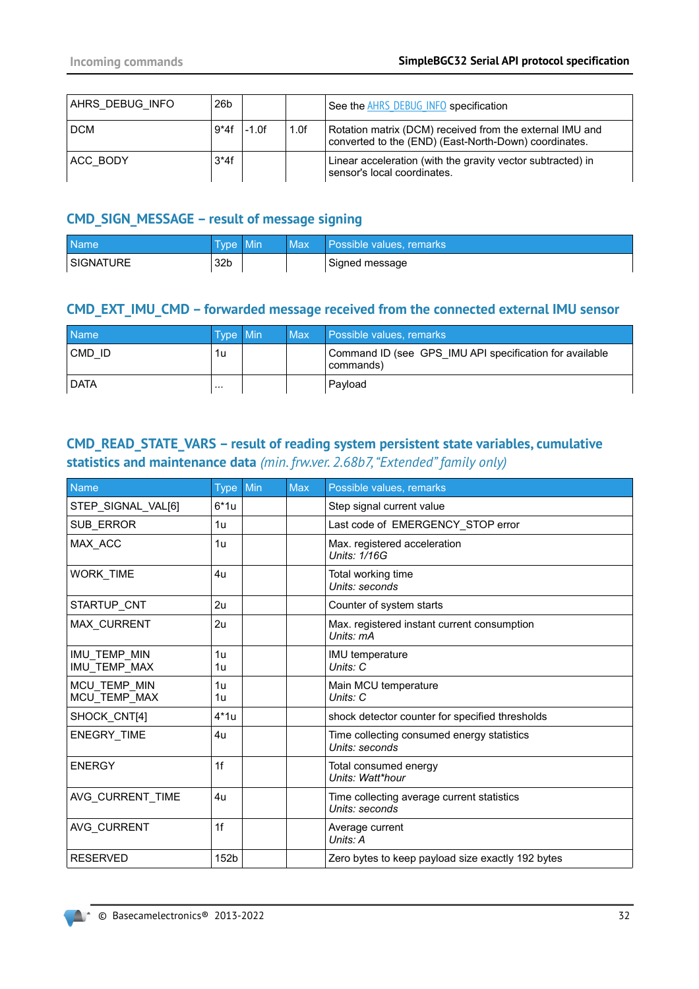| AHRS DEBUG INFO | 26 <sub>b</sub> |         |      | See the AHRS DEBUG INFO specification                                                                             |
|-----------------|-----------------|---------|------|-------------------------------------------------------------------------------------------------------------------|
| <b>DCM</b>      | $9*4f$          | $-1.0f$ | 1.0f | Rotation matrix (DCM) received from the external IMU and<br>converted to the (END) (East-North-Down) coordinates. |
| ACC BODY        | $3*4f$          |         |      | Linear acceleration (with the gravity vector subtracted) in<br>sensor's local coordinates.                        |

# **CMD\_SIGN\_MESSAGE – result of message signing**

| <b>Name</b>      | Type :          | $\blacksquare$ Min | Max | Possible values, remarks |
|------------------|-----------------|--------------------|-----|--------------------------|
| <b>SIGNATURE</b> | 32 <sub>b</sub> |                    |     | Signed message           |

# **CMD\_EXT\_IMU\_CMD – forwarded message received from the connected external IMU sensor**

| <b>Name</b> | Type Min | Max | Possible values, remarks                                             |
|-------------|----------|-----|----------------------------------------------------------------------|
| CMD ID      | 1u       |     | Command ID (see GPS IMU API specification for available<br>commands) |
| <b>DATA</b> |          |     | Pavload                                                              |

# <span id="page-31-0"></span>**CMD\_READ\_STATE\_VARS – result of reading system persistent state variables, cumulative statistics and maintenance data** *(min. frw.ver. 2.68b7, "Extended" family only)*

| Name                         | <b>Type</b>      | Min | Max | Possible values, remarks                                     |
|------------------------------|------------------|-----|-----|--------------------------------------------------------------|
| STEP_SIGNAL_VAL[6]           | $6*1u$           |     |     | Step signal current value                                    |
| SUB ERROR                    | 1u               |     |     | Last code of EMERGENCY_STOP error                            |
| MAX_ACC                      | 1u               |     |     | Max. registered acceleration<br>Units: 1/16G                 |
| WORK_TIME                    | 4u               |     |     | Total working time<br>Units: seconds                         |
| STARTUP_CNT                  | 2u               |     |     | Counter of system starts                                     |
| MAX CURRENT                  | 2u               |     |     | Max. registered instant current consumption<br>Units: mA     |
| IMU TEMP MIN<br>IMU_TEMP_MAX | 1u<br>1u         |     |     | IMU temperature<br>Units: C                                  |
| MCU_TEMP_MIN<br>MCU_TEMP_MAX | 1u<br>1u         |     |     | Main MCU temperature<br>Units: C                             |
| SHOCK_CNT[4]                 | $4*1u$           |     |     | shock detector counter for specified thresholds              |
| ENEGRY TIME                  | 4u               |     |     | Time collecting consumed energy statistics<br>Units: seconds |
| <b>ENERGY</b>                | 1f               |     |     | Total consumed energy<br>Units: Watt*hour                    |
| AVG CURRENT TIME             | 4u               |     |     | Time collecting average current statistics<br>Units: seconds |
| AVG CURRENT                  | 1f               |     |     | Average current<br>Units: A                                  |
| <b>RESERVED</b>              | 152 <sub>b</sub> |     |     | Zero bytes to keep payload size exactly 192 bytes            |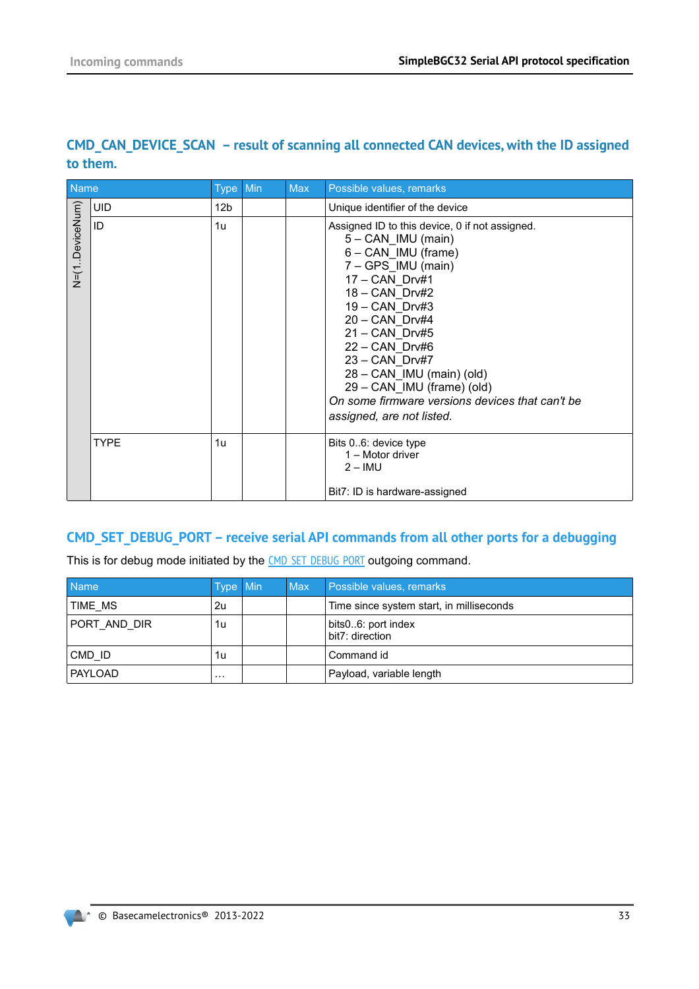| Name            |             | <b>Type</b>     | Min | Max | Possible values, remarks                                                                                                                                                                                                                                                                                                                                                                         |
|-----------------|-------------|-----------------|-----|-----|--------------------------------------------------------------------------------------------------------------------------------------------------------------------------------------------------------------------------------------------------------------------------------------------------------------------------------------------------------------------------------------------------|
|                 | <b>UID</b>  | 12 <sub>b</sub> |     |     | Unique identifier of the device                                                                                                                                                                                                                                                                                                                                                                  |
| V=(1.DeviceNum) | ID          | 1u              |     |     | Assigned ID to this device, 0 if not assigned.<br>$5 - CAN$ IMU (main)<br>6 - CAN IMU (frame)<br>7 - GPS IMU (main)<br>17 - CAN Drv#1<br>18 - CAN Drv#2<br>19 - CAN Drv#3<br>20 - CAN Drv#4<br>$21 - CAN$ Drv#5<br>$22 - CAN$ Drv#6<br>23 - CAN Drv#7<br>28 - CAN_IMU (main) (old)<br>29 – CAN IMU (frame) (old)<br>On some firmware versions devices that can't be<br>assigned, are not listed. |
|                 | <b>TYPE</b> | 1u              |     |     | Bits 06: device type<br>1 – Motor driver<br>$2 - IMU$<br>Bit7: ID is hardware-assigned                                                                                                                                                                                                                                                                                                           |

# <span id="page-32-0"></span>**CMD\_CAN\_DEVICE\_SCAN – result of scanning all connected CAN devices, with the ID assigned to them.**

## <span id="page-32-1"></span>**CMD\_SET\_DEBUG\_PORT – receive serial API commands from all other ports for a debugging**

This is for debug mode initiated by the [CMD\\_SET\\_DEBUG\\_PORT](#page-59-0) outgoing command.

| <b>Name</b>  | Type Min | <b>Max</b> | Possible values, remarks                 |
|--------------|----------|------------|------------------------------------------|
| TIME MS      | 2u       |            | Time since system start, in milliseconds |
| PORT AND DIR | 1u       |            | bits06: port index<br>bit7: direction    |
| CMD ID       | 1u       |            | Command id                               |
| PAYLOAD      | $\cdots$ |            | Payload, variable length                 |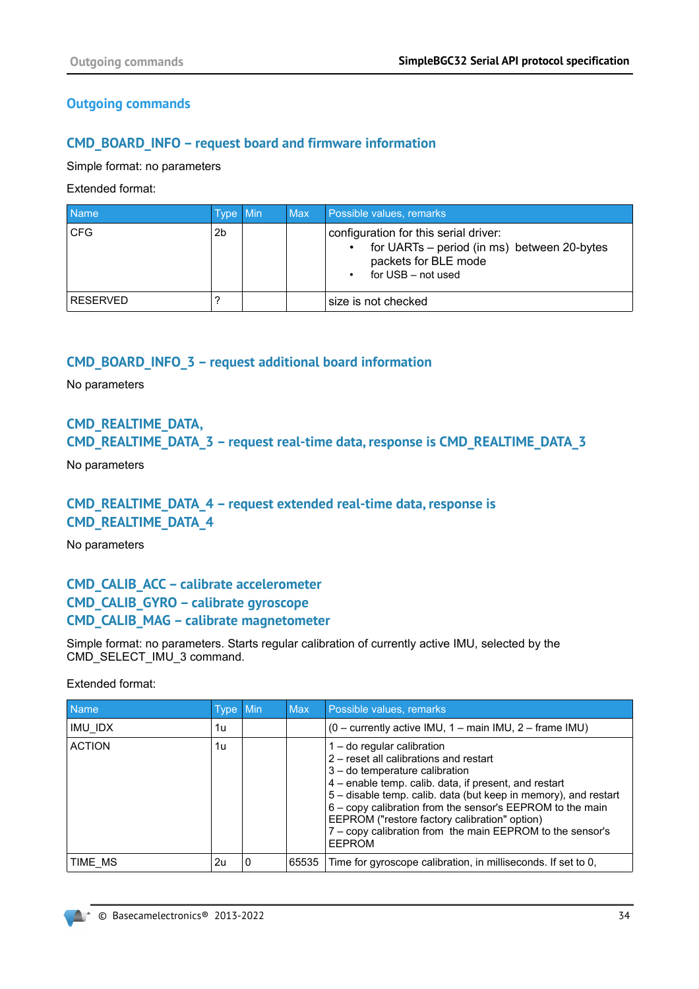# **Outgoing commands**

# **CMD\_BOARD\_INFO – request board and firmware information**

Simple format: no parameters

Extended format:

| <b>Name</b>     | Type Min | Max | Possible values, remarks                                                                                                                                     |
|-----------------|----------|-----|--------------------------------------------------------------------------------------------------------------------------------------------------------------|
| <b>CFG</b>      | 2b       |     | configuration for this serial driver:<br>for UARTs – period (in ms) between 20-bytes<br>$\bullet$<br>packets for BLE mode<br>for USB - not used<br>$\bullet$ |
| <b>RESERVED</b> |          |     | size is not checked                                                                                                                                          |

## **CMD\_BOARD\_INFO\_3 – request additional board information**

No parameters

# **CMD\_REALTIME\_DATA, CMD\_REALTIME\_DATA\_3 – request real-time data, response is CMD\_REALTIME\_DATA\_3**

No parameters

# **CMD\_REALTIME\_DATA\_4 – request extended real-time data, response is CMD\_REALTIME\_DATA\_4**

No parameters

# **CMD\_CALIB\_ACC – calibrate accelerometer CMD\_CALIB\_GYRO – calibrate gyroscope CMD\_CALIB\_MAG – calibrate magnetometer**

Simple format: no parameters. Starts regular calibration of currently active IMU, selected by the CMD\_SELECT\_IMU\_3 command.

Extended format:

| Name          | Type Min |          | <b>Max</b> | Possible values, remarks                                                                                                                                                                                                                                                                                                                                                                                                         |
|---------------|----------|----------|------------|----------------------------------------------------------------------------------------------------------------------------------------------------------------------------------------------------------------------------------------------------------------------------------------------------------------------------------------------------------------------------------------------------------------------------------|
| IMU IDX       | 1u       |          |            | $(0 -$ currently active IMU, 1 – main IMU, 2 – frame IMU)                                                                                                                                                                                                                                                                                                                                                                        |
| <b>ACTION</b> | 1u       |          |            | $1 -$ do regular calibration<br>2 – reset all calibrations and restart<br>3 - do temperature calibration<br>4 – enable temp. calib. data, if present, and restart<br>5 - disable temp. calib. data (but keep in memory), and restart<br>6 - copy calibration from the sensor's EEPROM to the main<br>EEPROM ("restore factory calibration" option)<br>7 - copy calibration from the main EEPROM to the sensor's<br><b>EEPROM</b> |
| TIME MS       | 2u       | $\Omega$ | 65535      | Time for gyroscope calibration, in milliseconds. If set to 0,                                                                                                                                                                                                                                                                                                                                                                    |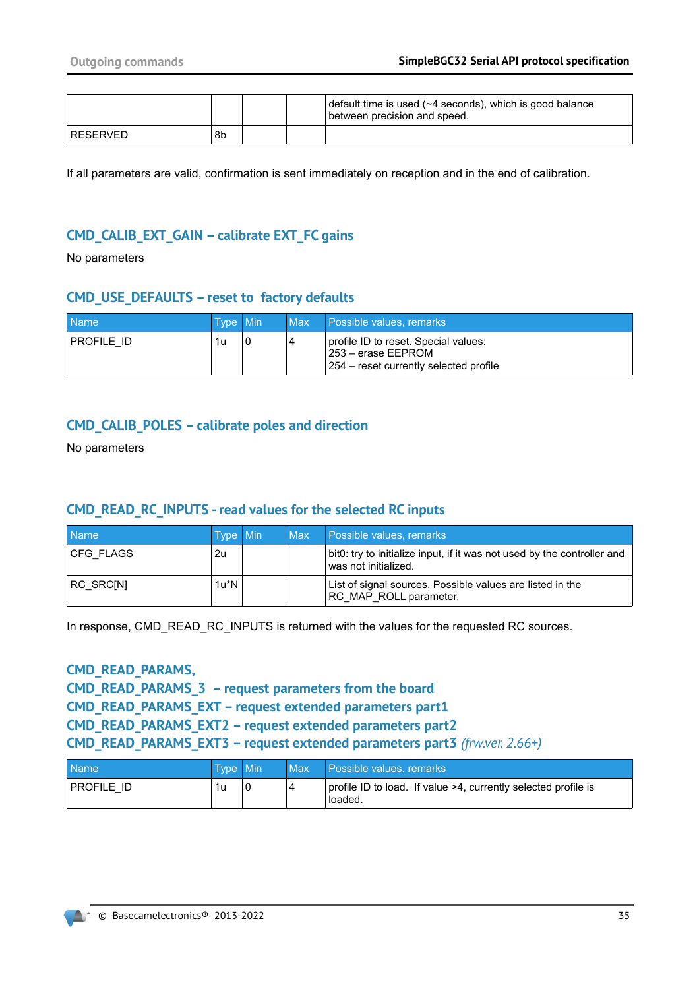|          |    |  | default time is used (~4 seconds), which is good balance<br>between precision and speed. |
|----------|----|--|------------------------------------------------------------------------------------------|
| RESERVED | 8b |  |                                                                                          |

If all parameters are valid, confirmation is sent immediately on reception and in the end of calibration.

## **CMD\_CALIB\_EXT\_GAIN – calibrate EXT\_FC gains**

No parameters

#### **CMD\_USE\_DEFAULTS – reset to factory defaults**

| <b>Name</b> | Type Min | Max | <b>Possible values, remarks</b>                                                                        |
|-------------|----------|-----|--------------------------------------------------------------------------------------------------------|
| PROFILE ID  | 1u       |     | profile ID to reset. Special values:<br>l 253 – erase EEPROM<br>254 – reset currently selected profile |

#### **CMD\_CALIB\_POLES – calibrate poles and direction**

No parameters

#### **CMD\_READ\_RC\_INPUTS - read values for the selected RC inputs**

| <b>Name</b>      | Type Min | <b>Max</b> | Possible values, remarks                                                                        |
|------------------|----------|------------|-------------------------------------------------------------------------------------------------|
| <b>CFG FLAGS</b> | 2u       |            | bit0: try to initialize input, if it was not used by the controller and<br>was not initialized. |
| RC SRCINI        | 1u*N     |            | List of signal sources. Possible values are listed in the<br>RC MAP ROLL parameter.             |

In response, CMD\_READ\_RC\_INPUTS is returned with the values for the requested RC sources.

#### **CMD\_READ\_PARAMS,**

**CMD\_READ\_PARAMS\_3 – request parameters from the board CMD\_READ\_PARAMS\_EXT – request extended parameters part1 CMD\_READ\_PARAMS\_EXT2 – request extended parameters part2 CMD\_READ\_PARAMS\_EXT3 – request extended parameters part3** *(frw.ver. 2.66+)*

| <b>Name</b> | Type Min | <b>Max</b> | / Possible values, remarks,                                               |
|-------------|----------|------------|---------------------------------------------------------------------------|
| PROFILE ID  | 1u       | 4          | profile ID to load. If value >4, currently selected profile is<br>loaded. |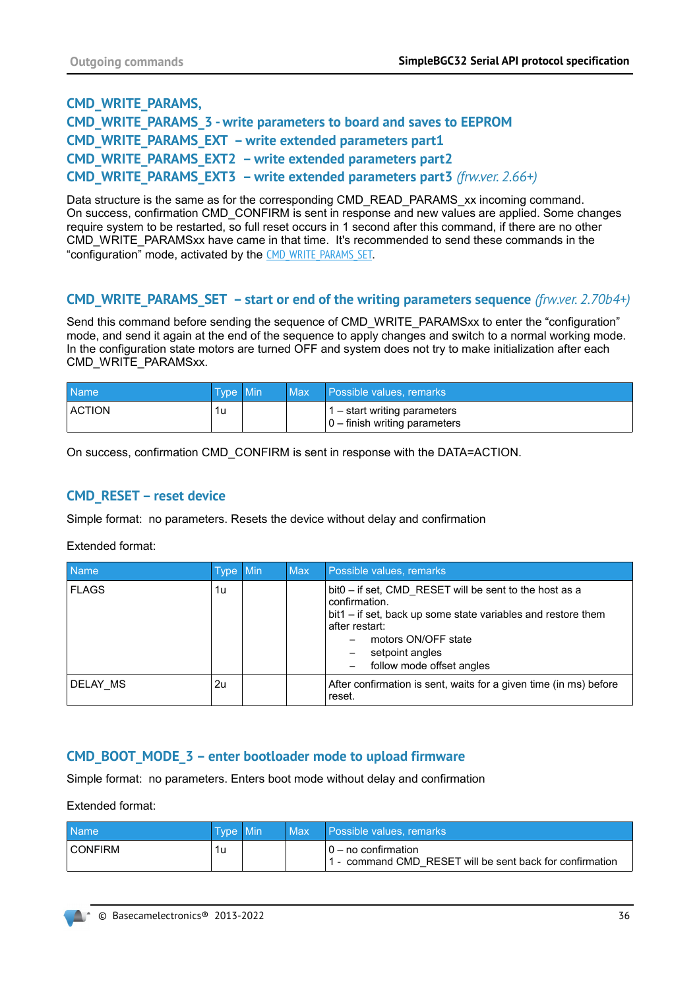# **CMD\_WRITE\_PARAMS, CMD\_WRITE\_PARAMS\_3 - write parameters to board and saves to EEPROM CMD\_WRITE\_PARAMS\_EXT – write extended parameters part1 CMD\_WRITE\_PARAMS\_EXT2 – write extended parameters part2 CMD\_WRITE\_PARAMS\_EXT3 – write extended parameters part3** *(frw.ver. 2.66+)*

Data structure is the same as for the corresponding CMD\_READ\_PARAMS\_xx incoming command. On success, confirmation CMD\_CONFIRM is sent in response and new values are applied. Some changes require system to be restarted, so full reset occurs in 1 second after this command, if there are no other CMD\_WRITE\_PARAMSxx have came in that time. It's recommended to send these commands in the "configuration" mode, activated by the [CMD\\_WRITE\\_PARAMS\\_SET](#page-35-0).

## <span id="page-35-0"></span>**CMD\_WRITE\_PARAMS\_SET – start or end of the writing parameters sequence** *(frw.ver. 2.70b4+)*

Send this command before sending the sequence of CMD\_WRITE\_PARAMSxx to enter the "configuration" mode, and send it again at the end of the sequence to apply changes and switch to a normal working mode. In the configuration state motors are turned OFF and system does not try to make initialization after each CMD\_WRITE\_PARAMSxx.

| <b>Name</b> | Type Min | Max | Possible values, remarks                                                 |
|-------------|----------|-----|--------------------------------------------------------------------------|
| ACTION      | 1u       |     | $\vert$ 1 – start writing parameters<br>$ 0 -$ finish writing parameters |

On success, confirmation CMD\_CONFIRM is sent in response with the DATA=ACTION.

#### **CMD\_RESET – reset device**

Simple format: no parameters. Resets the device without delay and confirmation

Extended format:

| <b>Name</b>  | Type Min | <b>Max</b> | Possible values, remarks                                                                                                                                                                                                         |
|--------------|----------|------------|----------------------------------------------------------------------------------------------------------------------------------------------------------------------------------------------------------------------------------|
| <b>FLAGS</b> | 1u       |            | bit0 – if set, CMD RESET will be sent to the host as a<br>confirmation.<br>bit1 – if set, back up some state variables and restore them<br>after restart:<br>motors ON/OFF state<br>setpoint angles<br>follow mode offset angles |
| DELAY MS     | 2u       |            | After confirmation is sent, waits for a given time (in ms) before<br>reset.                                                                                                                                                      |

### **CMD\_BOOT\_MODE\_3 – enter bootloader mode to upload firmware**

Simple format: no parameters. Enters boot mode without delay and confirmation

Extended format:

| <b>Name</b>    | Type Min | Max | Possible values, remarks                                                           |
|----------------|----------|-----|------------------------------------------------------------------------------------|
| <b>CONFIRM</b> | 1u       |     | $10 - no$ confirmation<br>1 - command CMD RESET will be sent back for confirmation |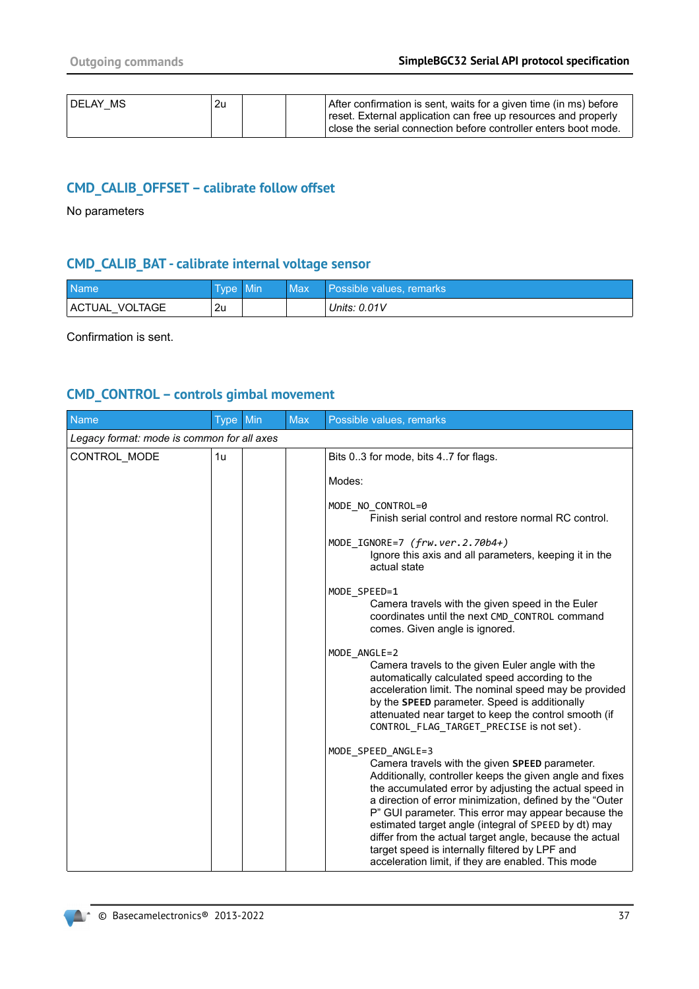| DELAY MS | 2u |  | After confirmation is sent, waits for a given time (in ms) before<br>reset. External application can free up resources and properly<br>close the serial connection before controller enters boot mode. |
|----------|----|--|--------------------------------------------------------------------------------------------------------------------------------------------------------------------------------------------------------|
|          |    |  |                                                                                                                                                                                                        |

## **CMD\_CALIB\_OFFSET – calibrate follow offset**

No parameters

## **CMD\_CALIB\_BAT - calibrate internal voltage sensor**

| <b>Name</b>    | Type Min | <b>Max</b> | Possible values, remarks |
|----------------|----------|------------|--------------------------|
| ACTUAL VOLTAGE | 2u       |            | Units: 0.01V             |

Confirmation is sent.

# **CMD\_CONTROL – controls gimbal movement**

| Name                                       | <b>Type</b> | Min | <b>Max</b> | Possible values, remarks                                                                                                                                                                                                                                                                                                                                                                                                                                                                                                                 |
|--------------------------------------------|-------------|-----|------------|------------------------------------------------------------------------------------------------------------------------------------------------------------------------------------------------------------------------------------------------------------------------------------------------------------------------------------------------------------------------------------------------------------------------------------------------------------------------------------------------------------------------------------------|
| Legacy format: mode is common for all axes |             |     |            |                                                                                                                                                                                                                                                                                                                                                                                                                                                                                                                                          |
| CONTROL MODE                               | 1u          |     |            | Bits 03 for mode, bits 47 for flags.                                                                                                                                                                                                                                                                                                                                                                                                                                                                                                     |
|                                            |             |     |            | Modes:                                                                                                                                                                                                                                                                                                                                                                                                                                                                                                                                   |
|                                            |             |     |            | MODE NO CONTROL=0<br>Finish serial control and restore normal RC control.                                                                                                                                                                                                                                                                                                                                                                                                                                                                |
|                                            |             |     |            | MODE_IGNORE=7 $(frw. ver. 2.70b4+)$<br>Ignore this axis and all parameters, keeping it in the<br>actual state                                                                                                                                                                                                                                                                                                                                                                                                                            |
|                                            |             |     |            | MODE SPEED=1<br>Camera travels with the given speed in the Euler<br>coordinates until the next CMD CONTROL command<br>comes. Given angle is ignored.                                                                                                                                                                                                                                                                                                                                                                                     |
|                                            |             |     |            | MODE ANGLE=2<br>Camera travels to the given Euler angle with the<br>automatically calculated speed according to the<br>acceleration limit. The nominal speed may be provided<br>by the SPEED parameter. Speed is additionally<br>attenuated near target to keep the control smooth (if<br>CONTROL FLAG TARGET PRECISE is not set).                                                                                                                                                                                                       |
|                                            |             |     |            | MODE_SPEED_ANGLE=3<br>Camera travels with the given SPEED parameter.<br>Additionally, controller keeps the given angle and fixes<br>the accumulated error by adjusting the actual speed in<br>a direction of error minimization, defined by the "Outer<br>P" GUI parameter. This error may appear because the<br>estimated target angle (integral of SPEED by dt) may<br>differ from the actual target angle, because the actual<br>target speed is internally filtered by LPF and<br>acceleration limit, if they are enabled. This mode |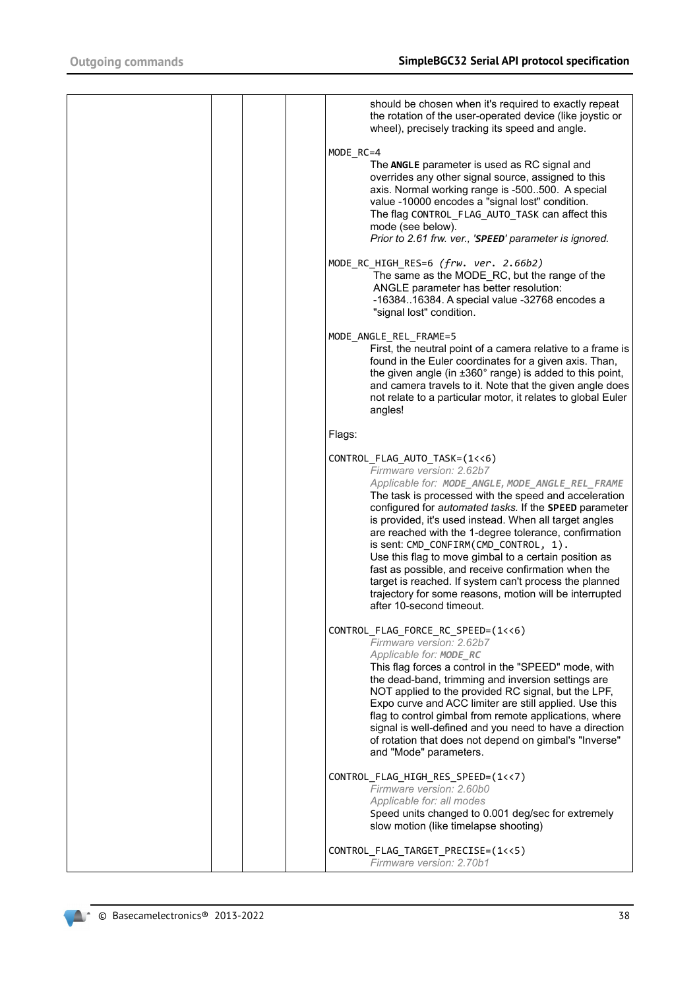|  | should be chosen when it's required to exactly repeat<br>the rotation of the user-operated device (like joystic or<br>wheel), precisely tracking its speed and angle.                                                                                                                                                                                                                                                                                                                                                                                                                                                                                         |
|--|---------------------------------------------------------------------------------------------------------------------------------------------------------------------------------------------------------------------------------------------------------------------------------------------------------------------------------------------------------------------------------------------------------------------------------------------------------------------------------------------------------------------------------------------------------------------------------------------------------------------------------------------------------------|
|  |                                                                                                                                                                                                                                                                                                                                                                                                                                                                                                                                                                                                                                                               |
|  | MODE_RC=4<br>The ANGLE parameter is used as RC signal and<br>overrides any other signal source, assigned to this<br>axis. Normal working range is -500500. A special<br>value -10000 encodes a "signal lost" condition.<br>The flag CONTROL FLAG AUTO TASK can affect this<br>mode (see below).<br>Prior to 2.61 frw. ver., 'SPEED' parameter is ignored.                                                                                                                                                                                                                                                                                                     |
|  | MODE_RC_HIGH_RES=6 (frw. ver. 2.66b2)<br>The same as the MODE_RC, but the range of the<br>ANGLE parameter has better resolution:<br>-1638416384. A special value -32768 encodes a<br>"signal lost" condition.                                                                                                                                                                                                                                                                                                                                                                                                                                                 |
|  | MODE_ANGLE_REL_FRAME=5<br>First, the neutral point of a camera relative to a frame is<br>found in the Euler coordinates for a given axis. Than,<br>the given angle (in ±360° range) is added to this point,<br>and camera travels to it. Note that the given angle does<br>not relate to a particular motor, it relates to global Euler<br>angles!                                                                                                                                                                                                                                                                                                            |
|  | Flags:                                                                                                                                                                                                                                                                                                                                                                                                                                                                                                                                                                                                                                                        |
|  | CONTROL_FLAG_AUTO_TASK=(1<<6)<br>Firmware version: 2.62b7<br>Applicable for: MODE_ANGLE, MODE_ANGLE_REL_FRAME<br>The task is processed with the speed and acceleration<br>configured for automated tasks. If the SPEED parameter<br>is provided, it's used instead. When all target angles<br>are reached with the 1-degree tolerance, confirmation<br>is sent: CMD CONFIRM(CMD CONTROL, 1).<br>Use this flag to move gimbal to a certain position as<br>fast as possible, and receive confirmation when the<br>target is reached. If system can't process the planned<br>trajectory for some reasons, motion will be interrupted<br>after 10-second timeout. |
|  | CONTROL_FLAG_FORCE_RC_SPEED=(1<<6)<br>Firmware version: 2.62b7<br>Applicable for: MODE_RC<br>This flag forces a control in the "SPEED" mode, with<br>the dead-band, trimming and inversion settings are<br>NOT applied to the provided RC signal, but the LPF,<br>Expo curve and ACC limiter are still applied. Use this<br>flag to control gimbal from remote applications, where<br>signal is well-defined and you need to have a direction<br>of rotation that does not depend on gimbal's "Inverse"<br>and "Mode" parameters.                                                                                                                             |
|  | CONTROL_FLAG_HIGH_RES_SPEED=(1<<7)<br>Firmware version: 2.60b0<br>Applicable for: all modes<br>Speed units changed to 0.001 deg/sec for extremely<br>slow motion (like timelapse shooting)                                                                                                                                                                                                                                                                                                                                                                                                                                                                    |
|  | CONTROL_FLAG_TARGET_PRECISE=(1<<5)<br>Firmware version: 2.70b1                                                                                                                                                                                                                                                                                                                                                                                                                                                                                                                                                                                                |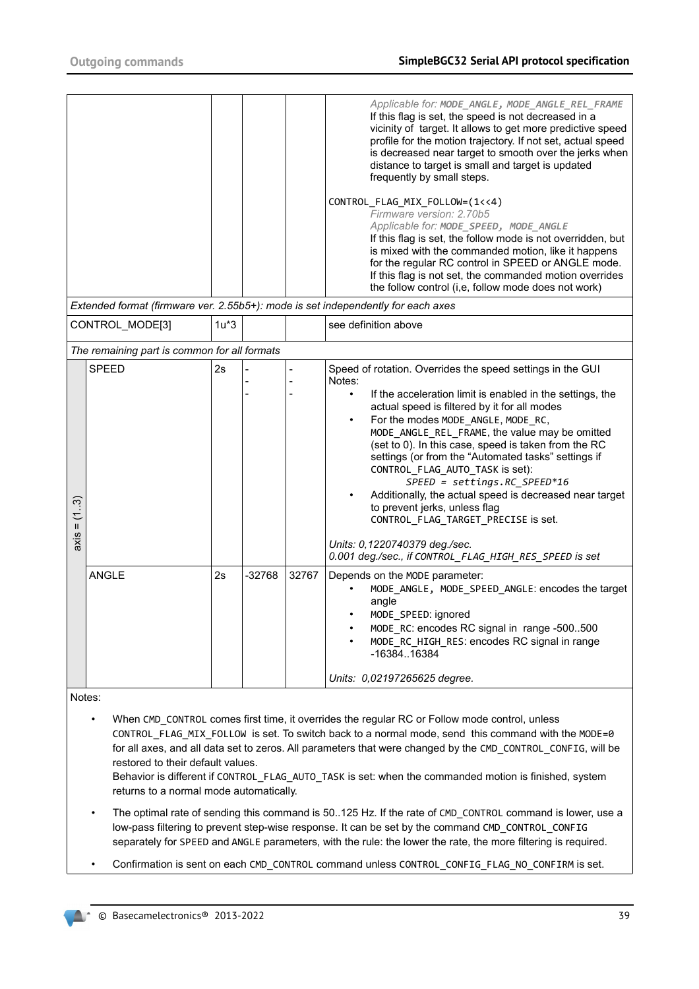|               |                                              |        |          |       | Applicable for: MODE_ANGLE, MODE_ANGLE_REL_FRAME<br>If this flag is set, the speed is not decreased in a<br>vicinity of target. It allows to get more predictive speed<br>profile for the motion trajectory. If not set, actual speed<br>is decreased near target to smooth over the jerks when<br>distance to target is small and target is updated<br>frequently by small steps.<br>CONTROL_FLAG_MIX_FOLLOW=(1<<4)<br>Firmware version: 2.70b5<br>Applicable for: MODE_SPEED, MODE_ANGLE<br>If this flag is set, the follow mode is not overridden, but<br>is mixed with the commanded motion, like it happens<br>for the regular RC control in SPEED or ANGLE mode.<br>If this flag is not set, the commanded motion overrides<br>the follow control (i,e, follow mode does not work) |
|---------------|----------------------------------------------|--------|----------|-------|------------------------------------------------------------------------------------------------------------------------------------------------------------------------------------------------------------------------------------------------------------------------------------------------------------------------------------------------------------------------------------------------------------------------------------------------------------------------------------------------------------------------------------------------------------------------------------------------------------------------------------------------------------------------------------------------------------------------------------------------------------------------------------------|
|               |                                              |        |          |       | Extended format (firmware ver. 2.55b5+): mode is set independently for each axes                                                                                                                                                                                                                                                                                                                                                                                                                                                                                                                                                                                                                                                                                                         |
|               | CONTROL_MODE[3]                              | $1u*3$ |          |       | see definition above                                                                                                                                                                                                                                                                                                                                                                                                                                                                                                                                                                                                                                                                                                                                                                     |
|               | The remaining part is common for all formats |        |          |       |                                                                                                                                                                                                                                                                                                                                                                                                                                                                                                                                                                                                                                                                                                                                                                                          |
| $axis = (13)$ | <b>SPEED</b>                                 | 2s     |          |       | Speed of rotation. Overrides the speed settings in the GUI<br>Notes:<br>If the acceleration limit is enabled in the settings, the<br>$\bullet$<br>actual speed is filtered by it for all modes<br>For the modes MODE_ANGLE, MODE_RC,<br>MODE ANGLE REL FRAME, the value may be omitted<br>(set to 0). In this case, speed is taken from the RC<br>settings (or from the "Automated tasks" settings if<br>CONTROL_FLAG_AUTO_TASK is set):<br>$SPEED = settings. RC_SPEED*16$<br>Additionally, the actual speed is decreased near target<br>to prevent jerks, unless flag<br>CONTROL_FLAG_TARGET_PRECISE is set.<br>Units: 0,1220740379 deg./sec.<br>0.001 deg./sec., if CONTROL_FLAG_HIGH_RES_SPEED is set                                                                                |
|               | <b>ANGLE</b>                                 | 2s     | $-32768$ | 32767 | Depends on the MODE parameter:<br>MODE_ANGLE, MODE_SPEED_ANGLE: encodes the target<br>angle<br>MODE_SPEED: ignored<br>MODE_RC: encodes RC signal in range -500500<br>MODE RC HIGH RES: encodes RC signal in range<br>-1638416384<br>Units: 0,02197265625 degree.                                                                                                                                                                                                                                                                                                                                                                                                                                                                                                                         |

Notes:

- When CMD\_CONTROL comes first time, it overrides the regular RC or Follow mode control, unless CONTROL\_FLAG\_MIX\_FOLLOW is set. To switch back to a normal mode, send this command with the MODE=0 for all axes, and all data set to zeros. All parameters that were changed by the CMD\_CONTROL\_CONFIG, will be restored to their default values.
	- Behavior is different if CONTROL\_FLAG\_AUTO\_TASK is set: when the commanded motion is finished, system returns to a normal mode automatically.
- The optimal rate of sending this command is 50..125 Hz. If the rate of CMD\_CONTROL command is lower, use a low-pass filtering to prevent step-wise response. It can be set by the command CMD\_CONTROL\_CONFIG separately for SPEED and ANGLE parameters, with the rule: the lower the rate, the more filtering is required.
- Confirmation is sent on each CMD\_CONTROL command unless CONTROL\_CONFIG\_FLAG\_NO\_CONFIRM is set.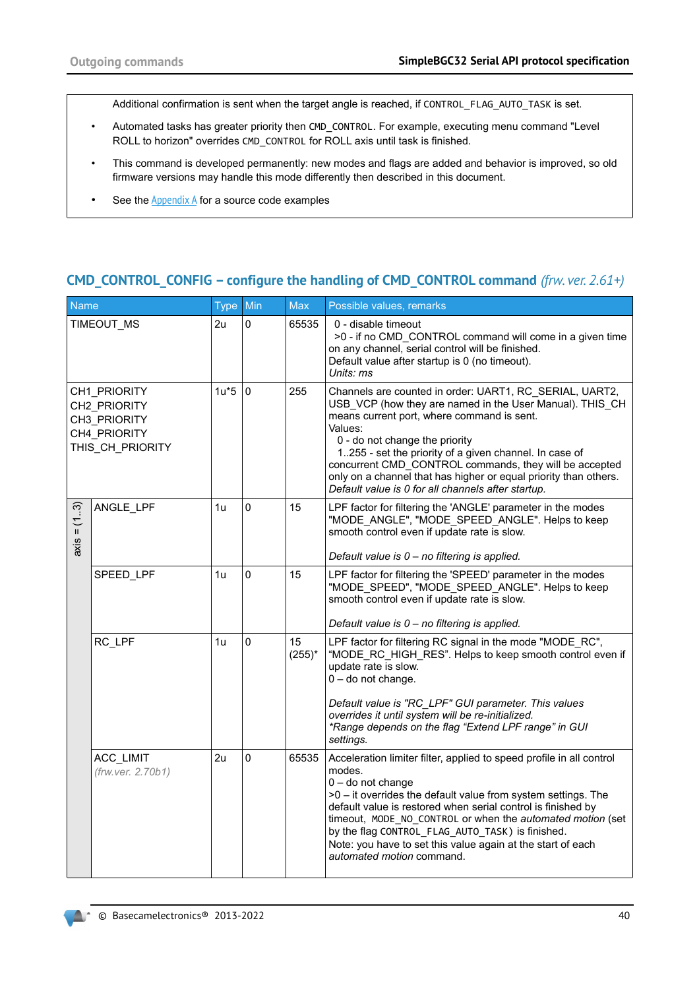Additional confirmation is sent when the target angle is reached, if CONTROL\_FLAG\_AUTO\_TASK is set.

- Automated tasks has greater priority then CMD\_CONTROL. For example, executing menu command "Level ROLL to horizon" overrides CMD\_CONTROL for ROLL axis until task is finished.
- This command is developed permanently: new modes and flags are added and behavior is improved, so old firmware versions may handle this mode differently then described in this document.
- <span id="page-39-0"></span>• See the  $\Delta p$  and  $\Delta p$  for a source code examples

# **CMD\_CONTROL\_CONFIG – configure the handling of CMD\_CONTROL command** *(frw. ver. 2.61+)*

| Name                                                                             |                                | Type Min |          | <b>Max</b>      | Possible values, remarks                                                                                                                                                                                                                                                                                                                                                                                                                                     |
|----------------------------------------------------------------------------------|--------------------------------|----------|----------|-----------------|--------------------------------------------------------------------------------------------------------------------------------------------------------------------------------------------------------------------------------------------------------------------------------------------------------------------------------------------------------------------------------------------------------------------------------------------------------------|
| TIMEOUT MS                                                                       |                                | 2u       | 0        | 65535           | 0 - disable timeout<br>>0 - if no CMD_CONTROL command will come in a given time<br>on any channel, serial control will be finished.<br>Default value after startup is 0 (no timeout).<br>Units: ms                                                                                                                                                                                                                                                           |
| CH1 PRIORITY<br>CH2 PRIORITY<br>CH3 PRIORITY<br>CH4 PRIORITY<br>THIS CH PRIORITY |                                | $1u*5$   | $\Omega$ | 255             | Channels are counted in order: UART1, RC_SERIAL, UART2,<br>USB VCP (how they are named in the User Manual). THIS CH<br>means current port, where command is sent.<br>Values:<br>0 - do not change the priority<br>1255 - set the priority of a given channel. In case of<br>concurrent CMD CONTROL commands, they will be accepted<br>only on a channel that has higher or equal priority than others.<br>Default value is 0 for all channels after startup. |
| (13)<br>$\ensuremath{\mathsf{H}}$<br>axis                                        | ANGLE_LPF                      | 1u       | 0        | 15              | LPF factor for filtering the 'ANGLE' parameter in the modes<br>"MODE_ANGLE", "MODE_SPEED_ANGLE". Helps to keep<br>smooth control even if update rate is slow.<br>Default value is 0 - no filtering is applied.                                                                                                                                                                                                                                               |
|                                                                                  | SPEED LPF                      | 1u       | 0        | 15              | LPF factor for filtering the 'SPEED' parameter in the modes<br>"MODE SPEED", "MODE SPEED ANGLE". Helps to keep<br>smooth control even if update rate is slow.<br>Default value is 0 - no filtering is applied.                                                                                                                                                                                                                                               |
|                                                                                  | RC LPF                         | 1u       | 0        | 15<br>$(255)^*$ | LPF factor for filtering RC signal in the mode "MODE RC",<br>"MODE RC HIGH RES". Helps to keep smooth control even if<br>update rate is slow.<br>$0 -$ do not change.<br>Default value is "RC_LPF" GUI parameter. This values<br>overrides it until system will be re-initialized.<br>*Range depends on the flag "Extend LPF range" in GUI<br>settings.                                                                                                      |
|                                                                                  | ACC_LIMIT<br>(frw.ver. 2.70b1) | 2u       | 0        | 65535           | Acceleration limiter filter, applied to speed profile in all control<br>modes.<br>$0 -$ do not change<br>>0 - it overrides the default value from system settings. The<br>default value is restored when serial control is finished by<br>timeout, MODE_NO_CONTROL or when the automated motion (set<br>by the flag CONTROL_FLAG_AUTO_TASK) is finished.<br>Note: you have to set this value again at the start of each<br>automated motion command.         |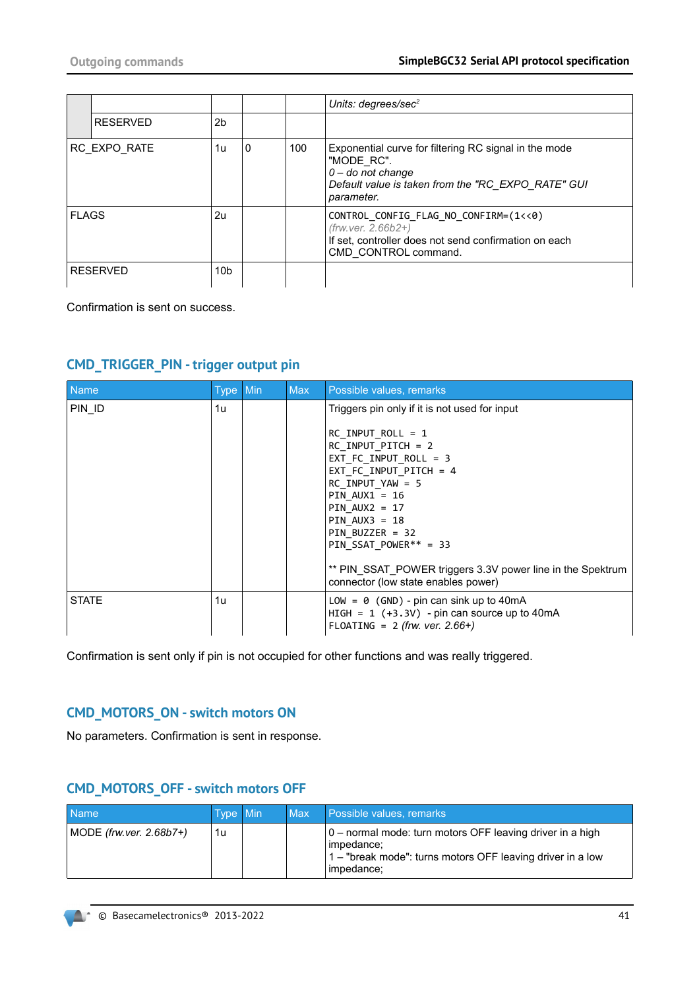|              |                 |                 |   |     | Units: degrees/sec $2$                                                                                                                                         |
|--------------|-----------------|-----------------|---|-----|----------------------------------------------------------------------------------------------------------------------------------------------------------------|
|              | <b>RESERVED</b> | 2b              |   |     |                                                                                                                                                                |
|              | RC EXPO RATE    | 1u              | 0 | 100 | Exponential curve for filtering RC signal in the mode<br>"MODE RC".<br>$0 -$ do not change<br>Default value is taken from the "RC_EXPO_RATE" GUI<br>parameter. |
| <b>FLAGS</b> |                 | 2u              |   |     | CONTROL CONFIG FLAG NO CONFIRM=(1<<0)<br>$(frw. ver. 2.66b2+)$<br>If set, controller does not send confirmation on each<br>CMD CONTROL command.                |
|              | <b>RESERVED</b> | 10 <sub>b</sub> |   |     |                                                                                                                                                                |

Confirmation is sent on success.

## **CMD\_TRIGGER\_PIN - trigger output pin**

| <b>Name</b>  | Type Min | <b>Max</b> | Possible values, remarks                                                                                                                                                                                                                                                                                                                                                              |
|--------------|----------|------------|---------------------------------------------------------------------------------------------------------------------------------------------------------------------------------------------------------------------------------------------------------------------------------------------------------------------------------------------------------------------------------------|
| PIN ID       | 1u       |            | Triggers pin only if it is not used for input<br>$RC$ INPUT ROLL = 1<br>$RC$ INPUT PITCH = 2<br>EXT FC INPUT ROLL = $3$<br>EXT FC INPUT PITCH = $4$<br>RC INPUT YAW = $5$<br>PIN $AUX1 = 16$<br>$PIN$ AUX2 = 17<br>PIN $AUX3 = 18$<br>PIN BUZZER = $32$<br>PIN SSAT POWER** = 33<br>** PIN SSAT POWER triggers 3.3V power line in the Spektrum<br>connector (low state enables power) |
| <b>STATE</b> | 1u       |            | LOW = $\theta$ (GND) - pin can sink up to 40mA<br>HIGH = $1 (+3.3V)$ - pin can source up to 40mA<br>FLOATING = $2$ (frw. ver. 2.66+)                                                                                                                                                                                                                                                  |

Confirmation is sent only if pin is not occupied for other functions and was really triggered.

# **CMD\_MOTORS\_ON - switch motors ON**

No parameters. Confirmation is sent in response.

# **CMD\_MOTORS\_OFF - switch motors OFF**

| <b>Name</b>                | Type Min | <b>Max</b> | Possible values, remarks,                                                                                                                           |
|----------------------------|----------|------------|-----------------------------------------------------------------------------------------------------------------------------------------------------|
| MODE (frw.ver. $2.68b7+$ ) | 1u       |            | 0 – normal mode: turn motors OFF leaving driver in a high<br>impedance;<br>1 – "break mode": turns motors OFF leaving driver in a low<br>impedance; |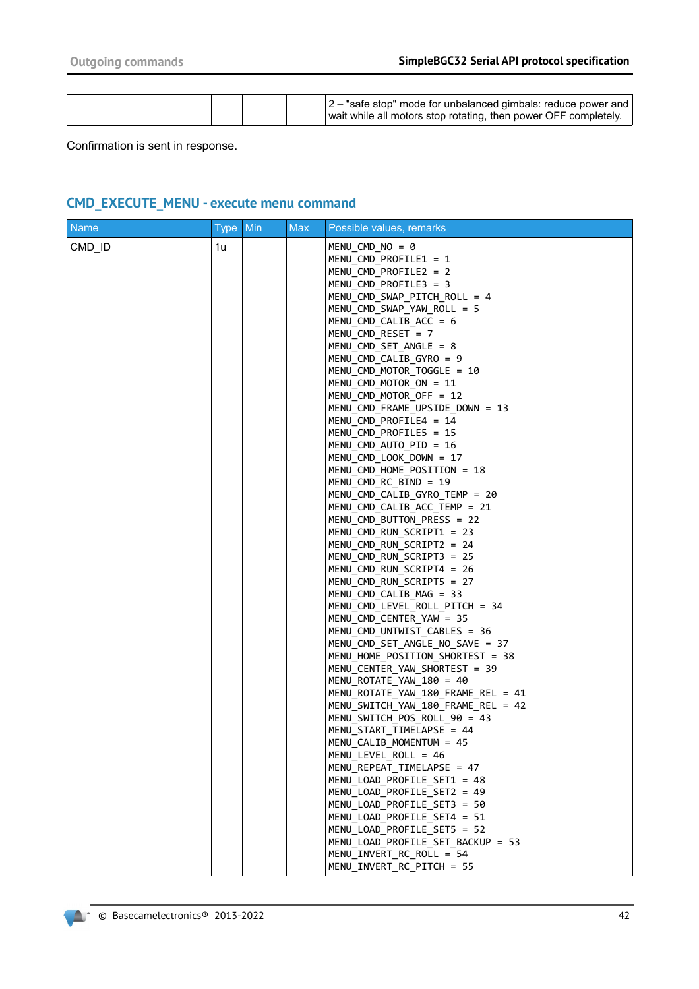|  |  |  |  | $ 2 -$ "safe stop" mode for unbalanced gimbals: reduce power and<br>wait while all motors stop rotating, then power OFF completely. |
|--|--|--|--|-------------------------------------------------------------------------------------------------------------------------------------|
|--|--|--|--|-------------------------------------------------------------------------------------------------------------------------------------|

Confirmation is sent in response.

# **CMD\_EXECUTE\_MENU - execute menu command**

| <b>Name</b> | <b>Type</b> | Min | <b>Max</b> | Possible values, remarks                                                                                                                                                                                                                                                                                                                                                                                                                                                                                                                                                                                                                                                                                                                                                                                                                                                                                                                                                                                                                                    |
|-------------|-------------|-----|------------|-------------------------------------------------------------------------------------------------------------------------------------------------------------------------------------------------------------------------------------------------------------------------------------------------------------------------------------------------------------------------------------------------------------------------------------------------------------------------------------------------------------------------------------------------------------------------------------------------------------------------------------------------------------------------------------------------------------------------------------------------------------------------------------------------------------------------------------------------------------------------------------------------------------------------------------------------------------------------------------------------------------------------------------------------------------|
| CMD_ID      | 1u          |     |            | $MENU$ CMD NO = 0<br>MENU CMD PROFILE1 = $1$<br>$MENU$ CMD PROFILE2 = 2<br>$MENU$ CMD PROFILE3 = 3<br>MENU_CMD_SWAP_PITCH_ROLL = 4<br>MENU CMD SWAP YAW ROLL = $5$<br>MENU CMD CALIB ACC = $6$<br>MENU CMD RESET = 7<br>MENU CMD SET ANGLE = 8<br>$MENU$ CMD CALIB GYRO = 9<br>MENU_CMD_MOTOR_TOGGLE = 10<br>$MENT$ CMD MOTOR ON = 11<br>MENU_CMD_MOTOR_OFF = 12<br>MENU_CMD_FRAME_UPSIDE_DOWN = 13<br>MENU CMD PROFILE4 = 14<br>MENU CMD PROFILE5 = 15<br>MENU_CMD_AUTO_PID = 16<br>$MENU$ CMD LOOK DOWN = 17<br>MENU CMD HOME POSITION = 18<br>MENU CMD RC BIND = 19<br>$MENU$ CMD CALIB GYRO TEMP = 20<br>MENU_CMD_CALIB_ACC_TEMP = 21<br>MENU CMD BUTTON PRESS = 22<br>MENU CMD RUN SCRIPT1 = 23<br>MENU CMD RUN SCRIPT2 = 24<br>MENU_CMD_RUN_SCRIPT3 = 25<br>MENU_CMD_RUN_SCRIPT4 = 26<br>MENU CMD RUN SCRIPT5 = 27<br>$MENU$ CMD CALIB MAG = 33<br>MENU_CMD_LEVEL_ROLL_PITCH = 34<br>MENU CMD CENTER YAW = 35<br>MENU CMD UNTWIST CABLES = 36<br>MENU CMD SET ANGLE NO SAVE = 37<br>MENU_HOME_POSITION_SHORTEST = 38<br>MENU CENTER YAW SHORTEST = 39 |
|             |             |     |            |                                                                                                                                                                                                                                                                                                                                                                                                                                                                                                                                                                                                                                                                                                                                                                                                                                                                                                                                                                                                                                                             |
|             |             |     |            | MENU_ROTATE_YAW_180 = 40<br>MENU_ROTATE_YAW_180_FRAME_REL = 41<br>MENU_SWITCH_YAW_180_FRAME_REL = 42<br>MENU SWITCH POS ROLL 90 = 43<br>MENU START TIMELAPSE = 44<br>MENU_CALIB_MOMENTUM = 45                                                                                                                                                                                                                                                                                                                                                                                                                                                                                                                                                                                                                                                                                                                                                                                                                                                               |
|             |             |     |            | MENU_LEVEL_ROLL = 46<br>MENU REPEAT TIMELAPSE = 47<br>MENU LOAD PROFILE SET1 = 48<br>MENU LOAD PROFILE SET2 = 49<br>MENU LOAD PROFILE SET3 = 50<br>MENU LOAD PROFILE SET4 = 51<br>MENU_LOAD_PROFILE_SET5 = 52<br>MENU_LOAD_PROFILE_SET_BACKUP = 53<br>MENU_INVERT_RC_ROLL = 54<br>MENU INVERT RC PITCH = 55                                                                                                                                                                                                                                                                                                                                                                                                                                                                                                                                                                                                                                                                                                                                                 |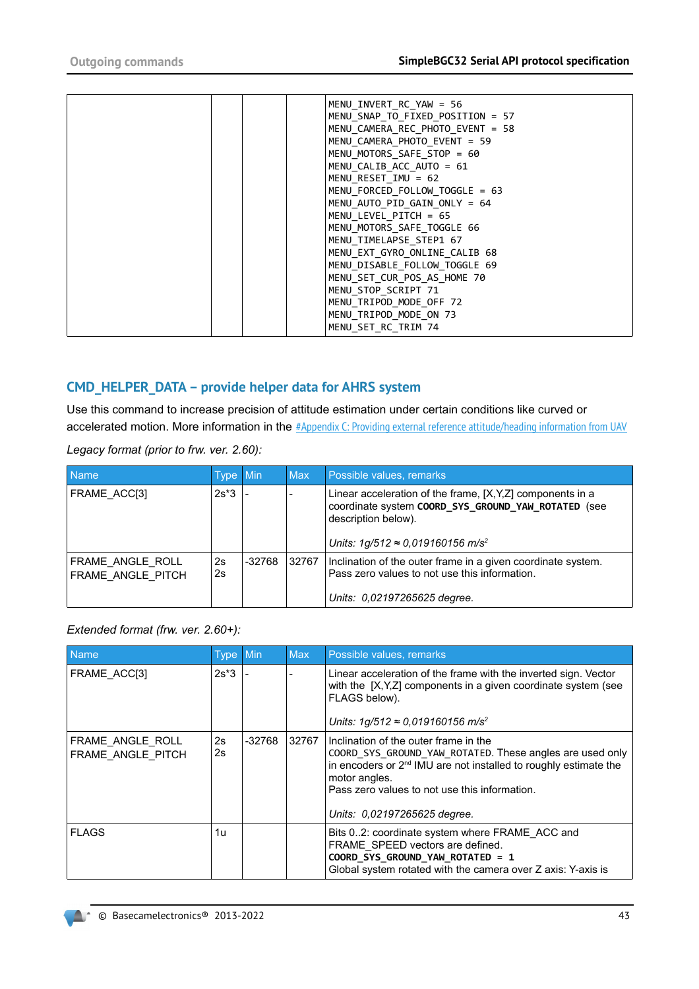|  |  | MENU INVERT RC YAW = 56          |
|--|--|----------------------------------|
|  |  | MENU SNAP TO FIXED POSITION = 57 |
|  |  | MENU CAMERA REC PHOTO EVENT = 58 |
|  |  | MENU CAMERA PHOTO EVENT = 59     |
|  |  | MENU MOTORS SAFE STOP = 60       |
|  |  | MENU CALIB ACC AUTO = 61         |
|  |  | $MENU RESET IMU = 62$            |
|  |  | MENU FORCED_FOLLOW_TOGGLE = 63   |
|  |  | MENU AUTO PID GAIN ONLY = $64$   |
|  |  | $MENU$ LEVEL PITCH = 65          |
|  |  | MENU MOTORS SAFE TOGGLE 66       |
|  |  | MENU TIMELAPSE STEP1 67          |
|  |  | MENU EXT GYRO ONLINE CALIB 68    |
|  |  | MENU DISABLE FOLLOW TOGGLE 69    |
|  |  | MENU_SET_CUR_POS_AS_HOME 70      |
|  |  | MENU STOP SCRIPT 71              |
|  |  | MENU TRIPOD MODE OFF 72          |
|  |  | MENU TRIPOD MODE ON 73           |
|  |  | MENU SET RC TRIM 74              |
|  |  |                                  |

### **CMD\_HELPER\_DATA – provide helper data for AHRS system**

Use this command to increase precision of attitude estimation under certain conditions like curved or accelerated motion. More information in the [#Appendix C: Providing external reference attitude/heading information from UAV](#page-63-0)

*Legacy format (prior to frw. ver. 2.60):*

| <b>Name</b>                           | Type Min |          | <b>Max</b> | Possible values, remarks                                                                                                                                                                          |
|---------------------------------------|----------|----------|------------|---------------------------------------------------------------------------------------------------------------------------------------------------------------------------------------------------|
| FRAME ACC[3]                          | $2s*3$   |          |            | Linear acceleration of the frame, [X, Y, Z] components in a<br>coordinate system COORD SYS GROUND YAW ROTATED (see<br>description below).<br>Units: $1g/512 \approx 0.019160156$ m/s <sup>2</sup> |
| FRAME ANGLE ROLL<br>FRAME ANGLE PITCH | 2s<br>2s | $-32768$ | 32767      | Inclination of the outer frame in a given coordinate system.<br>Pass zero values to not use this information.<br>Units: 0.02197265625 degree.                                                     |

#### *Extended format (frw. ver. 2.60+):*

| <b>Name</b>                           | Type Min |          | <b>Max</b> | Possible values, remarks                                                                                                                                                                                                                                                            |
|---------------------------------------|----------|----------|------------|-------------------------------------------------------------------------------------------------------------------------------------------------------------------------------------------------------------------------------------------------------------------------------------|
| FRAME ACC[3]                          | $2s*3$   |          |            | Linear acceleration of the frame with the inverted sign. Vector<br>with the [X, Y, Z] components in a given coordinate system (see<br>FLAGS below).<br>Units: 1g/512 ≈ 0,019160156 m/s <sup>2</sup>                                                                                 |
| FRAME ANGLE ROLL<br>FRAME ANGLE PITCH | 2s<br>2s | $-32768$ | 32767      | Inclination of the outer frame in the<br>COORD_SYS_GROUND_YAW_ROTATED. These angles are used only<br>in encoders or 2 <sup>nd</sup> IMU are not installed to roughly estimate the<br>motor angles.<br>Pass zero values to not use this information.<br>Units: 0.02197265625 degree. |
| <b>FLAGS</b>                          | 1u       |          |            | Bits 02: coordinate system where FRAME ACC and<br>FRAME SPEED vectors are defined.<br>COORD_SYS_GROUND_YAW_ROTATED = 1<br>Global system rotated with the camera over Z axis: Y-axis is                                                                                              |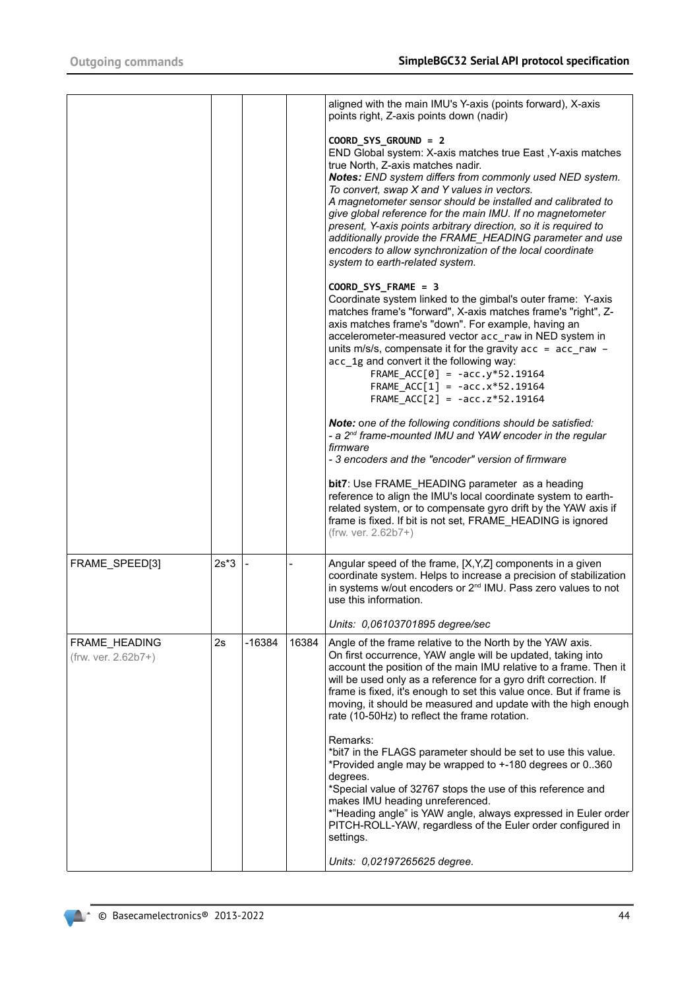|                                      |        |          |       | aligned with the main IMU's Y-axis (points forward), X-axis<br>points right, Z-axis points down (nadir)                                                                                                                                                                                                                                                                                                                                                                                                                                                                                          |
|--------------------------------------|--------|----------|-------|--------------------------------------------------------------------------------------------------------------------------------------------------------------------------------------------------------------------------------------------------------------------------------------------------------------------------------------------------------------------------------------------------------------------------------------------------------------------------------------------------------------------------------------------------------------------------------------------------|
|                                      |        |          |       | COORD SYS GROUND = 2<br>END Global system: X-axis matches true East, Y-axis matches<br>true North, Z-axis matches nadir.<br>Notes: END system differs from commonly used NED system.<br>To convert, swap X and Y values in vectors.<br>A magnetometer sensor should be installed and calibrated to<br>give global reference for the main IMU. If no magnetometer<br>present, Y-axis points arbitrary direction, so it is required to<br>additionally provide the FRAME_HEADING parameter and use<br>encoders to allow synchronization of the local coordinate<br>system to earth-related system. |
|                                      |        |          |       | COORD_SYS_FRAME = 3<br>Coordinate system linked to the gimbal's outer frame: Y-axis<br>matches frame's "forward", X-axis matches frame's "right", Z-<br>axis matches frame's "down". For example, having an<br>accelerometer-measured vector acc raw in NED system in<br>units m/s/s, compensate it for the gravity $acc = acc_{raw} -$<br>acc 1g and convert it the following way:<br>$FRAME\_ACC[0] = -acc.y*52.19164$<br>FRAME_ACC[1] = $-acc.x*52.19164$<br>FRAME $ACC[2] = -acc.z*52.19164$                                                                                                 |
|                                      |        |          |       | Note: one of the following conditions should be satisfied:<br>- a 2 <sup>nd</sup> frame-mounted IMU and YAW encoder in the regular<br>firmware<br>- 3 encoders and the "encoder" version of firmware                                                                                                                                                                                                                                                                                                                                                                                             |
|                                      |        |          |       | bit7: Use FRAME_HEADING parameter as a heading<br>reference to align the IMU's local coordinate system to earth-<br>related system, or to compensate gyro drift by the YAW axis if<br>frame is fixed. If bit is not set, FRAME HEADING is ignored<br>(frw. ver. 2.62b7+)                                                                                                                                                                                                                                                                                                                         |
| FRAME SPEED[3]                       | $2s*3$ |          |       | Angular speed of the frame, [X, Y, Z] components in a given<br>coordinate system. Helps to increase a precision of stabilization<br>in systems w/out encoders or 2 <sup>nd</sup> IMU. Pass zero values to not<br>use this information.                                                                                                                                                                                                                                                                                                                                                           |
|                                      |        |          |       | Units: 0,06103701895 degree/sec                                                                                                                                                                                                                                                                                                                                                                                                                                                                                                                                                                  |
| FRAME_HEADING<br>(frw. ver. 2.62b7+) | 2s     | $-16384$ | 16384 | Angle of the frame relative to the North by the YAW axis.<br>On first occurrence, YAW angle will be updated, taking into<br>account the position of the main IMU relative to a frame. Then it<br>will be used only as a reference for a gyro drift correction. If<br>frame is fixed, it's enough to set this value once. But if frame is<br>moving, it should be measured and update with the high enough<br>rate (10-50Hz) to reflect the frame rotation.                                                                                                                                       |
|                                      |        |          |       | Remarks:<br>*bit7 in the FLAGS parameter should be set to use this value.<br>*Provided angle may be wrapped to +-180 degrees or 0360<br>degrees.<br>*Special value of 32767 stops the use of this reference and<br>makes IMU heading unreferenced.<br>*"Heading angle" is YAW angle, always expressed in Euler order<br>PITCH-ROLL-YAW, regardless of the Euler order configured in<br>settings.                                                                                                                                                                                                 |
|                                      |        |          |       | Units: 0,02197265625 degree.                                                                                                                                                                                                                                                                                                                                                                                                                                                                                                                                                                     |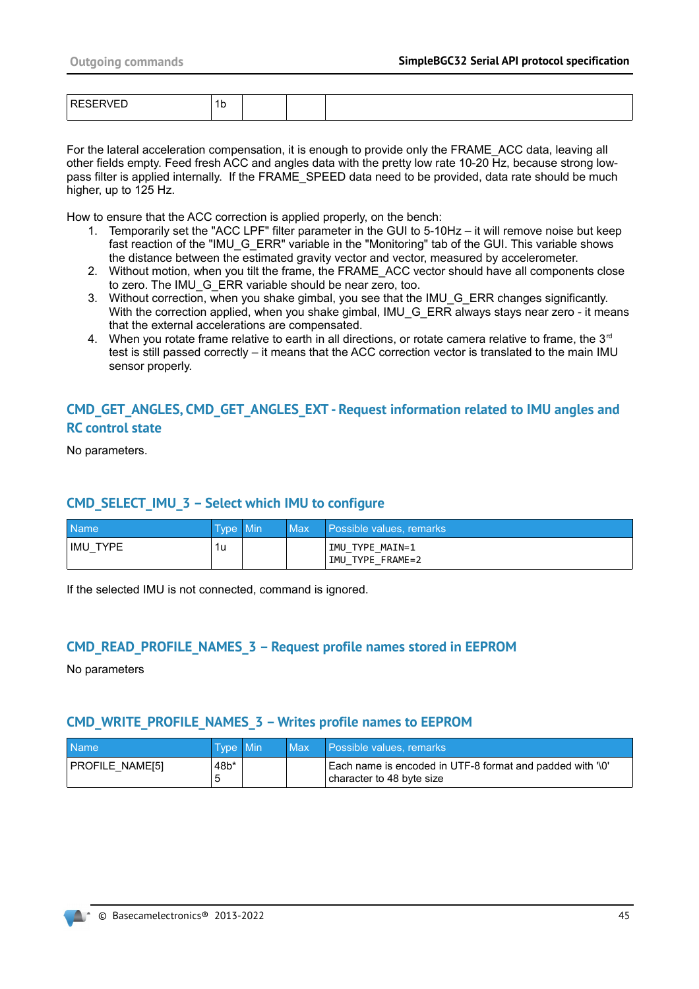| - 1 | יי י |  |  |
|-----|------|--|--|
|     |      |  |  |

For the lateral acceleration compensation, it is enough to provide only the FRAME\_ACC data, leaving all other fields empty. Feed fresh ACC and angles data with the pretty low rate 10-20 Hz, because strong lowpass filter is applied internally. If the FRAME\_SPEED data need to be provided, data rate should be much higher, up to 125 Hz.

How to ensure that the ACC correction is applied properly, on the bench:

- 1. Temporarily set the "ACC LPF" filter parameter in the GUI to 5-10Hz it will remove noise but keep fast reaction of the "IMU\_G\_ERR" variable in the "Monitoring" tab of the GUI. This variable shows the distance between the estimated gravity vector and vector, measured by accelerometer.
- 2. Without motion, when you tilt the frame, the FRAME\_ACC vector should have all components close to zero. The IMU\_G\_ERR variable should be near zero, too.
- 3. Without correction, when you shake gimbal, you see that the IMU\_G\_ERR changes significantly. With the correction applied, when you shake gimbal, IMU\_G\_ERR always stays near zero - it means that the external accelerations are compensated.
- 4. When you rotate frame relative to earth in all directions, or rotate camera relative to frame, the  $3<sup>rd</sup>$ test is still passed correctly – it means that the ACC correction vector is translated to the main IMU sensor properly.

### **CMD\_GET\_ANGLES, CMD\_GET\_ANGLES\_EXT - Request information related to IMU angles and RC control state**

No parameters.

#### **CMD\_SELECT\_IMU\_3 – Select which IMU to configure**

| Name <sup>1</sup> | Tvpe Min | Max | Possible values, remarks            |
|-------------------|----------|-----|-------------------------------------|
| IMU<br>TYPE       | 1u       |     | IMU TYPE MAIN=1<br>IMU TYPE FRAME=2 |

If the selected IMU is not connected, command is ignored.

#### **CMD\_READ\_PROFILE\_NAMES\_3 – Request profile names stored in EEPROM**

No parameters

#### **CMD\_WRITE\_PROFILE\_NAMES\_3 – Writes profile names to EEPROM**

| <b>Name</b>     | Type Min | Max | I Possible values, remarks                                                             |
|-----------------|----------|-----|----------------------------------------------------------------------------------------|
| PROFILE NAME[5] | $48b*$   |     | Each name is encoded in UTF-8 format and padded with '\0'<br>character to 48 byte size |

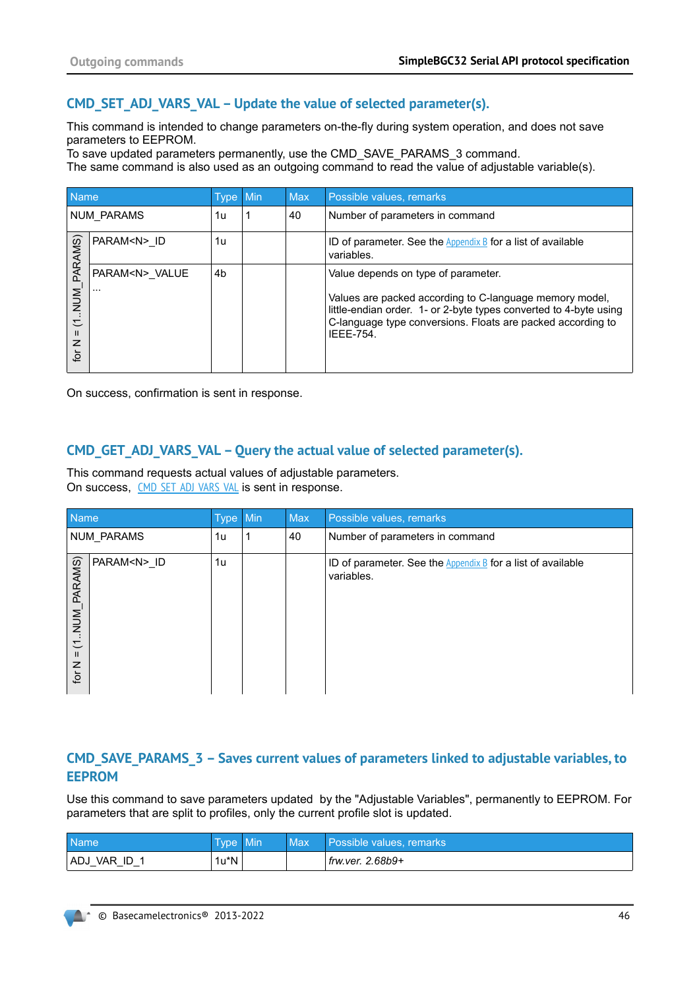### <span id="page-45-0"></span>**CMD\_SET\_ADJ\_VARS\_VAL – Update the value of selected parameter(s).**

This command is intended to change parameters on-the-fly during system operation, and does not save parameters to EEPROM.

To save updated parameters permanently, use the CMD\_SAVE\_PARAMS\_3 command.

The same command is also used as an outgoing command to read the value of adjustable variable(s).

| Name                               |                                             | Type Min | <b>Max</b> | Possible values, remarks                                                                                                                                                                                       |
|------------------------------------|---------------------------------------------|----------|------------|----------------------------------------------------------------------------------------------------------------------------------------------------------------------------------------------------------------|
|                                    | NUM PARAMS                                  | 1u       | 40         | Number of parameters in command                                                                                                                                                                                |
| PARAMS)                            | PARAM <n> ID</n>                            | 1u       |            | ID of parameter. See the $Appendix B$ for a list of available<br>variables.                                                                                                                                    |
|                                    | PARAM <n> VALUE<br/><math>\cdots</math></n> | 4b       |            | Value depends on type of parameter.                                                                                                                                                                            |
| NUM<br>こ<br>$\mathbf{H}$<br>z<br>đ |                                             |          |            | Values are packed according to C-language memory model,<br>little-endian order. 1- or 2-byte types converted to 4-byte using<br>C-language type conversions. Floats are packed according to<br><b>IFFF-754</b> |

On success, confirmation is sent in response.

### <span id="page-45-1"></span>**CMD\_GET\_ADJ\_VARS\_VAL – Query the actual value of selected parameter(s).**

This command requests actual values of adjustable parameters. On success, CMD SET ADJ VARS VAL is sent in response.

| Name                                                                                |                   | Type Min |   | <b>Max</b> | Possible values, remarks                                                    |
|-------------------------------------------------------------------------------------|-------------------|----------|---|------------|-----------------------------------------------------------------------------|
|                                                                                     | <b>NUM PARAMS</b> | 1u       | 1 | 40         | Number of parameters in command                                             |
| PARAMS)<br>MUN.<br>$\overline{\smash{\smile}}$<br>$\mathbf{H}$<br>$\mathbf{z}$<br>ğ | PARAM <n>_ID</n>  | 1u       |   |            | ID of parameter. See the $Appendix B$ for a list of available<br>variables. |

### **CMD\_SAVE\_PARAMS\_3 – Saves current values of parameters linked to adjustable variables, to EEPROM**

Use this command to save parameters updated by the "Adjustable Variables", permanently to EEPROM. For parameters that are split to profiles, only the current profile slot is updated.

| <b>Name</b>        | <b>Type</b> | Min | Max | Possible values, remarks             |
|--------------------|-------------|-----|-----|--------------------------------------|
| VAR<br>ID<br>' ADJ | 1u*N        |     |     | $f_{\text{rw.} \text{ver. 2.68b9+}}$ |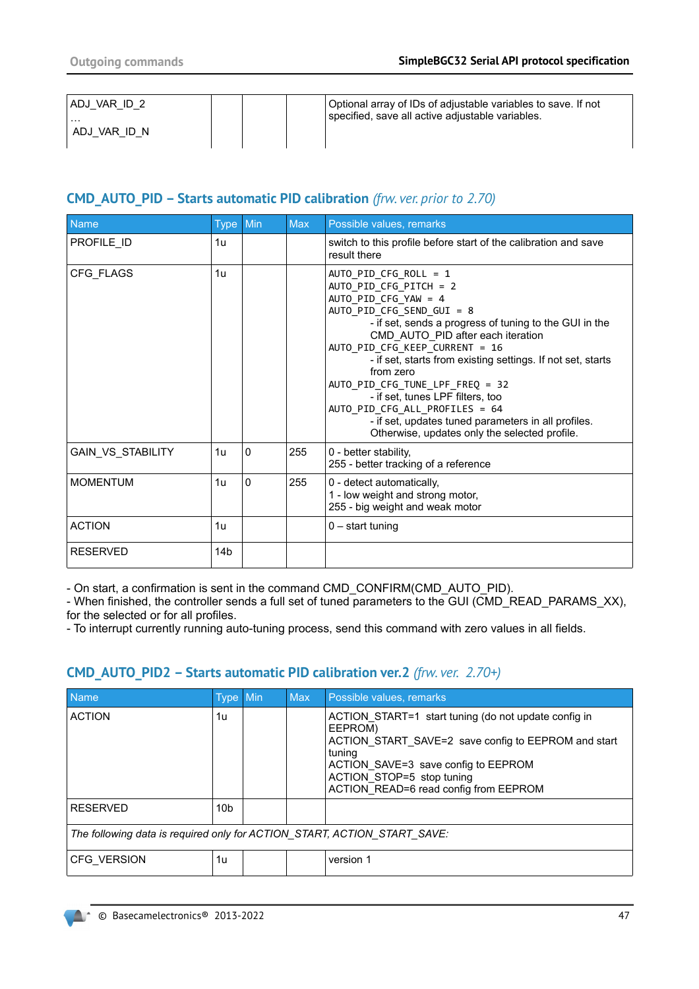| VAR ID 2<br>' ADJ    |  | Optional array of IDs of adjustable variables to save. If not<br>specified, save all active adjustable variables. |
|----------------------|--|-------------------------------------------------------------------------------------------------------------------|
| .<br>VAR ID N<br>ADJ |  |                                                                                                                   |

# **CMD\_AUTO\_PID – Starts automatic PID calibration** *(frw. ver. prior to 2.70)*

| <b>Name</b>       | <b>Type</b>     | Min | <b>Max</b> | Possible values, remarks                                                                                                                                                                                                                                                                                                                                                                                                                                                                                                             |
|-------------------|-----------------|-----|------------|--------------------------------------------------------------------------------------------------------------------------------------------------------------------------------------------------------------------------------------------------------------------------------------------------------------------------------------------------------------------------------------------------------------------------------------------------------------------------------------------------------------------------------------|
| PROFILE ID        | 1u              |     |            | switch to this profile before start of the calibration and save<br>result there                                                                                                                                                                                                                                                                                                                                                                                                                                                      |
| CFG_FLAGS         | 1 <sub>U</sub>  |     |            | AUTO PID CFG ROLL = $1$<br>AUTO_PID_CFG_PITCH = 2<br>AUTO PID CFG YAW = 4<br>AUTO PID CFG SEND GUI = 8<br>- if set, sends a progress of tuning to the GUI in the<br>CMD AUTO PID after each iteration<br>AUTO PID CFG KEEP CURRENT = 16<br>- if set, starts from existing settings. If not set, starts<br>from zero<br>AUTO PID CFG TUNE LPF FREQ = 32<br>- if set, tunes LPF filters, too<br>AUTO_PID_CFG_ALL_PROFILES = 64<br>- if set, updates tuned parameters in all profiles.<br>Otherwise, updates only the selected profile. |
| GAIN_VS_STABILITY | 1u              | 0   | 255        | 0 - better stability,<br>255 - better tracking of a reference                                                                                                                                                                                                                                                                                                                                                                                                                                                                        |
| <b>MOMENTUM</b>   | 1u              | 0   | 255        | 0 - detect automatically,<br>1 - low weight and strong motor,<br>255 - big weight and weak motor                                                                                                                                                                                                                                                                                                                                                                                                                                     |
| <b>ACTION</b>     | 1u              |     |            | $0$ – start tuning                                                                                                                                                                                                                                                                                                                                                                                                                                                                                                                   |
| <b>RESERVED</b>   | 14 <sub>b</sub> |     |            |                                                                                                                                                                                                                                                                                                                                                                                                                                                                                                                                      |

- On start, a confirmation is sent in the command CMD\_CONFIRM(CMD\_AUTO\_PID).

- When finished, the controller sends a full set of tuned parameters to the GUI (CMD\_READ\_PARAMS\_XX), for the selected or for all profiles.

- To interrupt currently running auto-tuning process, send this command with zero values in all fields.

# **CMD\_AUTO\_PID2 – Starts automatic PID calibration ver.2** *(frw. ver. 2.70+)*

| <b>Name</b>                                                              | Type Min        |  | <b>Max</b> | Possible values, remarks                                                                                                                                                                                                                      |  |
|--------------------------------------------------------------------------|-----------------|--|------------|-----------------------------------------------------------------------------------------------------------------------------------------------------------------------------------------------------------------------------------------------|--|
| <b>ACTION</b>                                                            | 1u              |  |            | ACTION START=1 start tuning (do not update config in<br>EEPROM)<br>ACTION START SAVE=2 save config to EEPROM and start<br>tuning<br>ACTION_SAVE=3 save config to EEPROM<br>ACTION STOP=5 stop tuning<br>ACTION_READ=6 read config from EEPROM |  |
| <b>RESERVED</b>                                                          | 10 <sub>b</sub> |  |            |                                                                                                                                                                                                                                               |  |
| The following data is required only for ACTION_START, ACTION_START_SAVE: |                 |  |            |                                                                                                                                                                                                                                               |  |
| <b>CFG VERSION</b>                                                       | 1u              |  |            | version 1                                                                                                                                                                                                                                     |  |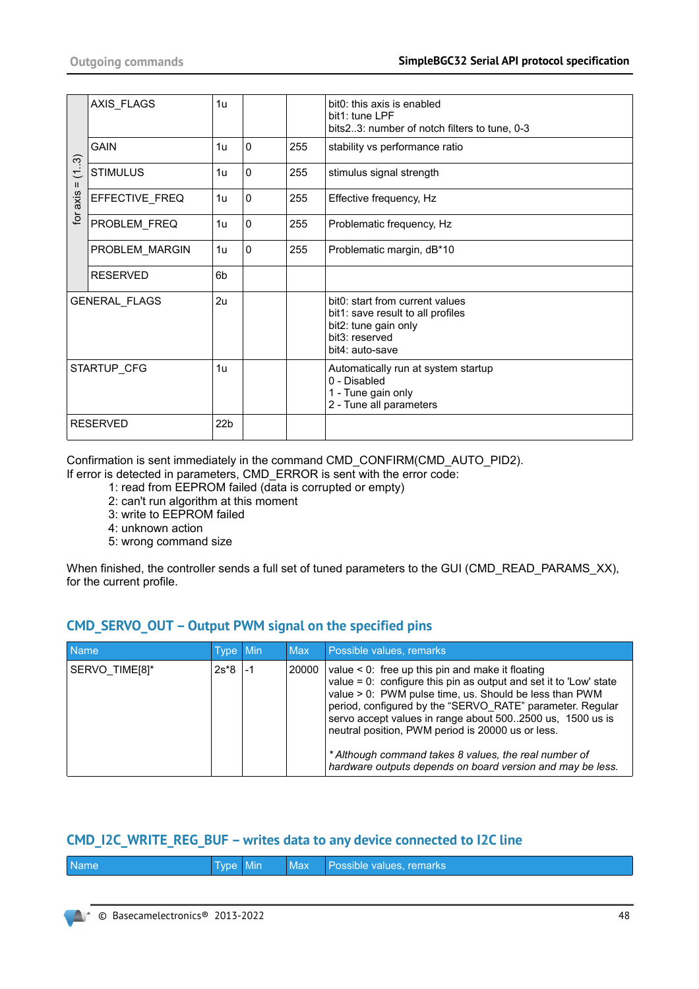|                | AXIS_FLAGS           | 1 <sub>u</sub>  |             |     | bit0: this axis is enabled<br>bit1: tune LPF<br>bits 23: number of notch filters to tune, 0-3                                     |
|----------------|----------------------|-----------------|-------------|-----|-----------------------------------------------------------------------------------------------------------------------------------|
|                | <b>GAIN</b>          | 1 <sub>u</sub>  | $\mathbf 0$ | 255 | stability vs performance ratio                                                                                                    |
| (13)<br>Ш      | <b>STIMULUS</b>      | 1u              | $\mathbf 0$ | 255 | stimulus signal strength                                                                                                          |
| axis           | EFFECTIVE_FREQ       | 1 <sub>u</sub>  | $\Omega$    | 255 | Effective frequency, Hz                                                                                                           |
| $\overline{p}$ | PROBLEM FREQ         | 1u              | $\mathbf 0$ | 255 | Problematic frequency, Hz                                                                                                         |
|                | PROBLEM_MARGIN       | 1 <sub>u</sub>  | $\mathbf 0$ | 255 | Problematic margin, dB*10                                                                                                         |
|                | <b>RESERVED</b>      | 6b              |             |     |                                                                                                                                   |
|                | <b>GENERAL FLAGS</b> | 2u              |             |     | bit0: start from current values<br>bit1: save result to all profiles<br>bit2: tune gain only<br>bit3: reserved<br>bit4: auto-save |
|                | STARTUP_CFG          | 1 <sub>u</sub>  |             |     | Automatically run at system startup<br>0 - Disabled<br>1 - Tune gain only<br>2 - Tune all parameters                              |
|                | <b>RESERVED</b>      | 22 <sub>b</sub> |             |     |                                                                                                                                   |

Confirmation is sent immediately in the command CMD\_CONFIRM(CMD\_AUTO\_PID2).

- If error is detected in parameters, CMD\_ERROR is sent with the error code:
	- 1: read from EEPROM failed (data is corrupted or empty)
	- 2: can't run algorithm at this moment
	- 3: write to EEPROM failed
	- 4: unknown action
	- 5: wrong command size

When finished, the controller sends a full set of tuned parameters to the GUI (CMD\_READ\_PARAMS\_XX), for the current profile.

# **CMD\_SERVO\_OUT – Output PWM signal on the specified pins**

| <b>Name</b>    | Type Min |    | <b>Max</b> | Possible values, remarks                                                                                                                                                                                                                                                                                                                                                                                                                                                                       |
|----------------|----------|----|------------|------------------------------------------------------------------------------------------------------------------------------------------------------------------------------------------------------------------------------------------------------------------------------------------------------------------------------------------------------------------------------------------------------------------------------------------------------------------------------------------------|
| SERVO TIME[8]* | $2s*8$   | -1 | 20000      | value $\leq 0$ : free up this pin and make it floating<br>value = $0$ : configure this pin as output and set it to 'Low' state<br>value > 0: PWM pulse time, us. Should be less than PWM<br>period, configured by the "SERVO RATE" parameter. Regular<br>servo accept values in range about 5002500 us, 1500 us is<br>neutral position, PWM period is 20000 us or less.<br>* Although command takes 8 values, the real number of<br>hardware outputs depends on board version and may be less. |

### **CMD\_I2C\_WRITE\_REG\_BUF – writes data to any device connected to I2C line**

| <b>Name</b> | Type Min |  | Max Possible values, remarks |
|-------------|----------|--|------------------------------|
|             |          |  |                              |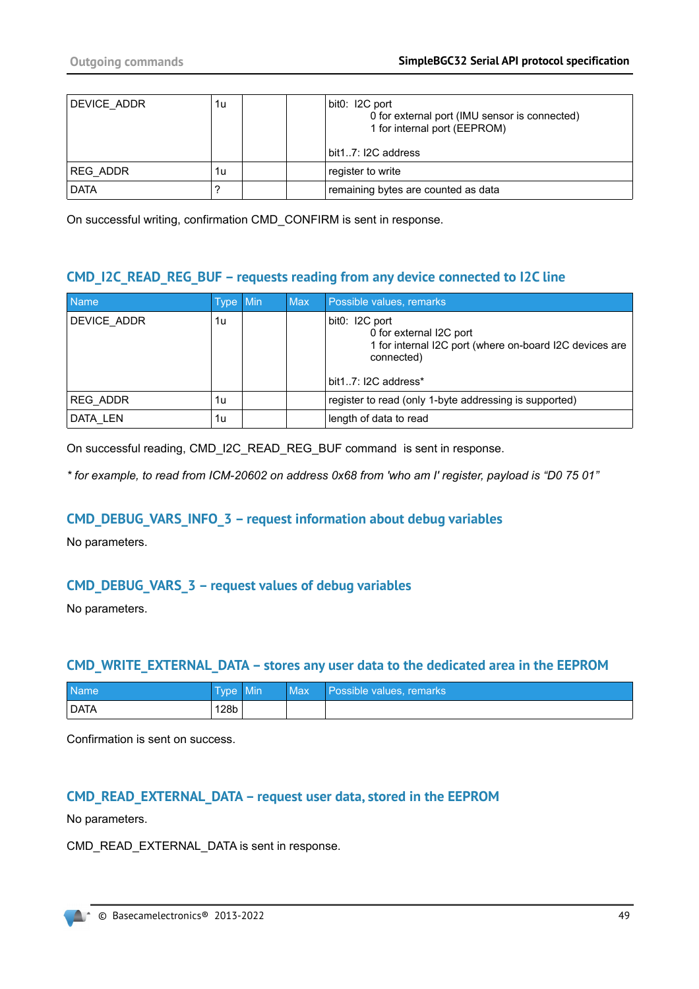| DEVICE ADDR | 1u | bit0: I2C port<br>0 for external port (IMU sensor is connected)<br>1 for internal port (EEPROM)<br>bit17: I2C address |
|-------------|----|-----------------------------------------------------------------------------------------------------------------------|
| REG ADDR    | 1u | register to write                                                                                                     |
| DATA        |    | remaining bytes are counted as data                                                                                   |

On successful writing, confirmation CMD\_CONFIRM is sent in response.

## **CMD\_I2C\_READ\_REG\_BUF – requests reading from any device connected to I2C line**

| <b>Name</b>     | Type Min | Max | Possible values, remarks                                                                                                                  |
|-----------------|----------|-----|-------------------------------------------------------------------------------------------------------------------------------------------|
| DEVICE ADDR     | 1u       |     | bit0: I2C port<br>0 for external I2C port<br>1 for internal I2C port (where on-board I2C devices are<br>connected)<br>bit17: I2C address* |
| <b>REG ADDR</b> | 1u       |     | register to read (only 1-byte addressing is supported)                                                                                    |
| DATA LEN        | 1u       |     | length of data to read                                                                                                                    |

On successful reading, CMD\_I2C\_READ\_REG\_BUF command is sent in response.

*\* for example, to read from ICM-20602 on address 0x68 from 'who am I' register, payload is "D0 75 01"*

### **CMD\_DEBUG\_VARS\_INFO\_3 – request information about debug variables**

No parameters.

# **CMD\_DEBUG\_VARS\_3 – request values of debug variables**

No parameters.

#### **CMD\_WRITE\_EXTERNAL\_DATA – stores any user data to the dedicated area in the EEPROM**

| <b>Name</b> | Type Min | <b>Max</b> | Possible values, remarks |
|-------------|----------|------------|--------------------------|
| <b>DATA</b> | 128b     |            |                          |

Confirmation is sent on success.

### **CMD\_READ\_EXTERNAL\_DATA – request user data, stored in the EEPROM**

No parameters.

CMD\_READ\_EXTERNAL\_DATA is sent in response.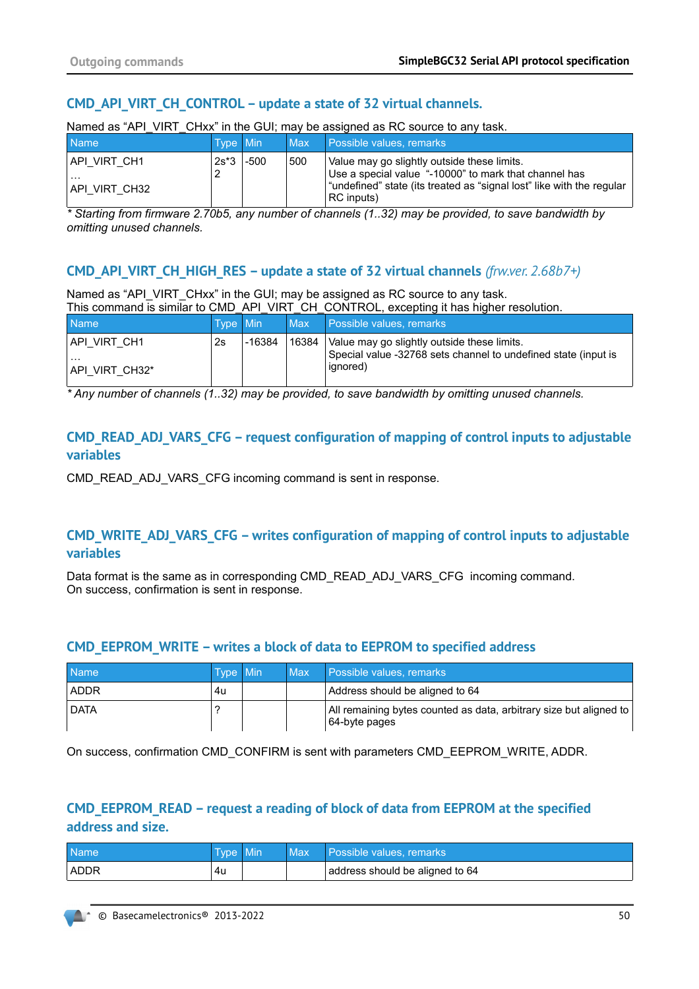# **CMD\_API\_VIRT\_CH\_CONTROL – update a state of 32 virtual channels.**

| <b>Name</b>                                | Type Min |      | Max . | $\frac{1}{2}$ . The contract of the contract of $\frac{1}{2}$ , $\frac{1}{2}$ , $\frac{1}{2}$ , $\frac{1}{2}$ , $\frac{1}{2}$ , $\frac{1}{2}$ , $\frac{1}{2}$ , $\frac{1}{2}$ , $\frac{1}{2}$ , $\frac{1}{2}$ , $\frac{1}{2}$ , $\frac{1}{2}$ , $\frac{1}{2}$ , $\frac{1}{2}$ , $\frac{1}{2}$<br><b>Possible values, remarks</b> |
|--------------------------------------------|----------|------|-------|----------------------------------------------------------------------------------------------------------------------------------------------------------------------------------------------------------------------------------------------------------------------------------------------------------------------------------|
| API VIRT CH1!<br>$\cdots$<br>API VIRT CH32 | $2s*3$   | -500 | 500   | Value may go slightly outside these limits.<br>Use a special value "-10000" to mark that channel has<br>"undefined" state (its treated as "signal lost" like with the regular<br>RC inputs)                                                                                                                                      |

Named as "API\_VIRT\_CHxx" in the GUI; may be assigned as RC source to any task.

*\* Starting from firmware 2.70b5, any number of channels (1..32) may be provided, to save bandwidth by omitting unused channels.*

## **CMD\_API\_VIRT\_CH\_HIGH\_RES – update a state of 32 virtual channels** *(frw.ver. 2.68b7+)*

Named as "API\_VIRT\_CHxx" in the GUI; may be assigned as RC source to any task. This command is similar to CMD\_API\_VIRT\_CH\_CONTROL, excepting it has higher resolution.

| <b>Name</b>                                 | Type Min |        | Max   | Possible values, remarks                                                                                                  |
|---------------------------------------------|----------|--------|-------|---------------------------------------------------------------------------------------------------------------------------|
| IAPI VIRT CH1<br>$\cdots$<br>API VIRT CH32* | 2s       | -16384 | 16384 | Value may go slightly outside these limits.<br>Special value -32768 sets channel to undefined state (input is<br>ignored) |

*\* Any number of channels (1..32) may be provided, to save bandwidth by omitting unused channels.*

## **CMD\_READ\_ADJ\_VARS\_CFG – request configuration of mapping of control inputs to adjustable variables**

CMD\_READ\_ADJ\_VARS\_CFG incoming command is sent in response.

# **CMD\_WRITE\_ADJ\_VARS\_CFG – writes configuration of mapping of control inputs to adjustable variables**

Data format is the same as in corresponding CMD\_READ\_ADJ\_VARS\_CFG\_incoming command. On success, confirmation is sent in response.

### **CMD\_EEPROM\_WRITE – writes a block of data to EEPROM to specified address**

| <b>Name</b> | Type Min | Max | Possible values, remarks,                                                           |
|-------------|----------|-----|-------------------------------------------------------------------------------------|
| <b>ADDR</b> | 4u       |     | Address should be aligned to 64                                                     |
| <b>DATA</b> |          |     | All remaining bytes counted as data, arbitrary size but aligned to<br>64-byte pages |

On success, confirmation CMD\_CONFIRM is sent with parameters CMD\_EEPROM\_WRITE, ADDR.

# **CMD\_EEPROM\_READ – request a reading of block of data from EEPROM at the specified address and size.**

| <b>Name</b> | Type Min | Max | Possible values, remarks        |
|-------------|----------|-----|---------------------------------|
| ADDR        | 4u       |     | address should be aligned to 64 |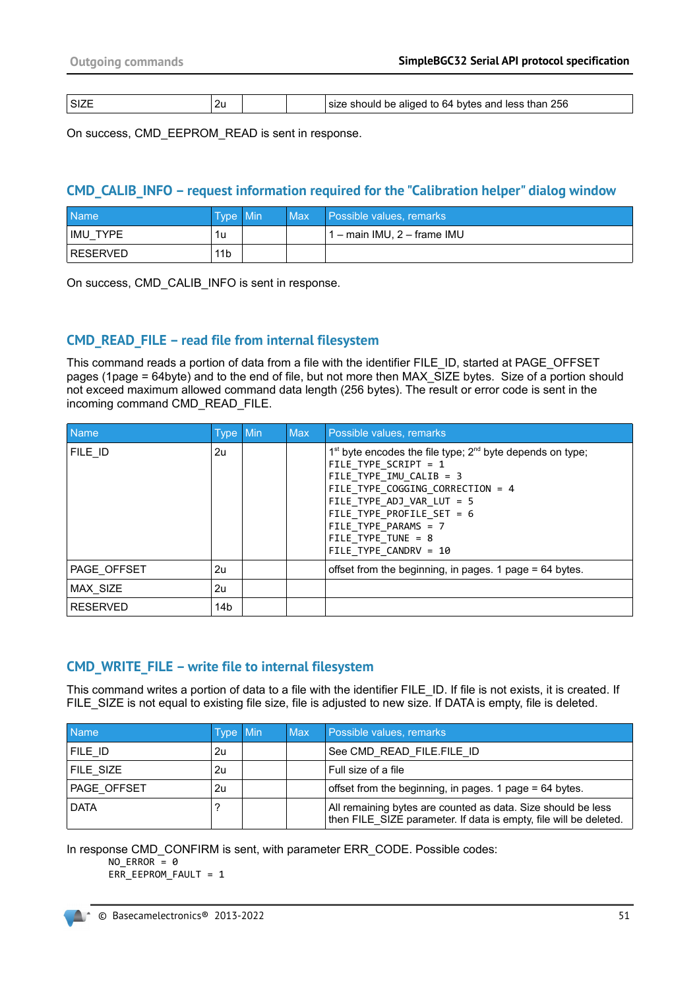| $\sim$ $\sim$ $\sim$<br>ו כי<br>.SIZI<br>∠∪ | 256<br>e should be aliged to 64 bytes and less than :<br>size |
|---------------------------------------------|---------------------------------------------------------------|
|---------------------------------------------|---------------------------------------------------------------|

On success, CMD\_EEPROM\_READ is sent in response.

#### **CMD\_CALIB\_INFO – request information required for the "Calibration helper" dialog window**

| <b>Name</b> | Type Min        | Max | I Possible values, remarks  |
|-------------|-----------------|-----|-----------------------------|
| IMU<br>TYPE | 1u              |     | 1 – main IMU, 2 – frame IMU |
| RESERVED    | 11 <sub>b</sub> |     |                             |

On success, CMD\_CALIB\_INFO is sent in response.

### **CMD\_READ\_FILE – read file from internal filesystem**

This command reads a portion of data from a file with the identifier FILE\_ID, started at PAGE\_OFFSET pages (1page = 64byte) and to the end of file, but not more then MAX\_SIZE bytes. Size of a portion should not exceed maximum allowed command data length (256 bytes). The result or error code is sent in the incoming command CMD\_READ\_FILE.

| <b>Name</b>     | Type Min        | <b>Max</b> | Possible values, remarks                                                                                                                                                                                                                                                                      |
|-----------------|-----------------|------------|-----------------------------------------------------------------------------------------------------------------------------------------------------------------------------------------------------------------------------------------------------------------------------------------------|
| FILE ID         | 2u              |            | $1st$ byte encodes the file type; $2nd$ byte depends on type;<br>FILE TYPE SCRIPT = 1<br>FILE TYPE IMU CALIB = $3$<br>FILE TYPE COGGING CORRECTION = 4<br>FILE TYPE ADJ VAR LUT = $5$<br>FILE TYPE PROFILE SET = $6$<br>FILE TYPE_PARAMS = 7<br>FILE TYPE TUNE = $8$<br>FILE TYPE CANDRV = 10 |
| PAGE OFFSET     | 2u              |            | offset from the beginning, in pages. 1 page = 64 bytes.                                                                                                                                                                                                                                       |
| MAX SIZE        | 2u              |            |                                                                                                                                                                                                                                                                                               |
| <b>RESERVED</b> | 14 <sub>b</sub> |            |                                                                                                                                                                                                                                                                                               |

### **CMD\_WRITE\_FILE – write file to internal filesystem**

This command writes a portion of data to a file with the identifier FILE\_ID. If file is not exists, it is created. If FILE\_SIZE is not equal to existing file size, file is adjusted to new size. If DATA is empty, file is deleted.

| <b>Name</b> | Type Min | <b>Max</b> | Possible values, remarks                                                                                                          |
|-------------|----------|------------|-----------------------------------------------------------------------------------------------------------------------------------|
| FILE ID     | 2u       |            | See CMD READ FILE.FILE ID                                                                                                         |
| FILE SIZE   | 2u       |            | Full size of a file                                                                                                               |
| PAGE OFFSET | 2u       |            | offset from the beginning, in pages. 1 page = 64 bytes.                                                                           |
| <b>DATA</b> |          |            | All remaining bytes are counted as data. Size should be less<br>then FILE SIZE parameter. If data is empty, file will be deleted. |

In response CMD\_CONFIRM is sent, with parameter ERR\_CODE. Possible codes:

NO ERROR =  $\theta$ 

ERR\_EEPROM\_FAULT = 1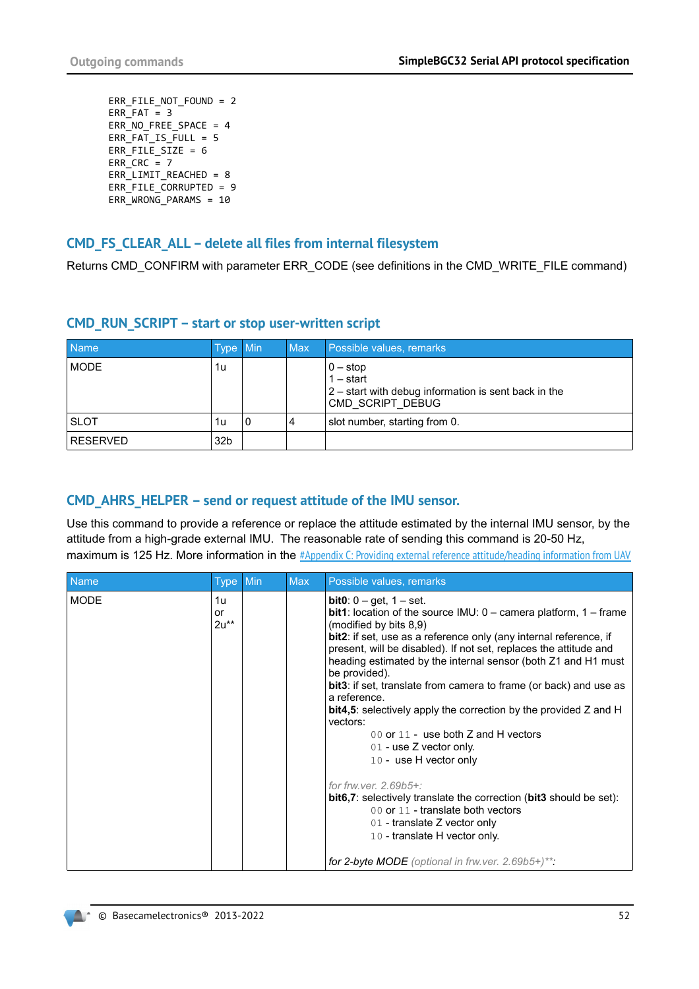ERR\_FILE\_NOT\_FOUND = 2 ERR $FAT = 3$ ERR\_NO\_FREE\_SPACE =  $4$ ERR FAT IS FULL =  $5$ ERR\_FILE\_SIZE = 6 ERR  $CRC = 7$  $ERR$  LIMIT REACHED = 8 ERR\_FILE\_CORRUPTED = 9 ERR\_WRONG\_PARAMS = 10

#### **CMD\_FS\_CLEAR\_ALL – delete all files from internal filesystem**

Returns CMD\_CONFIRM with parameter ERR\_CODE (see definitions in the CMD\_WRITE\_FILE command)

| <b>Name</b>     | Type Min        |   | <b>Max</b> | Possible values, remarks                                                                                                                            |
|-----------------|-----------------|---|------------|-----------------------------------------------------------------------------------------------------------------------------------------------------|
| <b>MODE</b>     | 1u              |   |            | $\begin{vmatrix} 0 - \mathrm{stop} \\ 1 - \mathrm{start} \end{vmatrix}$<br>2 – start with debug information is sent back in the<br>CMD SCRIPT DEBUG |
| <b>SLOT</b>     | 1u              | 0 | 4          | slot number, starting from 0.                                                                                                                       |
| <b>RESERVED</b> | 32 <sub>b</sub> |   |            |                                                                                                                                                     |

#### **CMD\_RUN\_SCRIPT – start or stop user-written script**

### **CMD\_AHRS\_HELPER – send or request attitude of the IMU sensor.**

Use this command to provide a reference or replace the attitude estimated by the internal IMU sensor, by the attitude from a high-grade external IMU. The reasonable rate of sending this command is 20-50 Hz, maximum is 125 Hz. More information in the [#Appendix C: Providing external reference attitude/heading information from UAV](#page-63-0)

| <b>Name</b> | <b>Type</b>        | Min | <b>Max</b> | Possible values, remarks                                                                                                                                                                                                                                                                                                                                                                                                                                                                                                                                                                                                                                                                                                                                                                                                                                                |
|-------------|--------------------|-----|------------|-------------------------------------------------------------------------------------------------------------------------------------------------------------------------------------------------------------------------------------------------------------------------------------------------------------------------------------------------------------------------------------------------------------------------------------------------------------------------------------------------------------------------------------------------------------------------------------------------------------------------------------------------------------------------------------------------------------------------------------------------------------------------------------------------------------------------------------------------------------------------|
| <b>MODE</b> | 1u<br>or<br>$2u**$ |     |            | <b>bit0</b> : $0 - get$ , $1 - set$ .<br><b>bit1</b> : location of the source IMU: $0 -$ camera platform, $1 -$ frame<br>(modified by bits 8,9)<br>bit2: if set, use as a reference only (any internal reference, if<br>present, will be disabled). If not set, replaces the attitude and<br>heading estimated by the internal sensor (both Z1 and H1 must<br>be provided).<br><b>bit3</b> : if set, translate from camera to frame (or back) and use as<br>a reference.<br><b>bit4,5</b> : selectively apply the correction by the provided Z and H<br>vectors:<br>00 or 11 - use both $Z$ and $H$ vectors<br>$01$ - use Z vector only.<br>10 - use H vector only<br>for frw.ver. 2.69b5+:<br>bit6,7: selectively translate the correction (bit3 should be set):<br>00 or 11 - translate both vectors<br>01 - translate Z vector only<br>10 - translate H vector only. |
|             |                    |     |            | for 2-byte MODE (optional in frw. ver. $2.69b5+)$ **:                                                                                                                                                                                                                                                                                                                                                                                                                                                                                                                                                                                                                                                                                                                                                                                                                   |

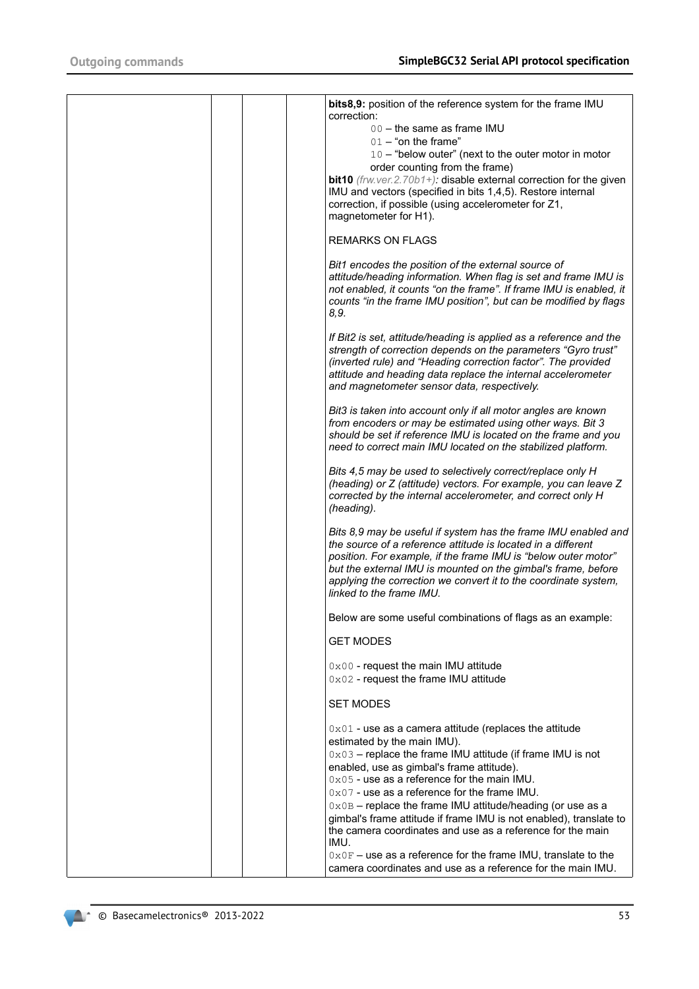|  | bits8,9: position of the reference system for the frame IMU<br>correction:<br>00 - the same as frame IMU<br>$01 -$ "on the frame"<br>10 - "below outer" (next to the outer motor in motor<br>order counting from the frame)<br>bit10 (frw.ver.2.70b1+): disable external correction for the given<br>IMU and vectors (specified in bits 1,4,5). Restore internal<br>correction, if possible (using accelerometer for Z1,<br>magnetometer for H1).                                                                             |
|--|-------------------------------------------------------------------------------------------------------------------------------------------------------------------------------------------------------------------------------------------------------------------------------------------------------------------------------------------------------------------------------------------------------------------------------------------------------------------------------------------------------------------------------|
|  | <b>REMARKS ON FLAGS</b>                                                                                                                                                                                                                                                                                                                                                                                                                                                                                                       |
|  | Bit1 encodes the position of the external source of<br>attitude/heading information. When flag is set and frame IMU is<br>not enabled, it counts "on the frame". If frame IMU is enabled, it<br>counts "in the frame IMU position", but can be modified by flags<br>8,9.                                                                                                                                                                                                                                                      |
|  | If Bit2 is set, attitude/heading is applied as a reference and the<br>strength of correction depends on the parameters "Gyro trust"<br>(inverted rule) and "Heading correction factor". The provided<br>attitude and heading data replace the internal accelerometer<br>and magnetometer sensor data, respectively.                                                                                                                                                                                                           |
|  | Bit3 is taken into account only if all motor angles are known<br>from encoders or may be estimated using other ways. Bit 3<br>should be set if reference IMU is located on the frame and you<br>need to correct main IMU located on the stabilized platform.                                                                                                                                                                                                                                                                  |
|  | Bits 4,5 may be used to selectively correct/replace only H<br>(heading) or Z (attitude) vectors. For example, you can leave Z<br>corrected by the internal accelerometer, and correct only H<br>(heading).                                                                                                                                                                                                                                                                                                                    |
|  | Bits 8,9 may be useful if system has the frame IMU enabled and<br>the source of a reference attitude is located in a different<br>position. For example, if the frame IMU is "below outer motor"<br>but the external IMU is mounted on the gimbal's frame, before<br>applying the correction we convert it to the coordinate system,<br>linked to the frame IMU.                                                                                                                                                              |
|  | Below are some useful combinations of flags as an example:                                                                                                                                                                                                                                                                                                                                                                                                                                                                    |
|  | <b>GET MODES</b>                                                                                                                                                                                                                                                                                                                                                                                                                                                                                                              |
|  | 0x00 - request the main IMU attitude<br>0x02 - request the frame IMU attitude                                                                                                                                                                                                                                                                                                                                                                                                                                                 |
|  | <b>SET MODES</b>                                                                                                                                                                                                                                                                                                                                                                                                                                                                                                              |
|  | $0 \times 01$ - use as a camera attitude (replaces the attitude<br>estimated by the main IMU).<br>0x03 - replace the frame IMU attitude (if frame IMU is not<br>enabled, use as gimbal's frame attitude).<br>$0 \times 05$ - use as a reference for the main IMU.<br>$0x07$ - use as a reference for the frame IMU.<br>0x0B - replace the frame IMU attitude/heading (or use as a<br>gimbal's frame attitude if frame IMU is not enabled), translate to<br>the camera coordinates and use as a reference for the main<br>IMU. |
|  | 0x0F - use as a reference for the frame IMU, translate to the<br>camera coordinates and use as a reference for the main IMU.                                                                                                                                                                                                                                                                                                                                                                                                  |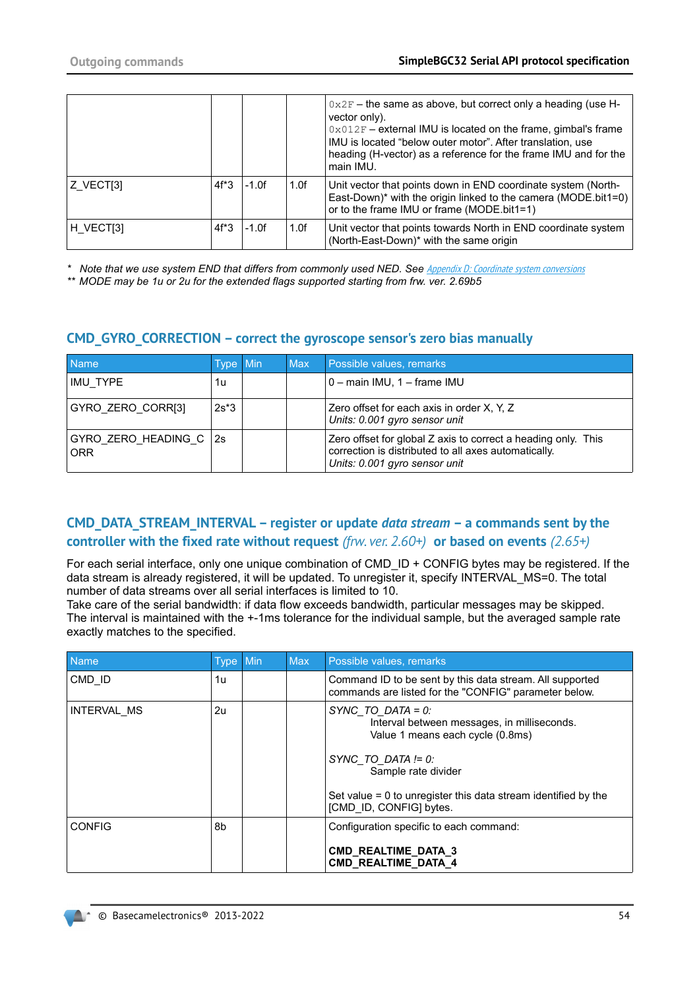|           |         |          |      | $0x2F$ – the same as above, but correct only a heading (use H-<br>vector only).<br>$0 \times 012$ F – external IMU is located on the frame, gimbal's frame<br>IMU is located "below outer motor". After translation, use<br>heading (H-vector) as a reference for the frame IMU and for the<br>main IMU. |
|-----------|---------|----------|------|----------------------------------------------------------------------------------------------------------------------------------------------------------------------------------------------------------------------------------------------------------------------------------------------------------|
| Z VECT[3] | $4f^*3$ | $-1.0$ f | 1.0f | Unit vector that points down in END coordinate system (North-<br>East-Down)* with the origin linked to the camera (MODE.bit1=0)<br>or to the frame IMU or frame (MODE.bit1=1)                                                                                                                            |
| H VECT[3] | $4f^*3$ | -1.0f    | 1.0f | Unit vector that points towards North in END coordinate system<br>(North-East-Down)* with the same origin                                                                                                                                                                                                |

\* Note that we use system END that differs from commonly used NED. See **[Appendix D: Coordinate system conversions](#page-64-0)** 

*\*\* MODE may be 1u or 2u for the extended flags supported starting from frw. ver. 2.69b5*

# **CMD\_GYRO\_CORRECTION – correct the gyroscope sensor's zero bias manually**

| <b>Name</b>                              | Type Min | <b>Max</b> | Possible values, remarks                                                                                                                               |
|------------------------------------------|----------|------------|--------------------------------------------------------------------------------------------------------------------------------------------------------|
| IMU TYPE                                 | 1u       |            | $0$ – main IMU, $1$ – frame IMU                                                                                                                        |
| GYRO ZERO CORR[3]                        | $2s*3$   |            | Zero offset for each axis in order X, Y, Z<br>Units: 0.001 gyro sensor unit                                                                            |
| GYRO ZERO HEADING C $ 2s $<br><b>ORR</b> |          |            | Zero offset for global Z axis to correct a heading only. This<br>correction is distributed to all axes automatically.<br>Units: 0.001 gyro sensor unit |

## **CMD\_DATA\_STREAM\_INTERVAL – register or update** *data stream* **– a commands sent by the controller with the fixed rate without request** *(frw. ver. 2.60+)* **or based on events** *(2.65+)*

For each serial interface, only one unique combination of CMD ID + CONFIG bytes may be registered. If the data stream is already registered, it will be updated. To unregister it, specify INTERVAL\_MS=0. The total number of data streams over all serial interfaces is limited to 10.

Take care of the serial bandwidth: if data flow exceeds bandwidth, particular messages may be skipped. The interval is maintained with the +-1ms tolerance for the individual sample, but the averaged sample rate exactly matches to the specified.

| <b>Name</b>   | <b>Type</b> | Min | <b>Max</b> | Possible values, remarks                                                                                                                                                                                                                               |
|---------------|-------------|-----|------------|--------------------------------------------------------------------------------------------------------------------------------------------------------------------------------------------------------------------------------------------------------|
| CMD ID        | 1u          |     |            | Command ID to be sent by this data stream. All supported<br>commands are listed for the "CONFIG" parameter below.                                                                                                                                      |
| INTERVAL MS   | 2u          |     |            | SYNC TO DATA = $0$ :<br>Interval between messages, in milliseconds.<br>Value 1 means each cycle (0.8ms)<br>SYNC TO DATA $!= 0$ :<br>Sample rate divider<br>Set value $= 0$ to unregister this data stream identified by the<br>[CMD ID, CONFIG] bytes. |
| <b>CONFIG</b> | 8b          |     |            | Configuration specific to each command:                                                                                                                                                                                                                |
|               |             |     |            | CMD_REALTIME_DATA_3<br><b>CMD REALTIME DATA 4</b>                                                                                                                                                                                                      |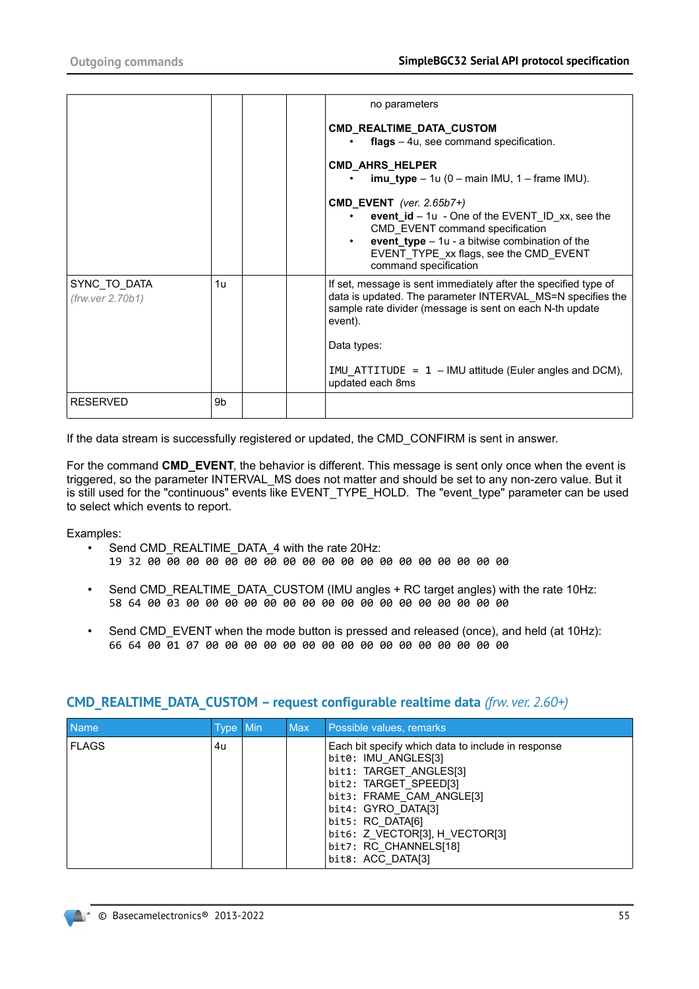|                                  |    | no parameters                                                                                                                                                                                        |
|----------------------------------|----|------------------------------------------------------------------------------------------------------------------------------------------------------------------------------------------------------|
|                                  |    | CMD_REALTIME_DATA_CUSTOM                                                                                                                                                                             |
|                                  |    | $flags - 4u$ , see command specification.                                                                                                                                                            |
|                                  |    |                                                                                                                                                                                                      |
|                                  |    | <b>CMD_AHRS_HELPER</b>                                                                                                                                                                               |
|                                  |    | $\text{imu\_type} - 1u (0 - \text{main IMU}, 1 - \text{frame IMU}).$                                                                                                                                 |
|                                  |    | CMD EVENT (ver. $2.65b7+$ )                                                                                                                                                                          |
|                                  |    | event $id - 1u - One$ of the EVENT ID xx, see the                                                                                                                                                    |
|                                  |    | CMD EVENT command specification                                                                                                                                                                      |
|                                  |    | event_type $-1u - a$ bitwise combination of the                                                                                                                                                      |
|                                  |    | EVENT TYPE xx flags, see the CMD EVENT                                                                                                                                                               |
|                                  |    | command specification                                                                                                                                                                                |
| SYNC TO DATA<br>(frw.ver 2.70b1) | 1u | If set, message is sent immediately after the specified type of<br>data is updated. The parameter INTERVAL MS=N specifies the<br>sample rate divider (message is sent on each N-th update<br>event). |
|                                  |    | Data types:                                                                                                                                                                                          |
|                                  |    | IMU ATTITUDE = $1 - 1$ MU attitude (Euler angles and DCM),<br>updated each 8ms                                                                                                                       |
| <b>RESERVED</b>                  | 9b |                                                                                                                                                                                                      |

If the data stream is successfully registered or updated, the CMD\_CONFIRM is sent in answer.

For the command **CMD\_EVENT**, the behavior is different. This message is sent only once when the event is triggered, so the parameter INTERVAL\_MS does not matter and should be set to any non-zero value. But it is still used for the "continuous" events like EVENT\_TYPE\_HOLD. The "event\_type" parameter can be used to select which events to report.

Examples:

- Send CMD\_REALTIME\_DATA\_4 with the rate 20Hz:
	- 19 32 00 00 00 00 00 00 00 00 00 00 00 00 00 00 00 00 00 00 00
- Send CMD\_REALTIME\_DATA\_CUSTOM (IMU angles + RC target angles) with the rate 10Hz: 58 64 00 03 00 00 00 00 00 00 00 00 00 00 00 00 00 00 00 00 00
- Send CMD\_EVENT when the mode button is pressed and released (once), and held (at 10Hz): 66 64 00 01 07 00 00 00 00 00 00 00 00 00 00 00 00 00 00 00 00

| Name         | Type Min | <b>Max</b> | Possible values, remarks                                                                                                                                                                                                                                                           |
|--------------|----------|------------|------------------------------------------------------------------------------------------------------------------------------------------------------------------------------------------------------------------------------------------------------------------------------------|
| <b>FLAGS</b> | 4u       |            | Each bit specify which data to include in response<br>bit0: IMU ANGLES[3]<br>bit1: TARGET ANGLES[3]<br>bit2: TARGET SPEED[3]<br>bit3: FRAME CAM ANGLE[3]<br>bit4: GYRO DATA[3]<br>bit5: RC DATA[6]<br>bit6: Z VECTOR[3], H VECTOR[3]<br>bit7: RC CHANNELS[18]<br>bit8: ACC DATA[3] |

### **CMD\_REALTIME\_DATA\_CUSTOM – request configurable realtime data** *(frw. ver. 2.60+)*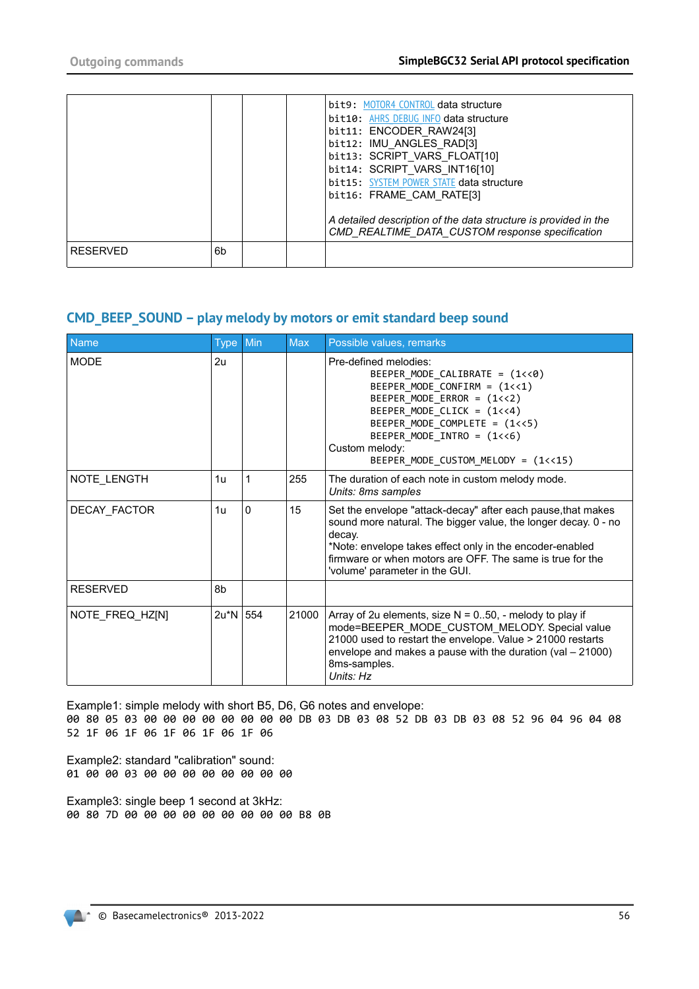|                 |    |  | bit9: MOTOR4 CONTROL data structure<br>bit10: AHRS DEBUG INFO data structure<br>bit11: ENCODER RAW24[3]<br>bit12: IMU ANGLES RAD[3]<br>bit13: SCRIPT VARS FLOAT[10]<br>bit14: SCRIPT VARS INT16[10]<br>bit15: SYSTEM POWER STATE data structure<br>bit16: FRAME CAM RATE[3]<br>A detailed description of the data structure is provided in the<br>CMD_REALTIME_DATA_CUSTOM response specification |
|-----------------|----|--|---------------------------------------------------------------------------------------------------------------------------------------------------------------------------------------------------------------------------------------------------------------------------------------------------------------------------------------------------------------------------------------------------|
| <b>RESERVED</b> | 6b |  |                                                                                                                                                                                                                                                                                                                                                                                                   |

#### **CMD\_BEEP\_SOUND – play melody by motors or emit standard beep sound**

| <b>Name</b>     | Type Min |          | <b>Max</b> | Possible values, remarks                                                                                                                                                                                                                                                                            |
|-----------------|----------|----------|------------|-----------------------------------------------------------------------------------------------------------------------------------------------------------------------------------------------------------------------------------------------------------------------------------------------------|
| <b>MODE</b>     | 2u       |          |            | Pre-defined melodies:<br>BEEPER MODE CALIBRATE = $(1\langle 0 \rangle)$<br>BEEPER MODE CONFIRM = $(1<<1)$<br>BEEPER MODE ERROR = (1<<2)<br>BEEPER MODE CLICK = (1<<4)<br>BEEPER_MODE_COMPLETE = (1<<5)<br>BEEPER MODE INTRO = $(1\lt 6)$<br>Custom melody:<br>BEEPER_MODE_CUSTOM_MELODY = (1<<15)   |
| NOTE LENGTH     | 1u       | 1        | 255        | The duration of each note in custom melody mode.<br>Units: 8ms samples                                                                                                                                                                                                                              |
| DECAY_FACTOR    | 1u       | $\Omega$ | 15         | Set the envelope "attack-decay" after each pause, that makes<br>sound more natural. The bigger value, the longer decay. 0 - no<br>decay.<br>*Note: envelope takes effect only in the encoder-enabled<br>firmware or when motors are OFF. The same is true for the<br>'volume' parameter in the GUI. |
| <b>RESERVED</b> | 8b       |          |            |                                                                                                                                                                                                                                                                                                     |
| NOTE FREQ HZ[N] | $2u^*N$  | 554      | 21000      | Array of 2u elements, size $N = 0.50$ , - melody to play if<br>mode=BEEPER MODE CUSTOM MELODY. Special value<br>21000 used to restart the envelope. Value > 21000 restarts<br>envelope and makes a pause with the duration (val $-21000$ )<br>8ms-samples.<br>Units: Hz                             |

Example1: simple melody with short B5, D6, G6 notes and envelope: 00 80 05 03 00 00 00 00 00 00 00 00 DB 03 DB 03 08 52 DB 03 DB 03 08 52 96 04 96 04 08 52 1F 06 1F 06 1F 06 1F 06 1F 06

Example2: standard "calibration" sound: 01 00 00 03 00 00 00 00 00 00 00 00

Example3: single beep 1 second at 3kHz: 00 80 7D 00 00 00 00 00 00 00 00 00 B8 0B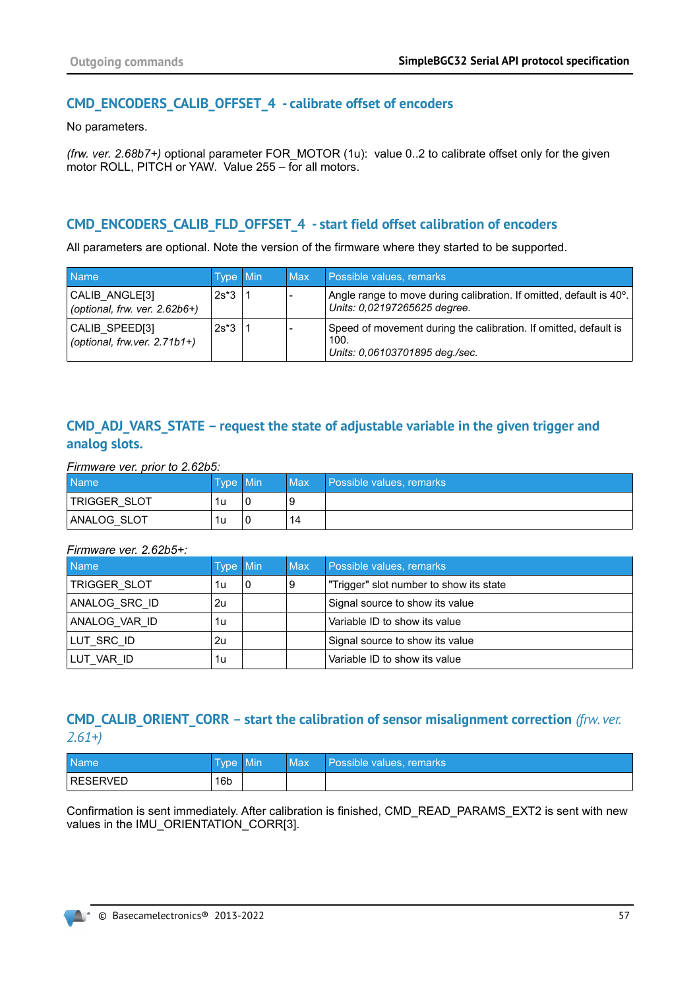# **CMD\_ENCODERS\_CALIB\_OFFSET\_4 - calibrate offset of encoders**

No parameters.

*(frw. ver. 2.68b7+)* optional parameter FOR\_MOTOR (1u): value 0..2 to calibrate offset only for the given motor ROLL, PITCH or YAW. Value 255 – for all motors.

# **CMD\_ENCODERS\_CALIB\_FLD\_OFFSET\_4 - start field offset calibration of encoders**

All parameters are optional. Note the version of the firmware where they started to be supported.

| <b>Name</b>                                        | Type Min | <b>Max</b> | Possible values, remarks                                                                                         |
|----------------------------------------------------|----------|------------|------------------------------------------------------------------------------------------------------------------|
| CALIB ANGLE[3]<br>(optional, frw. ver. $2.62b6+$ ) | $2s*3$   |            | Angle range to move during calibration. If omitted, default is 40 <sup>o</sup> .<br>Units: 0,02197265625 degree. |
| CALIB SPEED[3]<br>(optional, frw.ver. $2.71b1+$ )  | $2s*3$   |            | Speed of movement during the calibration. If omitted, default is<br>100.<br>Units: 0,06103701895 deg./sec.       |

# **CMD\_ADJ\_VARS\_STATE – request the state of adjustable variable in the given trigger and analog slots.**

*Firmware ver. prior to 2.62b5:*

| <b>Name</b>  | Tvpe ' | <b>Min</b> | Max | Possible values, remarks |
|--------------|--------|------------|-----|--------------------------|
| TRIGGER SLOT | 1u     | 0          |     |                          |
| ANALOG SLOT  | 1u     |            | 14  |                          |

#### *Firmware ver. 2.62b5+:*

| <b>Name</b>   | <b>Type Min</b> |   | <b>Max</b> | Possible values, remarks                |
|---------------|-----------------|---|------------|-----------------------------------------|
| TRIGGER SLOT  | 1u              | 0 | 9          | "Trigger" slot number to show its state |
| ANALOG SRC ID | 2u              |   |            | Signal source to show its value         |
| ANALOG VAR ID | 1u              |   |            | Variable ID to show its value           |
| LUT SRC ID    | 2u              |   |            | Signal source to show its value         |
| LUT VAR ID    | 1u              |   |            | Variable ID to show its value           |

# **CMD\_CALIB\_ORIENT\_CORR – start the calibration of sensor misalignment correction (frw. ver.** *2.61+)*

| <b>Name</b> | <b>Type</b>     | Min | Max | Possible values, remarks |
|-------------|-----------------|-----|-----|--------------------------|
| RESERVED    | 16 <sub>b</sub> |     |     |                          |

Confirmation is sent immediately. After calibration is finished, CMD\_READ\_PARAMS\_EXT2 is sent with new values in the IMU\_ORIENTATION\_CORR[3].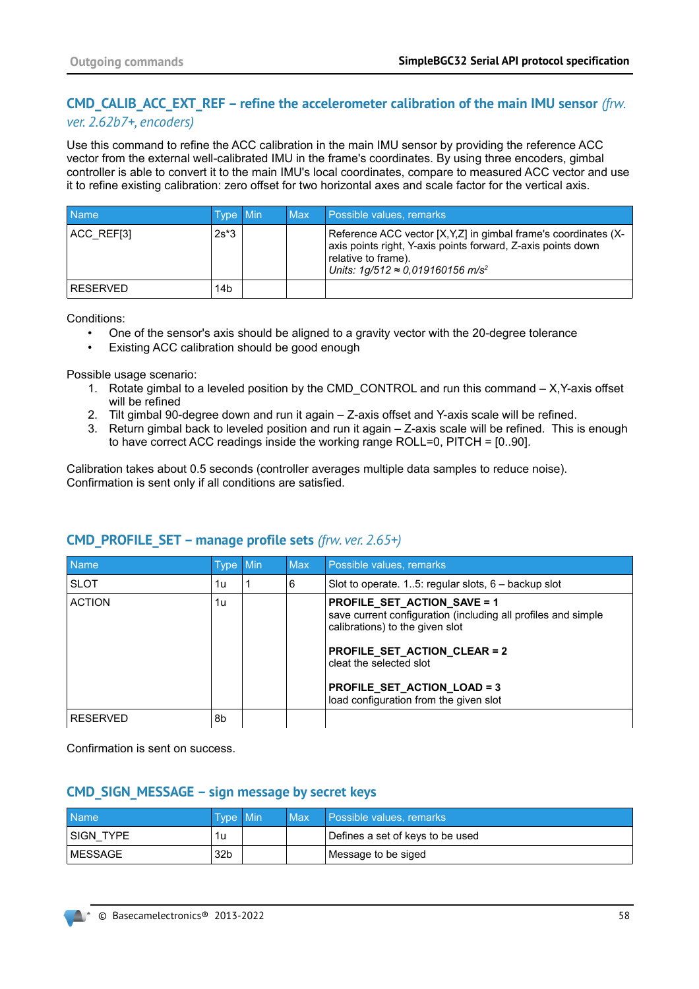# **CMD\_CALIB\_ACC\_EXT\_REF – refine the accelerometer calibration of the main IMU sensor** *(frw. ver. 2.62b7+, encoders)*

Use this command to refine the ACC calibration in the main IMU sensor by providing the reference ACC vector from the external well-calibrated IMU in the frame's coordinates. By using three encoders, gimbal controller is able to convert it to the main IMU's local coordinates, compare to measured ACC vector and use it to refine existing calibration: zero offset for two horizontal axes and scale factor for the vertical axis.

| <b>Name</b> | <b>Type Min</b> | Max | Possible values, remarks                                                                                                                                                                                        |
|-------------|-----------------|-----|-----------------------------------------------------------------------------------------------------------------------------------------------------------------------------------------------------------------|
| ACC REF[3]  | $2s*3$          |     | Reference ACC vector [X, Y, Z] in gimbal frame's coordinates (X-<br>axis points right, Y-axis points forward, Z-axis points down<br>relative to frame).<br>Units: $1g/512 \approx 0.019160156$ m/s <sup>2</sup> |
| RESERVED    | 14b             |     |                                                                                                                                                                                                                 |

Conditions:

- One of the sensor's axis should be aligned to a gravity vector with the 20-degree tolerance
- Existing ACC calibration should be good enough

Possible usage scenario:

- 1. Rotate gimbal to a leveled position by the CMD\_CONTROL and run this command X, Y-axis offset will be refined
- 2. Tilt gimbal 90-degree down and run it again Z-axis offset and Y-axis scale will be refined.
- 3. Return gimbal back to leveled position and run it again Z-axis scale will be refined. This is enough to have correct ACC readings inside the working range ROLL=0, PITCH = [0..90].

Calibration takes about 0.5 seconds (controller averages multiple data samples to reduce noise). Confirmation is sent only if all conditions are satisfied.

| <b>Name</b>     | Type Min | <b>Max</b> | Possible values, remarks                                                                                                                                                                                                                                                          |  |  |  |
|-----------------|----------|------------|-----------------------------------------------------------------------------------------------------------------------------------------------------------------------------------------------------------------------------------------------------------------------------------|--|--|--|
| <b>SLOT</b>     | 1u       | 6          | Slot to operate. 15: regular slots, $6 -$ backup slot                                                                                                                                                                                                                             |  |  |  |
| <b>ACTION</b>   | 1u       |            | <b>PROFILE SET ACTION SAVE = 1</b><br>save current configuration (including all profiles and simple<br>calibrations) to the given slot<br><b>PROFILE SET ACTION CLEAR = 2</b><br>cleat the selected slot<br>PROFILE_SET_ACTION_LOAD = 3<br>load configuration from the given slot |  |  |  |
| <b>RESERVED</b> | 8b       |            |                                                                                                                                                                                                                                                                                   |  |  |  |

# **CMD\_PROFILE\_SET – manage profile sets** *(frw. ver. 2.65+)*

Confirmation is sent on success.

### **CMD\_SIGN\_MESSAGE – sign message by secret keys**

| <b>Name</b> | Type Min        | <b>Max</b> | Possible values, remarks         |
|-------------|-----------------|------------|----------------------------------|
| SIGN TYPE   | 1u              |            | Defines a set of keys to be used |
| ' MESSAGE   | 32 <sub>b</sub> |            | Message to be siged              |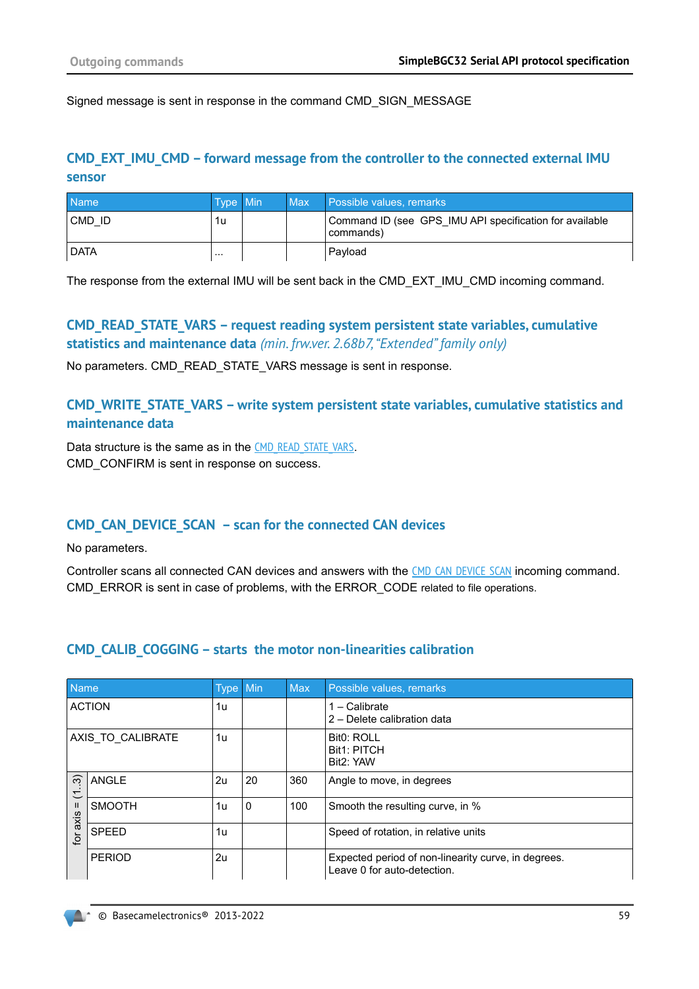Signed message is sent in response in the command CMD\_SIGN\_MESSAGE

# **CMD\_EXT\_IMU\_CMD – forward message from the controller to the connected external IMU sensor**

| <b>Name</b> | <b>Type Min</b> | <b>Max</b> | Possible values, remarks                                             |  |  |
|-------------|-----------------|------------|----------------------------------------------------------------------|--|--|
| CMD ID      | 1u              |            | Command ID (see GPS IMU API specification for available<br>commands) |  |  |
| <b>DATA</b> | $\cdots$        |            | Pavload                                                              |  |  |

The response from the external IMU will be sent back in the CMD\_EXT\_IMU\_CMD incoming command.

## **CMD\_READ\_STATE\_VARS – request reading system persistent state variables, cumulative statistics and maintenance data** *(min. frw.ver. 2.68b7, "Extended" family only)*

No parameters. CMD\_READ\_STATE\_VARS message is sent in response.

### **CMD\_WRITE\_STATE\_VARS – write system persistent state variables, cumulative statistics and maintenance data**

Data structure is the same as in the CMD READ STATE VARS. CMD CONFIRM is sent in response on success.

# **CMD\_CAN\_DEVICE\_SCAN – scan for the connected CAN devices**

No parameters.

Controller scans all connected CAN devices and answers with the [CMD\\_CAN\\_DEVICE\\_SCAN](#page-32-0) incoming command. CMD\_ERROR is sent in case of problems, with the ERROR\_CODE related to file operations.

### **CMD\_CALIB\_COGGING – starts the motor non-linearities calibration**

| <b>Name</b>                    |                   | <b>Type</b> | Min | <b>Max</b> | Possible values, remarks                                                           |  |  |  |
|--------------------------------|-------------------|-------------|-----|------------|------------------------------------------------------------------------------------|--|--|--|
|                                | <b>ACTION</b>     | 1u          |     |            | - Calibrate<br>2 - Delete calibration data                                         |  |  |  |
|                                | AXIS TO CALIBRATE | 1u          |     |            | <b>Bit0: ROLL</b><br><b>Bit1: PITCH</b><br>Bit2: YAW                               |  |  |  |
| $\widetilde{\mathcal{E}}$<br>こ | <b>ANGLE</b>      | 2u          | 20  | 360        | Angle to move, in degrees                                                          |  |  |  |
| $\mathbf{I}$<br>axis           | <b>SMOOTH</b>     | 1u          | 0   | 100        | Smooth the resulting curve, in %                                                   |  |  |  |
| tor                            | <b>SPEED</b>      | 1u          |     |            | Speed of rotation, in relative units                                               |  |  |  |
|                                | <b>PERIOD</b>     | 2u          |     |            | Expected period of non-linearity curve, in degrees.<br>Leave 0 for auto-detection. |  |  |  |

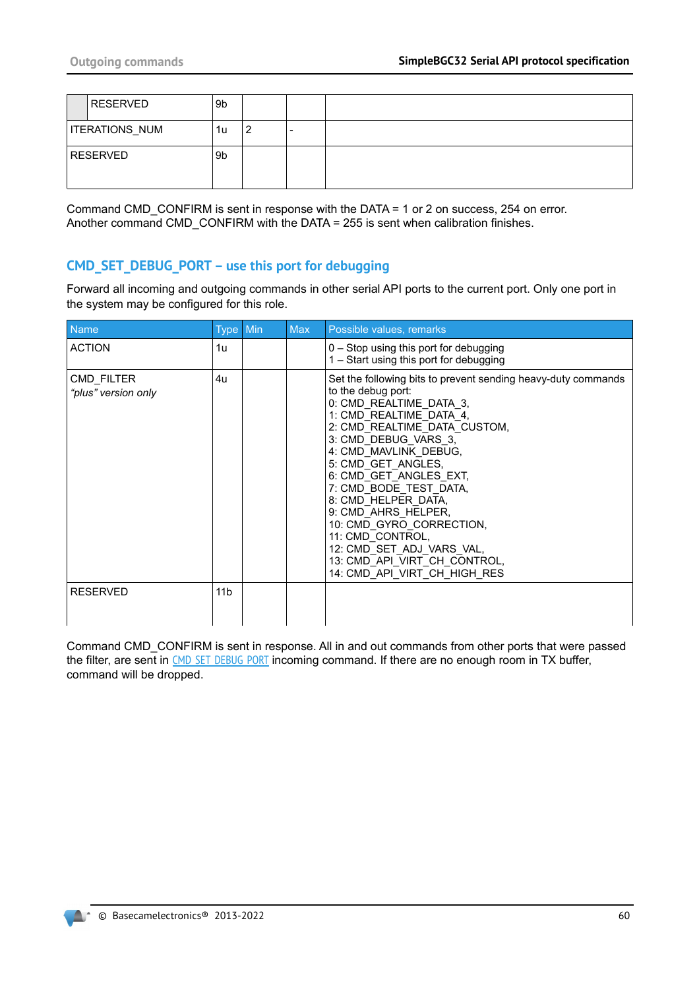| <b>RESERVED</b>       | 9b             |   |  |
|-----------------------|----------------|---|--|
| <b>ITERATIONS_NUM</b> | 1u             | 2 |  |
| <b>RESERVED</b>       | 9 <sub>b</sub> |   |  |

Command CMD\_CONFIRM is sent in response with the DATA = 1 or 2 on success, 254 on error. Another command CMD\_CONFIRM with the DATA = 255 is sent when calibration finishes.

## <span id="page-59-0"></span>**CMD\_SET\_DEBUG\_PORT – use this port for debugging**

Forward all incoming and outgoing commands in other serial API ports to the current port. Only one port in the system may be configured for this role.

| <b>Name</b>                       | Type Min        | <b>Max</b> | Possible values, remarks                                                                                                                                                                                                                                                                                                                                                                                                                                                                        |  |  |
|-----------------------------------|-----------------|------------|-------------------------------------------------------------------------------------------------------------------------------------------------------------------------------------------------------------------------------------------------------------------------------------------------------------------------------------------------------------------------------------------------------------------------------------------------------------------------------------------------|--|--|
| <b>ACTION</b>                     | 1u              |            | $0 -$ Stop using this port for debugging<br>1 - Start using this port for debugging                                                                                                                                                                                                                                                                                                                                                                                                             |  |  |
| CMD FILTER<br>"plus" version only | 4u              |            | Set the following bits to prevent sending heavy-duty commands<br>to the debug port:<br>0: CMD REALTIME DATA 3,<br>1: CMD REALTIME DATA 4,<br>2: CMD REALTIME DATA CUSTOM,<br>3: CMD DEBUG VARS 3,<br>4: CMD MAVLINK DEBUG,<br>5: CMD GET ANGLES,<br>6: CMD GET ANGLES EXT,<br>7: CMD BODE TEST DATA,<br>8: CMD HELPER DATA,<br>9: CMD AHRS HELPER,<br>10: CMD GYRO CORRECTION,<br>11: CMD CONTROL,<br>12: CMD SET ADJ VARS VAL,<br>13: CMD API VIRT CH CONTROL,<br>14: CMD API VIRT CH HIGH RES |  |  |
| <b>RESERVED</b>                   | 11 <sub>b</sub> |            |                                                                                                                                                                                                                                                                                                                                                                                                                                                                                                 |  |  |

Command CMD\_CONFIRM is sent in response. All in and out commands from other ports that were passed the filter, are sent in [CMD\\_SET\\_DEBUG\\_PORT](#page-32-1) incoming command. If there are no enough room in TX buffer, command will be dropped.

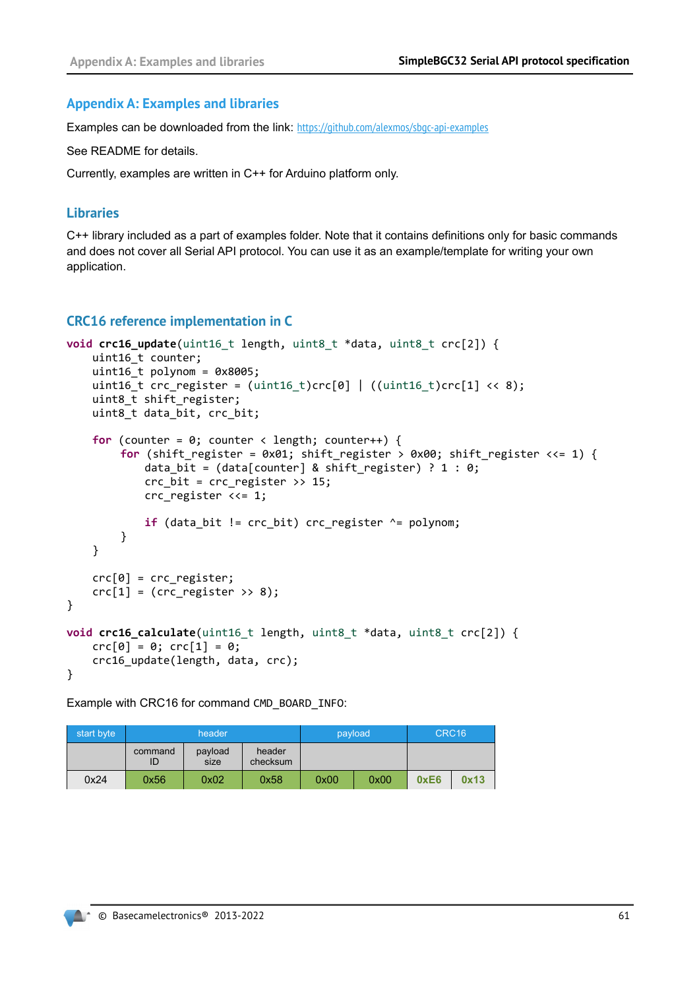#### <span id="page-60-0"></span>**Appendix A: Examples and libraries**

Examples can be downloaded from the link: <https://github.com/alexmos/sbgc-api-examples>

See README for details.

Currently, examples are written in C++ for Arduino platform only.

#### **Libraries**

C++ library included as a part of examples folder. Note that it contains definitions only for basic commands and does not cover all Serial API protocol. You can use it as an example/template for writing your own application.

#### **CRC16 reference implementation in C**

```
void crc16 update(uint16 t length, uint8 t *data, uint8 t crc[2]) {
    uint16_t counter;
    uint16 t polynom = 0x8005;
    uint16_t crc_register = (uint16_t)crc[0] | ((uint16_t)crc[1] \ll 8);uint8_t shift_register;
    uint8_t data_bit, crc_bit;
    for (counter = \theta; counter < length; counter++) {
         for (shift_register = 0x01; shift_register > 0x00; shift_register <<= 1) {
            data_bit = (data[counter] & shift_register) ? 1 : 0;
            crc_bit = crc_register >> 15;
            crc register \langle \langle = 1; \rangleif (data bit != crc bit) crc register \lambda= polynom;
        }
    }
    crc[0] = crc_register;
    crc[1] = (cnc \text{ register } \gg 8);}
void crc16 calculate(uint16 t length, uint8 t *data, uint8 t crc[2]) {
    crc[0] = 0; crc[1] = 0;crc16_update(length, data, crc);
}
```
Example with CRC16 for command CMD\_BOARD\_INFO:

| start byte |               | header          |                    |      | payload | CRC <sub>16</sub> |      |  |
|------------|---------------|-----------------|--------------------|------|---------|-------------------|------|--|
|            | command<br>ID | payload<br>size | header<br>checksum |      |         |                   |      |  |
| 0x24       | 0x56          | 0x02            | 0x58               | 0x00 | 0x00    | 0xE6              | 0x13 |  |

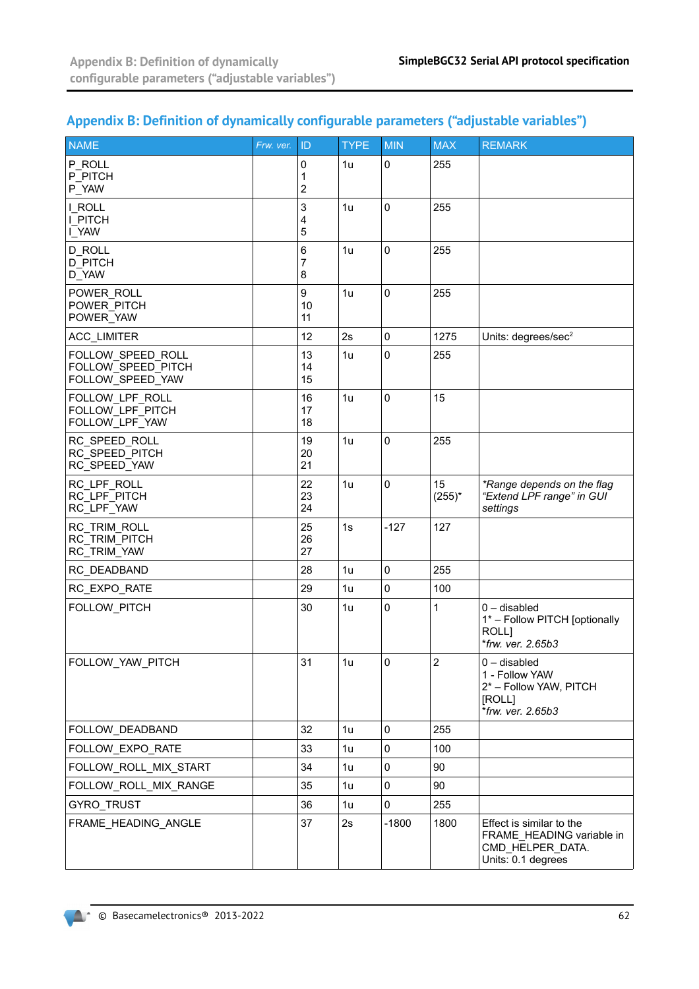# <span id="page-61-0"></span>**Appendix B: Definition of dynamically configurable parameters ("adjustable variables")**

| <b>NAME</b>                                                 | Frw. ver. | ID             | <b>TYPE</b> | <b>MIN</b>  | <b>MAX</b>      | <b>REMARK</b>                                                                                   |
|-------------------------------------------------------------|-----------|----------------|-------------|-------------|-----------------|-------------------------------------------------------------------------------------------------|
| P ROLL<br>P PITCH<br>P_YAW                                  |           | 0<br>1<br>2    | 1u          | 0           | 255             |                                                                                                 |
| I ROLL<br>I PITCH<br>I_YAW                                  |           | 3<br>4<br>5    | 1u          | 0           | 255             |                                                                                                 |
| <b>D ROLL</b><br><b>D PITCH</b><br>D_YAW                    |           | 6<br>7<br>8    | 1u          | 0           | 255             |                                                                                                 |
| POWER ROLL<br>POWER PITCH<br>POWER_YAW                      |           | 9<br>10<br>11  | 1u          | 0           | 255             |                                                                                                 |
| ACC_LIMITER                                                 |           | 12             | 2s          | $\mathbf 0$ | 1275            | Units: degrees/sec <sup>2</sup>                                                                 |
| FOLLOW SPEED ROLL<br>FOLLOW SPEED PITCH<br>FOLLOW_SPEED_YAW |           | 13<br>14<br>15 | 1u          | 0           | 255             |                                                                                                 |
| FOLLOW LPF ROLL<br>FOLLOW LPF PITCH<br>FOLLOW LPF YAW       |           | 16<br>17<br>18 | 1u          | 0           | 15              |                                                                                                 |
| RC SPEED ROLL<br>RC SPEED PITCH<br>RC_SPEED_YAW             |           | 19<br>20<br>21 | 1u          | 0           | 255             |                                                                                                 |
| RC LPF ROLL<br>RC LPF PITCH<br>RC_LPF_YAW                   |           | 22<br>23<br>24 | 1u          | 0           | 15<br>$(255)^*$ | *Range depends on the flag<br>"Extend LPF range" in GUI<br>settings                             |
| RC TRIM ROLL<br>RC TRIM PITCH<br>RC_TRIM_YAW                |           | 25<br>26<br>27 | 1s          | $-127$      | 127             |                                                                                                 |
| RC_DEADBAND                                                 |           | 28             | 1u          | 0           | 255             |                                                                                                 |
| RC_EXPO_RATE                                                |           | 29             | 1u          | 0           | 100             |                                                                                                 |
| FOLLOW PITCH                                                |           | 30             | 1u          | 0           | 1               | $0$ – disabled<br>1* - Follow PITCH [optionally<br>ROLL]<br>*frw. ver. 2.65b3                   |
| FOLLOW_YAW_PITCH                                            |           | 31             | 1u          | 0           | $\overline{c}$  | $0$ – disabled<br>1 - Follow YAW<br>2* - Follow YAW, PITCH<br>[ROLL]<br>*frw. ver. 2.65b3       |
| FOLLOW DEADBAND                                             |           | 32             | 1u          | 0           | 255             |                                                                                                 |
| FOLLOW_EXPO_RATE                                            |           | 33             | 1u          | $\mathbf 0$ | 100             |                                                                                                 |
| FOLLOW_ROLL_MIX_START                                       |           | 34             | 1u          | $\pmb{0}$   | 90              |                                                                                                 |
| FOLLOW_ROLL_MIX_RANGE                                       |           | 35             | 1u          | 0           | 90              |                                                                                                 |
| GYRO_TRUST                                                  |           | 36             | 1u          | 0           | 255             |                                                                                                 |
| FRAME_HEADING_ANGLE                                         |           | 37             | 2s          | $-1800$     | 1800            | Effect is similar to the<br>FRAME HEADING variable in<br>CMD HELPER DATA.<br>Units: 0.1 degrees |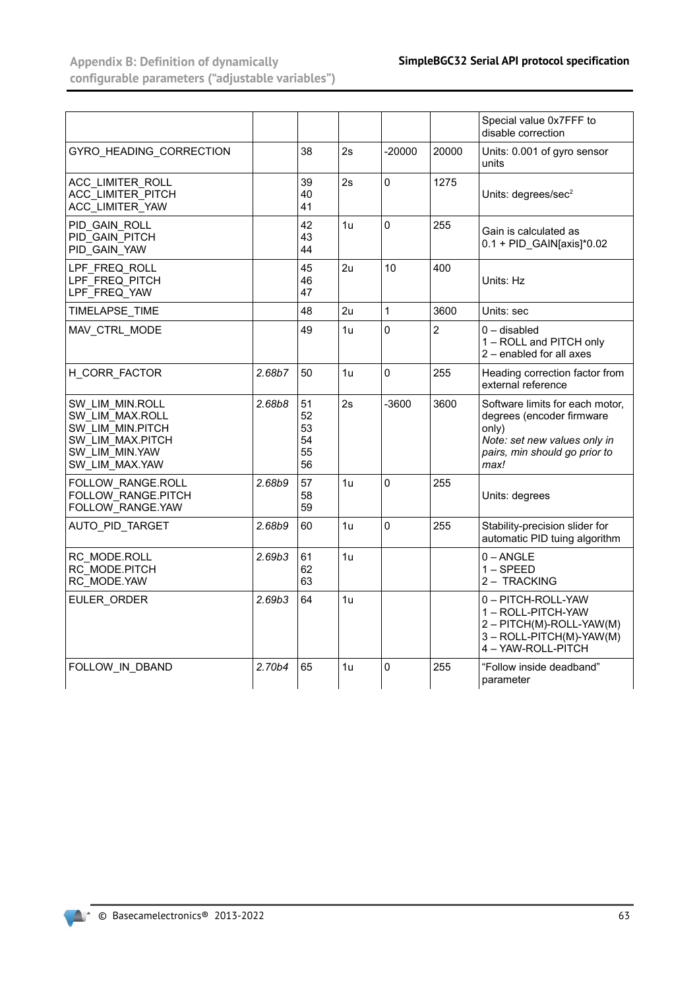**Appendix B: Definition of dynamically configurable parameters ("adjustable variables")**

|                                                                                                                |        |                                  |                |              |                | Special value 0x7FFF to<br>disable correction                                                                                                  |
|----------------------------------------------------------------------------------------------------------------|--------|----------------------------------|----------------|--------------|----------------|------------------------------------------------------------------------------------------------------------------------------------------------|
| GYRO HEADING CORRECTION                                                                                        |        | 38                               | 2s             | $-20000$     | 20000          | Units: 0.001 of gyro sensor<br>units                                                                                                           |
| ACC LIMITER ROLL<br>ACC LIMITER PITCH<br>ACC LIMITER YAW                                                       |        | 39<br>40<br>41                   | 2s             | $\mathbf{0}$ | 1275           | Units: degrees/sec <sup>2</sup>                                                                                                                |
| PID GAIN ROLL<br>PID GAIN PITCH<br>PID GAIN YAW                                                                |        | 42<br>43<br>44                   | 1u             | $\Omega$     | 255            | Gain is calculated as<br>$0.1 +$ PID GAIN[axis]* $0.02$                                                                                        |
| LPF_FREQ_ROLL<br>LPF FREQ PITCH<br>LPF_FREQ_YAW                                                                |        | 45<br>46<br>47                   | 2u             | 10           | 400            | Units: Hz                                                                                                                                      |
| TIMELAPSE TIME                                                                                                 |        | 48                               | 2u             | $\mathbf{1}$ | 3600           | Units: sec                                                                                                                                     |
| MAV CTRL MODE                                                                                                  |        | 49                               | 1u             | $\mathbf{0}$ | $\overline{2}$ | $0 -$ disabled<br>1 - ROLL and PITCH only<br>2 - enabled for all axes                                                                          |
| H CORR FACTOR                                                                                                  | 2.68b7 | 50                               | 1u             | $\Omega$     | 255            | Heading correction factor from<br>external reference                                                                                           |
| SW LIM MIN.ROLL<br>SW LIM MAX.ROLL<br>SW LIM MIN.PITCH<br>SW LIM MAX.PITCH<br>SW LIM MIN.YAW<br>SW LIM MAX.YAW | 2.68b8 | 51<br>52<br>53<br>54<br>55<br>56 | 2s             | $-3600$      | 3600           | Software limits for each motor.<br>degrees (encoder firmware<br>only)<br>Note: set new values only in<br>pairs, min should go prior to<br>max! |
| <b>FOLLOW RANGE.ROLL</b><br><b>FOLLOW RANGE.PITCH</b><br>FOLLOW RANGE.YAW                                      | 2.68b9 | 57<br>58<br>59                   | 1 <sub>u</sub> | $\mathbf{0}$ | 255            | Units: degrees                                                                                                                                 |
| AUTO_PID_TARGET                                                                                                | 2.68b9 | 60                               | 1u             | $\Omega$     | 255            | Stability-precision slider for<br>automatic PID tuing algorithm                                                                                |
| RC MODE.ROLL<br>RC MODE.PITCH<br>RC MODE.YAW                                                                   | 2.69b3 | 61<br>62<br>63                   | 1u             |              |                | $0 - ANGLE$<br>$1 -$ SPEED<br>2 - TRACKING                                                                                                     |
| EULER ORDER                                                                                                    | 2.69b3 | 64                               | 1u             |              |                | 0-PITCH-ROLL-YAW<br>1 - ROLL-PITCH-YAW<br>2 - PITCH(M)-ROLL-YAW(M)<br>3 - ROLL-PITCH(M)-YAW(M)<br>4 - YAW-ROLL-PITCH                           |
| FOLLOW IN DBAND                                                                                                | 2.70b4 | 65                               | 1u             | $\mathbf 0$  | 255            | "Follow inside deadband"<br>parameter                                                                                                          |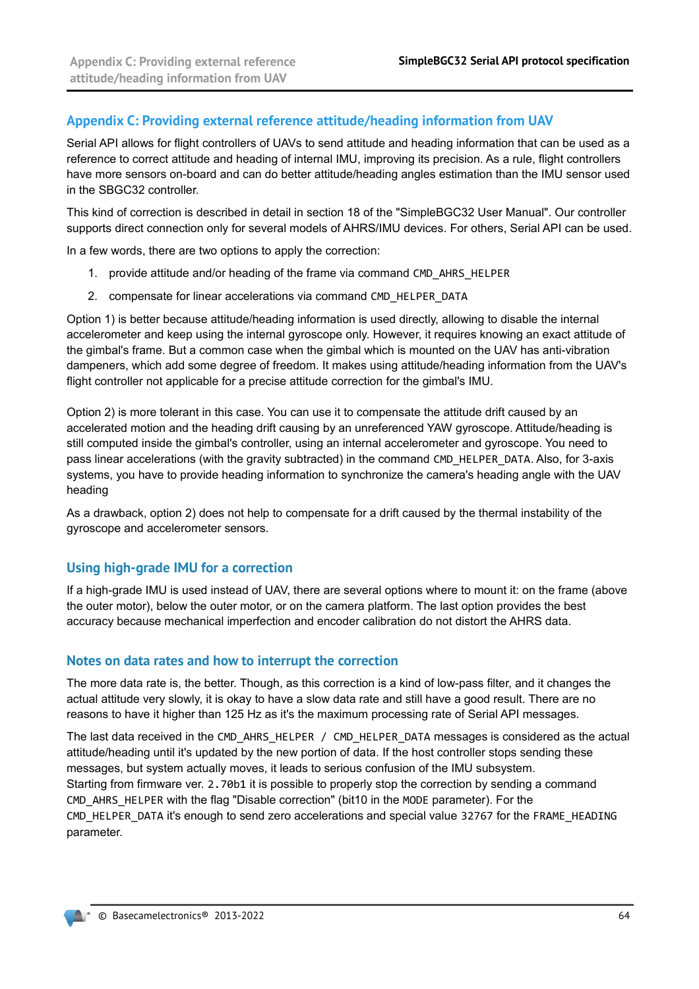#### <span id="page-63-0"></span>**Appendix C: Providing external reference attitude/heading information from UAV**

Serial API allows for flight controllers of UAVs to send attitude and heading information that can be used as a reference to correct attitude and heading of internal IMU, improving its precision. As a rule, flight controllers have more sensors on-board and can do better attitude/heading angles estimation than the IMU sensor used in the SBGC32 controller.

This kind of correction is described in detail in section 18 of the "SimpleBGC32 User Manual". Our controller supports direct connection only for several models of AHRS/IMU devices. For others, Serial API can be used.

In a few words, there are two options to apply the correction:

- 1. provide attitude and/or heading of the frame via command CMD\_AHRS\_HELPER
- 2. compensate for linear accelerations via command CMD\_HELPER\_DATA

Option 1) is better because attitude/heading information is used directly, allowing to disable the internal accelerometer and keep using the internal gyroscope only. However, it requires knowing an exact attitude of the gimbal's frame. But a common case when the gimbal which is mounted on the UAV has anti-vibration dampeners, which add some degree of freedom. It makes using attitude/heading information from the UAV's flight controller not applicable for a precise attitude correction for the gimbal's IMU.

Option 2) is more tolerant in this case. You can use it to compensate the attitude drift caused by an accelerated motion and the heading drift causing by an unreferenced YAW gyroscope. Attitude/heading is still computed inside the gimbal's controller, using an internal accelerometer and gyroscope. You need to pass linear accelerations (with the gravity subtracted) in the command CMD\_HELPER\_DATA. Also, for 3-axis systems, you have to provide heading information to synchronize the camera's heading angle with the UAV heading

As a drawback, option 2) does not help to compensate for a drift caused by the thermal instability of the gyroscope and accelerometer sensors.

#### **Using high-grade IMU for a correction**

If a high-grade IMU is used instead of UAV, there are several options where to mount it: on the frame (above the outer motor), below the outer motor, or on the camera platform. The last option provides the best accuracy because mechanical imperfection and encoder calibration do not distort the AHRS data.

#### **Notes on data rates and how to interrupt the correction**

The more data rate is, the better. Though, as this correction is a kind of low-pass filter, and it changes the actual attitude very slowly, it is okay to have a slow data rate and still have a good result. There are no reasons to have it higher than 125 Hz as it's the maximum processing rate of Serial API messages.

The last data received in the CMD\_AHRS\_HELPER / CMD\_HELPER\_DATA messages is considered as the actual attitude/heading until it's updated by the new portion of data. If the host controller stops sending these messages, but system actually moves, it leads to serious confusion of the IMU subsystem. Starting from firmware ver. 2.70b1 it is possible to properly stop the correction by sending a command CMD\_AHRS\_HELPER with the flag "Disable correction" (bit10 in the MODE parameter). For the CMD HELPER DATA it's enough to send zero accelerations and special value 32767 for the FRAME\_HEADING parameter.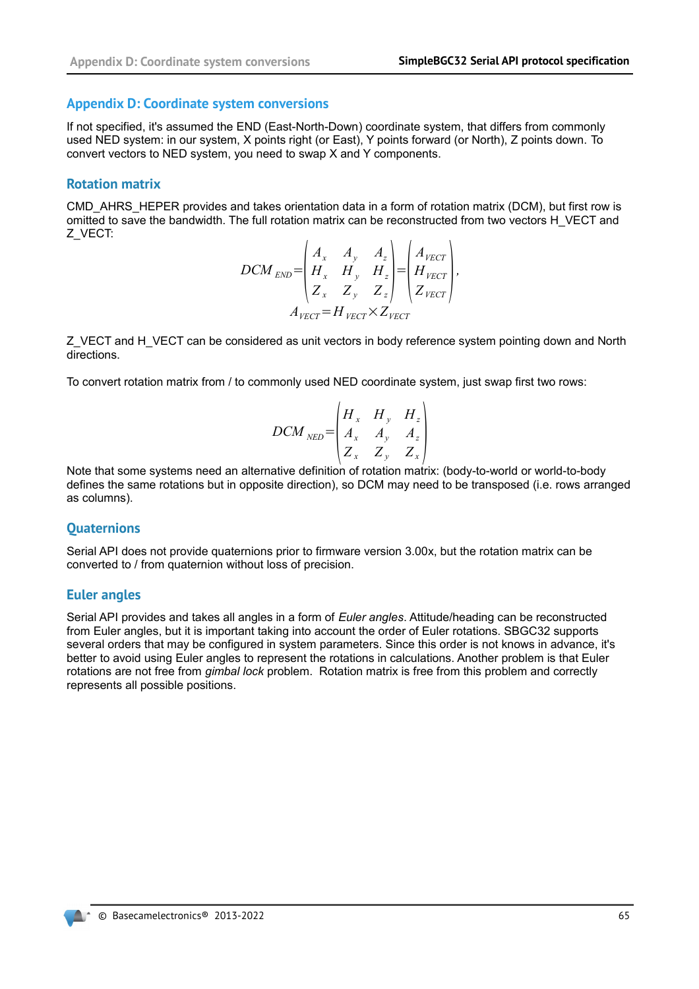#### <span id="page-64-0"></span>**Appendix D: Coordinate system conversions**

If not specified, it's assumed the END (East-North-Down) coordinate system, that differs from commonly used NED system: in our system, X points right (or East), Y points forward (or North), Z points down. To convert vectors to NED system, you need to swap X and Y components.

#### **Rotation matrix**

CMD\_AHRS\_HEPER provides and takes orientation data in a form of rotation matrix (DCM), but first row is omitted to save the bandwidth. The full rotation matrix can be reconstructed from two vectors H\_VECT and Z\_VECT:  $\mathcal{L}^{\mathcal{L}}$  $\sim$ 

$$
DCM_{END} = \begin{pmatrix} A_x & A_y & A_z \\ H_x & H_y & H_z \\ Z_x & Z_y & Z_z \end{pmatrix} = \begin{pmatrix} A_{\text{VECT}} \\ H_{\text{VECT}} \\ Z_{\text{VECT}} \end{pmatrix},
$$

$$
A_{\text{VECT}} = H_{\text{VECT}} \times Z_{\text{VECT}}
$$

Z\_VECT and H\_VECT can be considered as unit vectors in body reference system pointing down and North directions.

To convert rotation matrix from / to commonly used NED coordinate system, just swap first two rows:

$$
DCM_{NED} = \begin{pmatrix} H_x & H_y & H_z \\ A_x & A_y & A_z \\ Z_x & Z_y & Z_x \end{pmatrix}
$$

Note that some systems need an alternative definition of rotation matrix: (body-to-world or world-to-body defines the same rotations but in opposite direction), so DCM may need to be transposed (i.e. rows arranged as columns).

### **Quaternions**

Serial API does not provide quaternions prior to firmware version 3.00x, but the rotation matrix can be converted to / from quaternion without loss of precision.

#### **Euler angles**

Serial API provides and takes all angles in a form of *Euler angles*. Attitude/heading can be reconstructed from Euler angles, but it is important taking into account the order of Euler rotations. SBGC32 supports several orders that may be configured in system parameters. Since this order is not knows in advance, it's better to avoid using Euler angles to represent the rotations in calculations. Another problem is that Euler rotations are not free from *gimbal lock* problem. Rotation matrix is free from this problem and correctly represents all possible positions.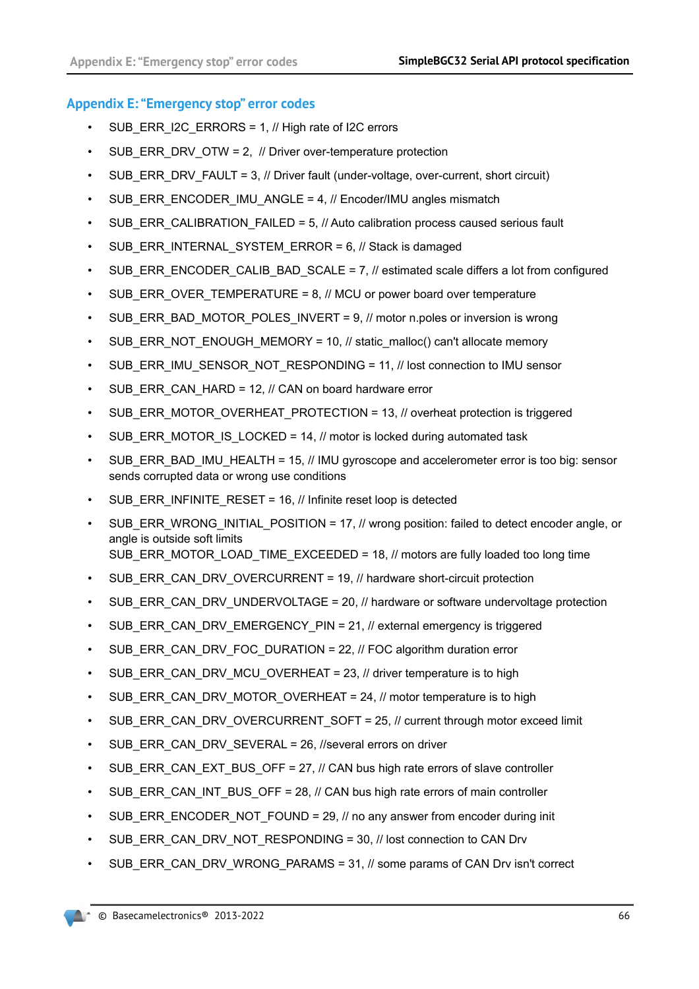#### <span id="page-65-0"></span>**Appendix E: "Emergency stop" error codes**

- SUB ERR I2C ERRORS = 1,  $\#$  High rate of I2C errors
- SUB\_ERR\_DRV\_OTW = 2, // Driver over-temperature protection
- SUB\_ERR\_DRV\_FAULT = 3, // Driver fault (under-voltage, over-current, short circuit)
- SUB\_ERR\_ENCODER\_IMU\_ANGLE = 4, // Encoder/IMU angles mismatch
- SUB\_ERR\_CALIBRATION\_FAILED = 5, // Auto calibration process caused serious fault
- SUB ERR INTERNAL SYSTEM ERROR =  $6$ ,  $\#$  Stack is damaged
- SUB\_ERR\_ENCODER\_CALIB\_BAD\_SCALE = 7, // estimated scale differs a lot from configured
- SUB\_ERR\_OVER\_TEMPERATURE =  $8$ ,  $\#$  MCU or power board over temperature
- SUB\_ERR\_BAD\_MOTOR\_POLES\_INVERT =  $9$ ,  $\#$  motor n.poles or inversion is wrong
- SUB\_ERR\_NOT\_ENOUGH\_MEMORY = 10, // static\_malloc() can't allocate memory
- SUB\_ERR\_IMU\_SENSOR\_NOT\_RESPONDING = 11, // lost connection to IMU sensor
- SUB\_ERR\_CAN\_HARD = 12, // CAN on board hardware error
- SUB\_ERR\_MOTOR\_OVERHEAT\_PROTECTION = 13, // overheat protection is triggered
- SUB\_ERR\_MOTOR\_IS\_LOCKED = 14, // motor is locked during automated task
- SUB\_ERR\_BAD\_IMU\_HEALTH = 15, // IMU gyroscope and accelerometer error is too big: sensor sends corrupted data or wrong use conditions
- SUB\_ERR\_INFINITE\_RESET = 16, // Infinite reset loop is detected
- SUB\_ERR\_WRONG\_INITIAL\_POSITION = 17, // wrong position: failed to detect encoder angle, or angle is outside soft limits SUB\_ERR\_MOTOR\_LOAD\_TIME\_EXCEEDED = 18, // motors are fully loaded too long time
- SUB\_ERR\_CAN\_DRV\_OVERCURRENT = 19, // hardware short-circuit protection
- SUB\_ERR\_CAN\_DRV\_UNDERVOLTAGE = 20, // hardware or software undervoltage protection
- SUB\_ERR\_CAN\_DRV\_EMERGENCY\_PIN = 21, // external emergency is triggered
- SUB\_ERR\_CAN\_DRV\_FOC\_DURATION = 22,  $//$  FOC algorithm duration error
- SUB\_ERR\_CAN\_DRV\_MCU\_OVERHEAT = 23, // driver temperature is to high
- SUB\_ERR\_CAN\_DRV\_MOTOR\_OVERHEAT = 24,  $\#$  motor temperature is to high
- SUB\_ERR\_CAN\_DRV\_OVERCURRENT\_SOFT = 25, // current through motor exceed limit
- SUB\_ERR\_CAN\_DRV\_SEVERAL = 26, //several errors on driver
- SUB\_ERR\_CAN\_EXT\_BUS\_OFF = 27, // CAN bus high rate errors of slave controller
- SUB\_ERR\_CAN\_INT\_BUS\_OFF = 28,  $//$  CAN bus high rate errors of main controller
- SUB\_ERR\_ENCODER\_NOT\_FOUND = 29, // no any answer from encoder during init
- SUB\_ERR\_CAN\_DRV\_NOT\_RESPONDING = 30, // lost connection to CAN Drv
- SUB\_ERR\_CAN\_DRV\_WRONG\_PARAMS = 31, // some params of CAN Drv isn't correct